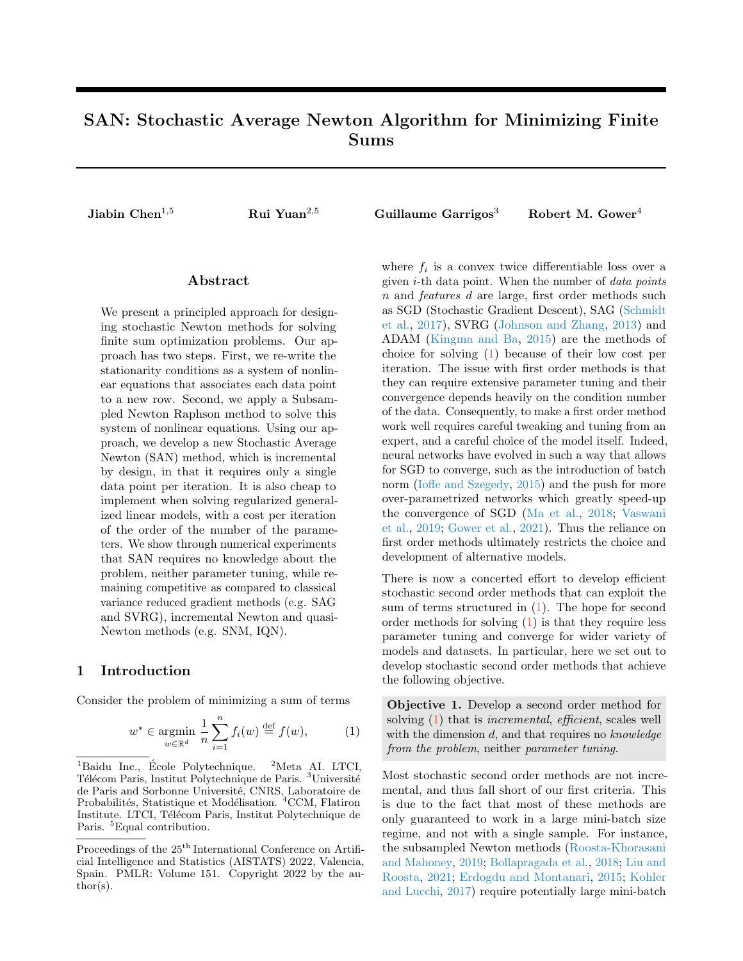# <span id="page-0-1"></span>SAN: Stochastic Average Newton Algorithm for Minimizing Finite Sums

Jiabin Chen<sup>1,5</sup> Rui Yuan<sup>2,5</sup> Guillaume Garrigos<sup>3</sup> Robert M. Gower<sup>4</sup>

# Abstract

We present a principled approach for designing stochastic Newton methods for solving finite sum optimization problems. Our approach has two steps. First, we re-write the stationarity conditions as a system of nonlinear equations that associates each data point to a new row. Second, we apply a Subsampled Newton Raphson method to solve this system of nonlinear equations. Using our approach, we develop a new Stochastic Average Newton (SAN) method, which is incremental by design, in that it requires only a single data point per iteration. It is also cheap to implement when solving regularized generalized linear models, with a cost per iteration of the order of the number of the parameters. We show through numerical experiments that SAN requires no knowledge about the problem, neither parameter tuning, while remaining competitive as compared to classical variance reduced gradient methods (e.g. SAG and SVRG), incremental Newton and quasi-Newton methods (e.g. SNM, IQN).

# 1 Introduction

Consider the problem of minimizing a sum of terms

<span id="page-0-0"></span>
$$
w^* \in \underset{w \in \mathbb{R}^d}{\text{argmin}} \ \frac{1}{n} \sum_{i=1}^n f_i(w) \stackrel{\text{def}}{=} f(w), \tag{1}
$$

where  $f_i$  is a convex twice differentiable loss over a given i-th data point. When the number of data points n and features d are large, first order methods such as SGD (Stochastic Gradient Descent), SAG [\(Schmidt](#page-8-0) [et al.,](#page-8-0) [2017\)](#page-8-0), SVRG [\(Johnson and Zhang,](#page-8-1) [2013\)](#page-8-1) and ADAM [\(Kingma and Ba,](#page-8-2) [2015\)](#page-8-2) are the methods of choice for solving [\(1\)](#page-0-0) because of their low cost per iteration. The issue with first order methods is that they can require extensive parameter tuning and their convergence depends heavily on the condition number of the data. Consequently, to make a first order method work well requires careful tweaking and tuning from an expert, and a careful choice of the model itself. Indeed, neural networks have evolved in such a way that allows for SGD to converge, such as the introduction of batch norm [\(Ioffe and Szegedy,](#page-8-3) [2015\)](#page-8-3) and the push for more over-parametrized networks which greatly speed-up the convergence of SGD [\(Ma et al.,](#page-8-4) [2018;](#page-8-4) [Vaswani](#page-8-5) [et al.,](#page-8-5) [2019;](#page-8-5) [Gower et al.,](#page-8-6) [2021\)](#page-8-6). Thus the reliance on first order methods ultimately restricts the choice and development of alternative models.

There is now a concerted effort to develop efficient stochastic second order methods that can exploit the sum of terms structured in [\(1\)](#page-0-0). The hope for second order methods for solving [\(1\)](#page-0-0) is that they require less parameter tuning and converge for wider variety of models and datasets. In particular, here we set out to develop stochastic second order methods that achieve the following objective.

Objective 1. Develop a second order method for solving [\(1\)](#page-0-0) that is *incremental*, *efficient*, scales well with the dimension  $d$ , and that requires no knowledge from the problem, neither parameter tuning.

Most stochastic second order methods are not incremental, and thus fall short of our first criteria. This is due to the fact that most of these methods are only guaranteed to work in a large mini-batch size regime, and not with a single sample. For instance, the subsampled Newton methods [\(Roosta-Khorasani](#page-8-7) [and Mahoney,](#page-8-7) [2019;](#page-8-7) [Bollapragada et al.,](#page-8-8) [2018;](#page-8-8) [Liu and](#page-8-9) [Roosta,](#page-8-9) [2021;](#page-8-9) [Erdogdu and Montanari,](#page-8-10) [2015;](#page-8-10) [Kohler](#page-8-11) [and Lucchi,](#page-8-11) [2017\)](#page-8-11) require potentially large mini-batch

<sup>&</sup>lt;sup>1</sup>Baidu Inc., École Polytechnique.  ${}^{2}$ Meta AI. LTCI, Télécom Paris, Institut Polytechnique de Paris. <sup>3</sup>Université de Paris and Sorbonne Université, CNRS, Laboratoire de Probabilités, Statistique et Modélisation. <sup>4</sup>CCM, Flatiron Institute. LTCI, Télécom Paris, Institut Polytechnique de Paris. <sup>5</sup>Equal contribution.

Proceedings of the  $25^{\mathrm{th}}$  International Conference on Artificial Intelligence and Statistics (AISTATS) 2022, Valencia, Spain. PMLR: Volume 151. Copyright 2022 by the au- $\text{thor}(s)$ .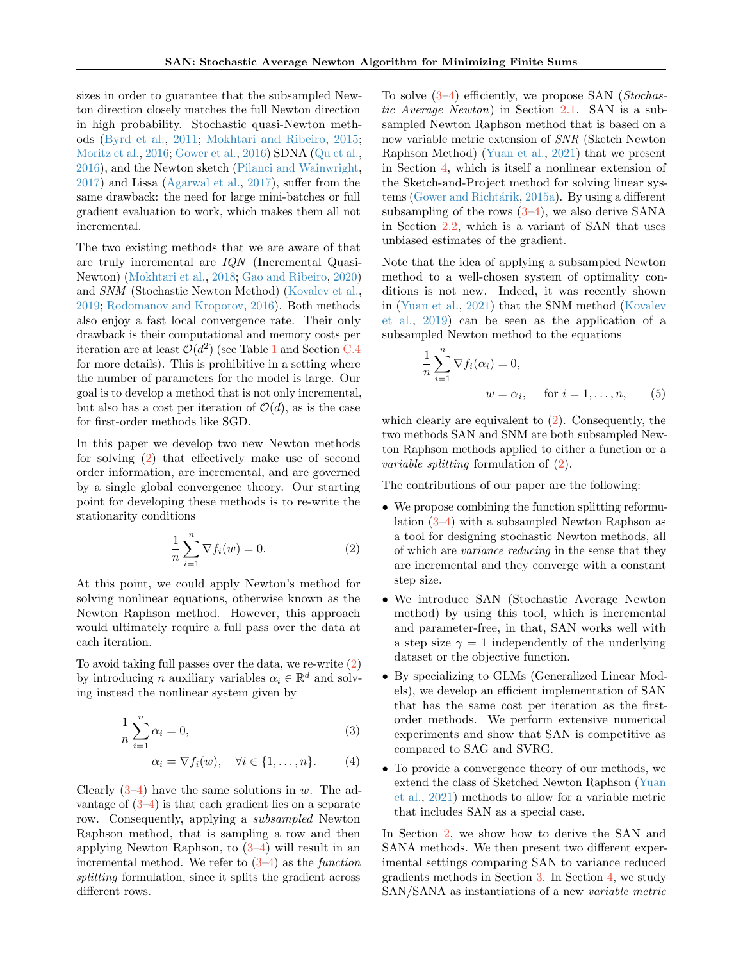sizes in order to guarantee that the subsampled Newton direction closely matches the full Newton direction in high probability. Stochastic quasi-Newton methods [\(Byrd et al.,](#page-8-12) [2011;](#page-8-12) [Mokhtari and Ribeiro,](#page-8-13) [2015;](#page-8-13) [Moritz et al.,](#page-8-14) [2016;](#page-8-14) [Gower et al.,](#page-9-0) [2016\)](#page-9-0) SDNA [\(Qu et al.,](#page-9-1) [2016\)](#page-9-1), and the Newton sketch [\(Pilanci and Wainwright,](#page-9-2) [2017\)](#page-9-2) and Lissa [\(Agarwal et al.,](#page-9-3) [2017\)](#page-9-3), suffer from the same drawback: the need for large mini-batches or full gradient evaluation to work, which makes them all not incremental.

The two existing methods that we are aware of that are truly incremental are IQN (Incremental Quasi-Newton) [\(Mokhtari et al.,](#page-9-4) [2018;](#page-9-4) [Gao and Ribeiro,](#page-9-5) [2020\)](#page-9-5) and SNM (Stochastic Newton Method) [\(Kovalev et al.,](#page-9-6) [2019;](#page-9-6) [Rodomanov and Kropotov,](#page-9-7) [2016\)](#page-9-7). Both methods also enjoy a fast local convergence rate. Their only drawback is their computational and memory costs per iteration are at least  $\mathcal{O}(d^2)$  (see Table [1](#page-6-0) and Section [C.4](#page-23-0) for more details). This is prohibitive in a setting where the number of parameters for the model is large. Our goal is to develop a method that is not only incremental, but also has a cost per iteration of  $\mathcal{O}(d)$ , as is the case for first-order methods like SGD.

In this paper we develop two new Newton methods for solving [\(2\)](#page-1-0) that effectively make use of second order information, are incremental, and are governed by a single global convergence theory. Our starting point for developing these methods is to re-write the stationarity conditions

<span id="page-1-0"></span>
$$
\frac{1}{n}\sum_{i=1}^{n}\nabla f_i(w) = 0.
$$
 (2)

At this point, we could apply Newton's method for solving nonlinear equations, otherwise known as the Newton Raphson method. However, this approach would ultimately require a full pass over the data at each iteration.

To avoid taking full passes over the data, we re-write [\(2\)](#page-1-0) by introducing *n* auxiliary variables  $\alpha_i \in \mathbb{R}^d$  and solving instead the nonlinear system given by

$$
\frac{1}{n}\sum_{i=1}^{n}\alpha_i=0,\tag{3}
$$

$$
\alpha_i = \nabla f_i(w), \quad \forall i \in \{1, \dots, n\}.
$$
 (4)

Clearly  $(3-4)$  $(3-4)$  have the same solutions in w. The advantage of  $(3-4)$  $(3-4)$  is that each gradient lies on a separate row. Consequently, applying a subsampled Newton Raphson method, that is sampling a row and then applying Newton Raphson, to  $(3-4)$  $(3-4)$  will result in an incremental method. We refer to  $(3-4)$  $(3-4)$  as the *function* splitting formulation, since it splits the gradient across different rows.

To solve [\(3–](#page-1-1)[4\)](#page-1-2) efficiently, we propose SAN (Stochastic Average Newton) in Section [2.1.](#page-2-0) SAN is a subsampled Newton Raphson method that is based on a new variable metric extension of SNR (Sketch Newton Raphson Method) [\(Yuan et al.,](#page-9-8) [2021\)](#page-9-8) that we present in Section [4,](#page-6-1) which is itself a nonlinear extension of the Sketch-and-Project method for solving linear sys-tems (Gower and Richtárik, [2015a\)](#page-9-9). By using a different subsampling of the rows  $(3-4)$  $(3-4)$ , we also derive SANA in Section [2.2,](#page-3-0) which is a variant of SAN that uses unbiased estimates of the gradient.

Note that the idea of applying a subsampled Newton method to a well-chosen system of optimality conditions is not new. Indeed, it was recently shown in [\(Yuan et al.,](#page-9-8) [2021\)](#page-9-8) that the SNM method [\(Kovalev](#page-9-6) [et al.,](#page-9-6) [2019\)](#page-9-6) can be seen as the application of a subsampled Newton method to the equations

<span id="page-1-3"></span>
$$
\frac{1}{n} \sum_{i=1}^{n} \nabla f_i(\alpha_i) = 0,
$$
  
\n
$$
w = \alpha_i, \quad \text{for } i = 1, \dots, n,
$$
 (5)

which clearly are equivalent to [\(2\)](#page-1-0). Consequently, the two methods SAN and SNM are both subsampled Newton Raphson methods applied to either a function or a variable splitting formulation of [\(2\)](#page-1-0).

The contributions of our paper are the following:

- We propose combining the function splitting reformulation [\(3–](#page-1-1)[4\)](#page-1-2) with a subsampled Newton Raphson as a tool for designing stochastic Newton methods, all of which are variance reducing in the sense that they are incremental and they converge with a constant step size.
- We introduce SAN (Stochastic Average Newton method) by using this tool, which is incremental and parameter-free, in that, SAN works well with a step size  $\gamma = 1$  independently of the underlying dataset or the objective function.
- <span id="page-1-1"></span>• By specializing to GLMs (Generalized Linear Models), we develop an efficient implementation of SAN that has the same cost per iteration as the firstorder methods. We perform extensive numerical experiments and show that SAN is competitive as compared to SAG and SVRG.
- <span id="page-1-2"></span>• To provide a convergence theory of our methods, we extend the class of Sketched Newton Raphson [\(Yuan](#page-9-8) [et al.,](#page-9-8) [2021\)](#page-9-8) methods to allow for a variable metric that includes SAN as a special case.

In Section [2,](#page-2-1) we show how to derive the SAN and SANA methods. We then present two different experimental settings comparing SAN to variance reduced gradients methods in Section [3.](#page-4-0) In Section [4,](#page-6-1) we study SAN/SANA as instantiations of a new variable metric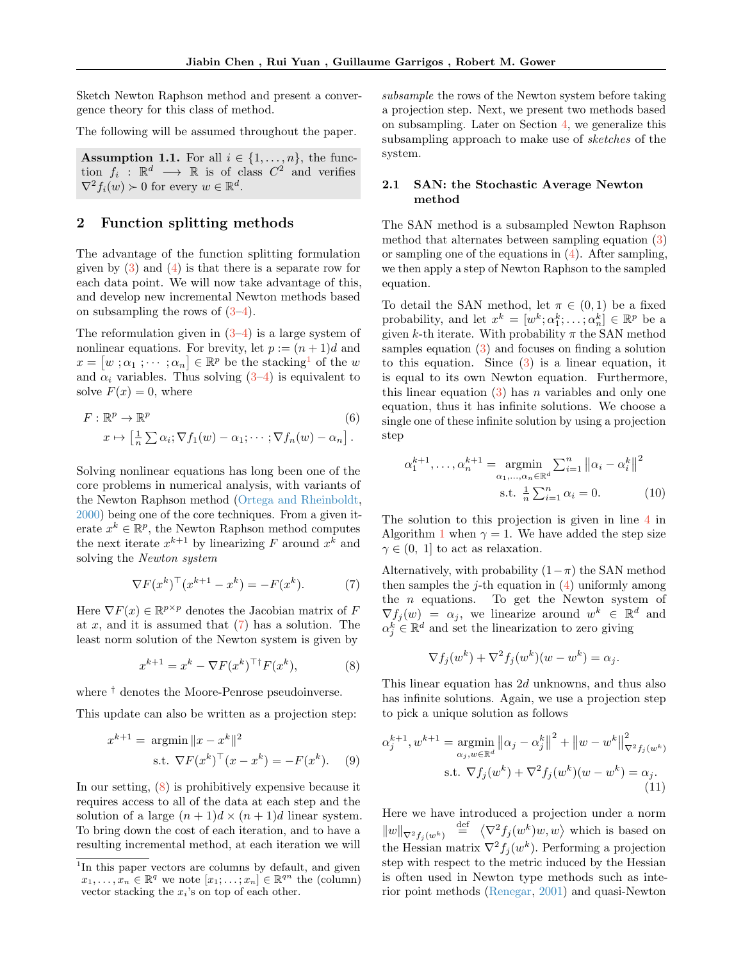Sketch Newton Raphson method and present a convergence theory for this class of method.

The following will be assumed throughout the paper.

<span id="page-2-5"></span>**Assumption 1.1.** For all  $i \in \{1, \ldots, n\}$ , the function  $f_i: \mathbb{R}^d \longrightarrow \mathbb{R}$  is of class  $C^2$  and verifies  $\nabla^2 f_i(w) \succ 0$  for every  $w \in \mathbb{R}^d$ .

# <span id="page-2-1"></span>2 Function splitting methods

The advantage of the function splitting formulation given by  $(3)$  and  $(4)$  is that there is a separate row for each data point. We will now take advantage of this, and develop new incremental Newton methods based on subsampling the rows of  $(3-4)$  $(3-4)$ .

The reformulation given in  $(3-4)$  $(3-4)$  is a large system of nonlinear equations. For brevity, let  $p := (n+1)d$  and  $x = [w; \alpha_1; \cdots; \alpha_n] \in \mathbb{R}^p$  $x = [w; \alpha_1; \cdots; \alpha_n] \in \mathbb{R}^p$  $x = [w; \alpha_1; \cdots; \alpha_n] \in \mathbb{R}^p$  be the stacking<sup>1</sup> of the w and  $\alpha_i$  variables. Thus solving  $(3-4)$  $(3-4)$  is equivalent to solve  $F(x) = 0$ , where

$$
F: \mathbb{R}^p \to \mathbb{R}^p
$$
  
\n
$$
x \mapsto \left[\frac{1}{n} \sum \alpha_i; \nabla f_1(w) - \alpha_1; \cdots; \nabla f_n(w) - \alpha_n\right].
$$
  
\n(6)

Solving nonlinear equations has long been one of the core problems in numerical analysis, with variants of the Newton Raphson method [\(Ortega and Rheinboldt,](#page-9-10) [2000\)](#page-9-10) being one of the core techniques. From a given iterate  $x^k \in \mathbb{R}^p$ , the Newton Raphson method computes the next iterate  $x^{k+1}$  by linearizing F around  $x^k$  and solving the Newton system

<span id="page-2-2"></span>
$$
\nabla F(x^k)^\top (x^{k+1} - x^k) = -F(x^k). \tag{7}
$$

Here  $\nabla F(x) \in \mathbb{R}^{p \times p}$  denotes the Jacobian matrix of F at x, and it is assumed that  $(7)$  has a solution. The least norm solution of the Newton system is given by

<span id="page-2-3"></span>
$$
x^{k+1} = x^k - \nabla F(x^k)^\top \dagger F(x^k),\tag{8}
$$

where † denotes the Moore-Penrose pseudoinverse.

This update can also be written as a projection step:

$$
x^{k+1} = \operatorname{argmin} \|x - x^k\|^2
$$
  
s.t.  $\nabla F(x^k)^\top (x - x^k) = -F(x^k).$  (9)

In our setting, [\(8\)](#page-2-3) is prohibitively expensive because it requires access to all of the data at each step and the solution of a large  $(n+1)d \times (n+1)d$  linear system. To bring down the cost of each iteration, and to have a resulting incremental method, at each iteration we will subsample the rows of the Newton system before taking a projection step. Next, we present two methods based on subsampling. Later on Section [4,](#page-6-1) we generalize this subsampling approach to make use of sketches of the system.

# <span id="page-2-0"></span>2.1 SAN: the Stochastic Average Newton method

The SAN method is a subsampled Newton Raphson method that alternates between sampling equation [\(3\)](#page-1-1) or sampling one of the equations in  $(4)$ . After sampling, we then apply a step of Newton Raphson to the sampled equation.

To detail the SAN method, let  $\pi \in (0,1)$  be a fixed probability, and let  $x^k = [w^k; \alpha_1^k; \dots; \alpha_n^k] \in \mathbb{R}^p$  be a given k-th iterate. With probability  $\pi$  the SAN method samples equation [\(3\)](#page-1-1) and focuses on finding a solution to this equation. Since  $(3)$  is a linear equation, it is equal to its own Newton equation. Furthermore, this linear equation  $(3)$  has n variables and only one equation, thus it has infinite solutions. We choose a single one of these infinite solution by using a projection step

<span id="page-2-6"></span><span id="page-2-4"></span>
$$
\alpha_1^{k+1}, \dots, \alpha_n^{k+1} = \underset{\alpha_1, \dots, \alpha_n \in \mathbb{R}^d}{\text{argmin}} \sum_{i=1}^n ||\alpha_i - \alpha_i^k||^2
$$
  
s.t.  $\frac{1}{n} \sum_{i=1}^n \alpha_i = 0.$  (10)

The solution to this projection is given in line [4](#page-3-1) in Algorithm [1](#page-3-2) when  $\gamma = 1$ . We have added the step size  $\gamma \in (0, 1]$  to act as relaxation.

Alternatively, with probability  $(1-\pi)$  the SAN method then samples the  $j$ -th equation in  $(4)$  uniformly among the  $n$  equations. To get the Newton system of  $\nabla f_j(w) = \alpha_j$ , we linearize around  $w^k \in \mathbb{R}^d$  and  $\alpha_j^k \in \mathbb{R}^d$  and set the linearization to zero giving

<span id="page-2-7"></span>
$$
\nabla f_j(w^k) + \nabla^2 f_j(w^k)(w - w^k) = \alpha_j.
$$

This linear equation has 2d unknowns, and thus also has infinite solutions. Again, we use a projection step to pick a unique solution as follows

$$
\alpha_j^{k+1}, w^{k+1} = \underset{\alpha_j, w \in \mathbb{R}^d}{\text{argmin}} ||\alpha_j - \alpha_j^k||^2 + ||w - w^k||^2_{\nabla^2 f_j(w^k)}
$$
  
s.t.  $\nabla f_j(w^k) + \nabla^2 f_j(w^k)(w - w^k) = \alpha_j$ . (11)

Here we have introduced a projection under a norm  $||w||_{\nabla^2 f_j(w^k)} \stackrel{\text{def}}{=} \langle \nabla^2 f_j(w^k) w, w \rangle$  which is based on the Hessian matrix  $\nabla^2 f_j(w^k)$ . Performing a projection step with respect to the metric induced by the Hessian is often used in Newton type methods such as interior point methods [\(Renegar,](#page-9-11) [2001\)](#page-9-11) and quasi-Newton

<sup>&</sup>lt;sup>1</sup>In this paper vectors are columns by default, and given  $x_1, \ldots, x_n \in \mathbb{R}^q$  we note  $[x_1, \ldots, x_n] \in \mathbb{R}^{qn}$  the (column) vector stacking the  $x_i$ 's on top of each other.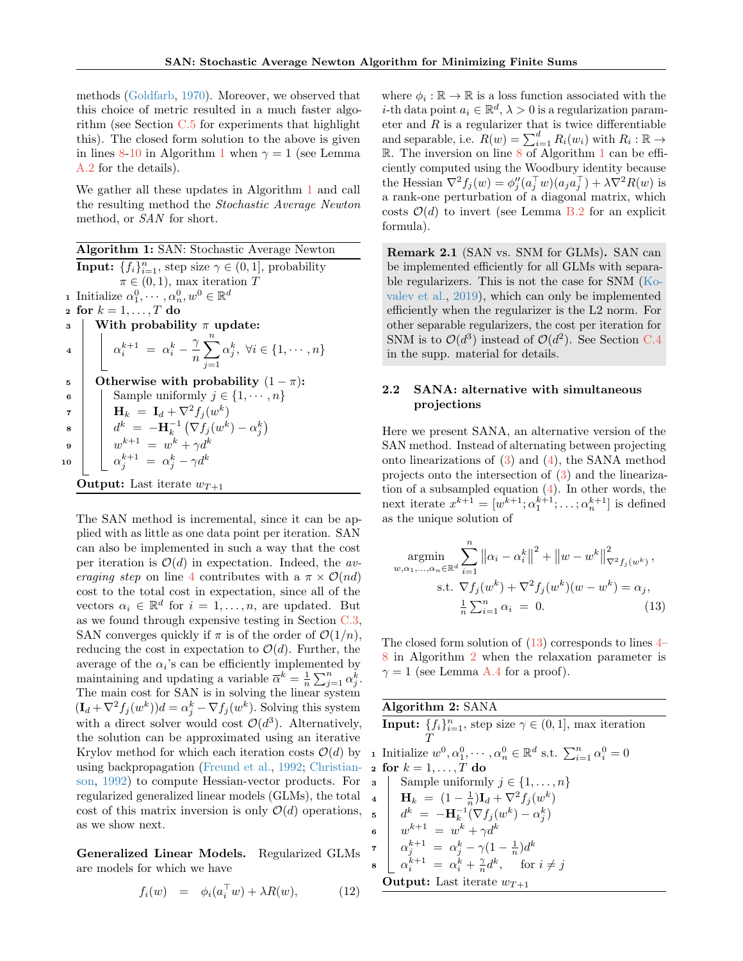methods [\(Goldfarb,](#page-9-12) [1970\)](#page-9-12). Moreover, we observed that this choice of metric resulted in a much faster algorithm (see Section  $C.5$  for experiments that highlight this). The closed form solution to the above is given in lines [8-](#page-3-3)[10](#page-3-4) in Algorithm [1](#page-3-2) when  $\gamma = 1$  (see Lemma [A.2](#page-12-0) for the details).

We gather all these updates in Algorithm [1](#page-3-2) and call the resulting method the Stochastic Average Newton method, or SAN for short.

<span id="page-3-2"></span><span id="page-3-1"></span>Algorithm 1: SAN: Stochastic Average Newton **Input:**  $\{f_i\}_{i=1}^n$ , step size  $\gamma \in (0, 1]$ , probability  $\pi \in (0, 1)$ , max iteration T **1** Initialize  $\alpha_1^0, \cdots, \alpha_n^0, w^0 \in \mathbb{R}^d$ 2 for  $k = 1, \ldots, T$  do  $\vert$  With probability  $\pi$  update:  $\mathbf{a} \parallel \mathbf{a}_i^{k+1} = \mathbf{a}_i^k \gamma$ n  $\sum_{n=1}^{\infty}$  $j=1$  $\alpha_j^k, \ \forall i \in \{1, \cdots, n\}$ 5 Otherwise with probability  $(1 - \pi)$ : 6 | Sample uniformly  $j \in \{1, \dots, n\}$  $\mathbf{F} \begin{array}{|c|c|} \hline \mathbf{F} \end{array} \begin{array}{|c|c|} \hline \mathbf{H}_k & = \mathbf{I}_d + \nabla^2 f_j(w^k) \end{array}$  $\textbf{s} \quad \begin{array}{|c|c|} \hline \textbf{a}^k & = & -\textbf{H}_k^{-1} \left( \nabla f_j (w^k) - \alpha_j^k \right) \ \hline \end{array}$  $\begin{array}{ccc} \mathbf{9} & | & | & w^{k+1} = w^k + \gamma d^k \end{array}$ 10  $\left[\begin{array}{cc} \alpha_j^{k+1} = \alpha_j^k - \gamma d^k \end{array}\right]$ **Output:** Last iterate  $w_{T+1}$ 

<span id="page-3-4"></span><span id="page-3-3"></span>The SAN method is incremental, since it can be applied with as little as one data point per iteration. SAN can also be implemented in such a way that the cost per iteration is  $\mathcal{O}(d)$  in expectation. Indeed, the av-eraging step on line [4](#page-3-1) contributes with a  $\pi \times \mathcal{O}(nd)$ cost to the total cost in expectation, since all of the vectors  $\alpha_i \in \mathbb{R}^d$  for  $i = 1, ..., n$ , are updated. But as we found through expensive testing in Section [C.3,](#page-22-0) SAN converges quickly if  $\pi$  is of the order of  $\mathcal{O}(1/n)$ , reducing the cost in expectation to  $\mathcal{O}(d)$ . Further, the average of the  $\alpha_i$ 's can be efficiently implemented by maintaining and updating a variable  $\overline{\alpha}^k = \frac{1}{n} \sum_{j=1}^n \alpha_j^k$ . The main cost for SAN is in solving the linear system  $(\mathbf{I}_d + \nabla^2 f_j(w^k))d = \alpha_j^k - \nabla f_j(w^k)$ . Solving this system with a direct solver would cost  $\mathcal{O}(d^3)$ . Alternatively, the solution can be approximated using an iterative Krylov method for which each iteration costs  $\mathcal{O}(d)$  by using backpropagation [\(Freund et al.,](#page-9-13) [1992;](#page-9-13) [Christian](#page-9-14)[son,](#page-9-14) [1992\)](#page-9-14) to compute Hessian-vector products. For regularized generalized linear models (GLMs), the total cost of this matrix inversion is only  $\mathcal{O}(d)$  operations,  $\overline{5}$ as we show next.

Generalized Linear Models. Regularized GLMs are models for which we have

<span id="page-3-9"></span>
$$
f_i(w) = \phi_i(a_i^{\top} w) + \lambda R(w), \qquad (12)
$$

where  $\phi_i : \mathbb{R} \to \mathbb{R}$  is a loss function associated with the *i*-th data point  $a_i \in \mathbb{R}^d$ ,  $\lambda > 0$  is a regularization parameter and  $R$  is a regularizer that is twice differentiable and separable, i.e.  $R(w) = \sum_{i=1}^{d} R_i(w_i)$  with  $R_i : \mathbb{R} \to$  $\mathbb R$ . The inversion on line [8](#page-3-3) of Algorithm [1](#page-3-2) can be efficiently computed using the Woodbury identity because the Hessian  $\nabla^2 f_j(w) = \phi''_j(a_j^{\top} w)(a_j a_j^{\top}) + \lambda \nabla^2 R(w)$  is a rank-one perturbation of a diagonal matrix, which costs  $\mathcal{O}(d)$  to invert (see Lemma [B.2](#page-17-0) for an explicit formula).

Remark 2.1 (SAN vs. SNM for GLMs). SAN can be implemented efficiently for all GLMs with separable regularizers. This is not the case for SNM [\(Ko](#page-9-6)[valev et al.,](#page-9-6) [2019\)](#page-9-6), which can only be implemented efficiently when the regularizer is the L2 norm. For other separable regularizers, the cost per iteration for SNM is to  $\mathcal{O}(d^3)$  instead of  $\mathcal{O}(d^2)$ . See Section [C.4](#page-23-0) in the supp. material for details.

# <span id="page-3-0"></span>2.2 SANA: alternative with simultaneous projections

Here we present SANA, an alternative version of the SAN method. Instead of alternating between projecting onto linearizations of [\(3\)](#page-1-1) and [\(4\)](#page-1-2), the SANA method projects onto the intersection of [\(3\)](#page-1-1) and the linearization of a subsampled equation  $(4)$ . In other words, the next iterate  $x^{k+1} = [w^{k+1}; \alpha_1^{k+1}; \dots; \alpha_n^{k+1}]$  is defined as the unique solution of

<span id="page-3-5"></span>
$$
\underset{w,\alpha_1,\dots,\alpha_n \in \mathbb{R}^d}{\text{argmin}} \sum_{i=1}^n \left\| \alpha_i - \alpha_i^k \right\|^2 + \left\| w - w^k \right\|_{\nabla^2 f_j(w^k)}^2,
$$
\n
$$
\text{s.t. } \nabla f_j(w^k) + \nabla^2 f_j(w^k)(w - w^k) = \alpha_j,
$$
\n
$$
\frac{1}{n} \sum_{i=1}^n \alpha_i = 0.
$$
\n(13)

The closed form solution of  $(13)$  corresponds to lines  $4-$ [8](#page-3-7) in Algorithm [2](#page-3-8) when the relaxation parameter is  $\gamma = 1$  (see Lemma [A.4](#page-15-0) for a proof).

<span id="page-3-10"></span><span id="page-3-8"></span><span id="page-3-7"></span><span id="page-3-6"></span>Algorithm 2: SANA **Input:**  $\{f_i\}_{i=1}^n$ , step size  $\gamma \in (0, 1]$ , max iteration  $\boldsymbol{\mathcal{I}}$ **1** Initialize  $w^0, \alpha_1^0, \cdots, \alpha_n^0 \in \mathbb{R}^d$  s.t.  $\sum_{i=1}^n \alpha_i^0 = 0$ 2 for  $k = 1, \ldots, T$  do 3 Sample uniformly  $j \in \{1, \ldots, n\}$ 4  $\mathbf{H}_k = (1 - \frac{1}{n})\mathbf{I}_d + \nabla^2 f_j(w^k)$ 5  $d^k = -\mathbf{H}_k^{-1}(\nabla f_j(w^k) - \alpha_j^k)$ 6  $w^{k+1} = w^k + \gamma d^k$  $\tau \begin{array}{|l} \alpha _j^{k+1} \ = \ \alpha _j^k - \gamma (1 - \frac{1}{n})d^k \end{array}$  $\int_{0}^{\infty} \alpha_i^{k+1} = \alpha_i^k + \frac{\gamma}{n} d^k$ , for  $i \neq j$ **Output:** Last iterate  $w_{T+1}$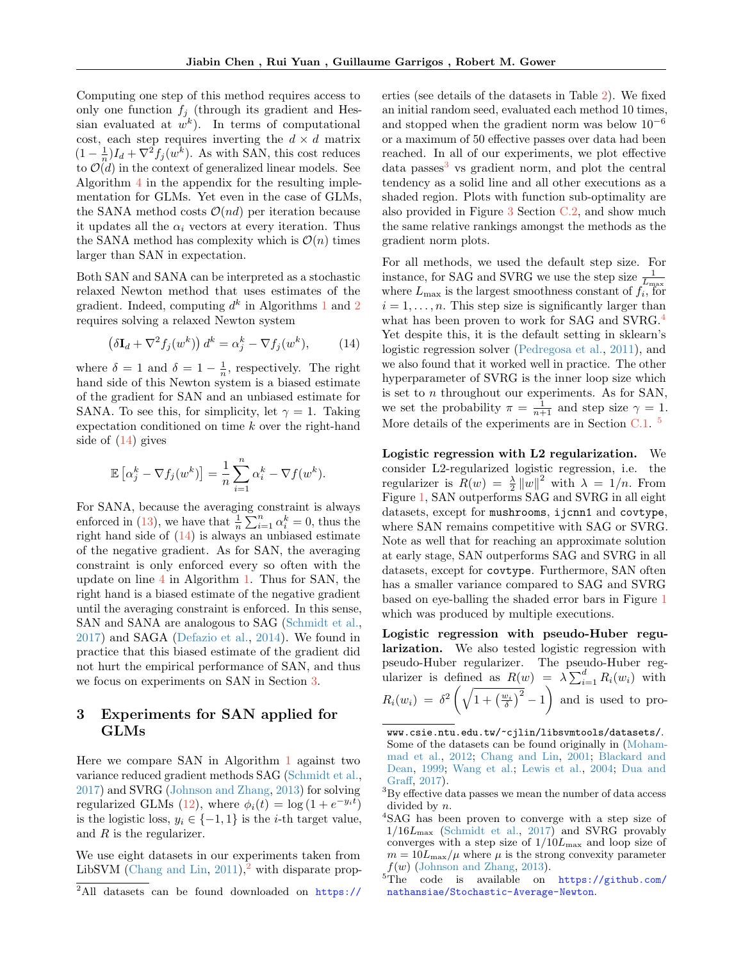Computing one step of this method requires access to only one function  $f_j$  (through its gradient and Hessian evaluated at  $w^k$ ). In terms of computational cost, each step requires inverting the  $d \times d$  matrix  $(1 - \frac{1}{n})I_d + \nabla^2 f_j(w^k)$ . As with SAN, this cost reduces to  $\mathcal{O}(d)$  in the context of generalized linear models. See Algorithm [4](#page-19-0) in the appendix for the resulting implementation for GLMs. Yet even in the case of GLMs, the SANA method costs  $\mathcal{O}(nd)$  per iteration because it updates all the  $\alpha_i$  vectors at every iteration. Thus the SANA method has complexity which is  $\mathcal{O}(n)$  times larger than SAN in expectation.

Both SAN and SANA can be interpreted as a stochastic relaxed Newton method that uses estimates of the gradient. Indeed, computing  $d^k$  in Algorithms [1](#page-3-2) and [2](#page-3-8) requires solving a relaxed Newton system

<span id="page-4-1"></span>
$$
\left(\delta \mathbf{I}_d + \nabla^2 f_j(w^k)\right) d^k = \alpha_j^k - \nabla f_j(w^k),\tag{14}
$$

where  $\delta = 1$  and  $\delta = 1 - \frac{1}{n}$ , respectively. The right hand side of this Newton system is a biased estimate of the gradient for SAN and an unbiased estimate for SANA. To see this, for simplicity, let  $\gamma = 1$ . Taking expectation conditioned on time k over the right-hand side of [\(14\)](#page-4-1) gives

$$
\mathbb{E}\left[\alpha_j^k - \nabla f_j(w^k)\right] = \frac{1}{n} \sum_{i=1}^n \alpha_i^k - \nabla f(w^k).
$$

For SANA, because the averaging constraint is always enforced in [\(13\)](#page-3-5), we have that  $\frac{1}{n} \sum_{i=1}^{n} \alpha_i^k = 0$ , thus the right hand side of  $(14)$  is always an unbiased estimate of the negative gradient. As for SAN, the averaging constraint is only enforced every so often with the update on line [4](#page-3-1) in Algorithm [1.](#page-3-2) Thus for SAN, the right hand is a biased estimate of the negative gradient until the averaging constraint is enforced. In this sense, SAN and SANA are analogous to SAG [\(Schmidt et al.,](#page-8-0) [2017\)](#page-8-0) and SAGA [\(Defazio et al.,](#page-9-15) [2014\)](#page-9-15). We found in practice that this biased estimate of the gradient did not hurt the empirical performance of SAN, and thus we focus on experiments on SAN in Section [3.](#page-4-0)

# <span id="page-4-0"></span>3 Experiments for SAN applied for GLMs

Here we compare SAN in Algorithm [1](#page-3-2) against two variance reduced gradient methods SAG [\(Schmidt et al.,](#page-8-0) [2017\)](#page-8-0) and SVRG [\(Johnson and Zhang,](#page-8-1) [2013\)](#page-8-1) for solving regularized GLMs [\(12\)](#page-3-9), where  $\phi_i(t) = \log(1 + e^{-y_i t})$ is the logistic loss,  $y_i \in \{-1, 1\}$  is the *i*-th target value, and  $R$  is the regularizer.

We use eight datasets in our experiments taken from LibSVM [\(Chang and Lin,](#page-9-16)  $2011$  $2011$ ),<sup>2</sup> with disparate prop[erties \(see details of the datasets in Table](https://www.csie.ntu.edu.tw/~cjlin/libsvmtools/datasets/) [2\)](#page-21-0). We fixed [an initial random seed, evaluated each method 10 times,](https://www.csie.ntu.edu.tw/~cjlin/libsvmtools/datasets/) and stopped when the gradient norm was below  $10^{-6}$ [or a maximum of 50 effective passes over data had been](https://www.csie.ntu.edu.tw/~cjlin/libsvmtools/datasets/) [reached. In all of our experiments, we plot effective](https://www.csie.ntu.edu.tw/~cjlin/libsvmtools/datasets/)  $data$  passes<sup>[3](#page-0-1)</sup> [vs gradient norm, and plot the central](https://www.csie.ntu.edu.tw/~cjlin/libsvmtools/datasets/) [tendency as a solid line and all other executions as a](https://www.csie.ntu.edu.tw/~cjlin/libsvmtools/datasets/) [shaded region. Plots with function sub-optimality are](https://www.csie.ntu.edu.tw/~cjlin/libsvmtools/datasets/) [also provided in Figure](https://www.csie.ntu.edu.tw/~cjlin/libsvmtools/datasets/) [3](#page-22-1) Section [C.2,](#page-21-1) and show much [the same relative rankings amongst the methods as the](https://www.csie.ntu.edu.tw/~cjlin/libsvmtools/datasets/) [gradient norm plots.](https://www.csie.ntu.edu.tw/~cjlin/libsvmtools/datasets/)

[For all methods, we used the default step size. For](https://www.csie.ntu.edu.tw/~cjlin/libsvmtools/datasets/) [instance, for SAG and SVRG we use the step size](https://www.csie.ntu.edu.tw/~cjlin/libsvmtools/datasets/)  $\frac{1}{L_{\text{max}}}$  where  $L_{\text{max}}$  [is the largest smoothness constant of](https://www.csie.ntu.edu.tw/~cjlin/libsvmtools/datasets/)  $f_i$ , for  $i = 1, \ldots, n$ . [This step size is significantly larger than](https://www.csie.ntu.edu.tw/~cjlin/libsvmtools/datasets/) [what has been proven to work for SAG and SVRG.](https://www.csie.ntu.edu.tw/~cjlin/libsvmtools/datasets/)<sup>[4](#page-0-1)</sup> [Yet despite this, it is the default setting in sklearn's](https://www.csie.ntu.edu.tw/~cjlin/libsvmtools/datasets/) [logistic regression solver \(Pedregosa et al.,](https://www.csie.ntu.edu.tw/~cjlin/libsvmtools/datasets/) [2011\)](#page-9-17), and [we also found that it worked well in practice. The other](https://www.csie.ntu.edu.tw/~cjlin/libsvmtools/datasets/) [hyperparameter of SVRG is the inner loop size which](https://www.csie.ntu.edu.tw/~cjlin/libsvmtools/datasets/) is set to  $n$  [throughout our experiments. As for SAN,](https://www.csie.ntu.edu.tw/~cjlin/libsvmtools/datasets/) [we set the probability](https://www.csie.ntu.edu.tw/~cjlin/libsvmtools/datasets/)  $\pi = \frac{1}{n+1}$  and step size  $\gamma = 1$ . [More details of the experiments are in Section](https://www.csie.ntu.edu.tw/~cjlin/libsvmtools/datasets/) [C.1.](#page-20-0)<sup>[5](#page-0-1)</sup>

[Logistic regression with L2 regularization.](https://www.csie.ntu.edu.tw/~cjlin/libsvmtools/datasets/) We [consider L2-regularized logistic regression, i.e. the](https://www.csie.ntu.edu.tw/~cjlin/libsvmtools/datasets/) [regularizer is](https://www.csie.ntu.edu.tw/~cjlin/libsvmtools/datasets/)  $R(w) = \frac{\lambda}{2} ||w||^2$  with  $\lambda = 1/n$ . From Figure [1, SAN outperforms SAG and SVRG in all eight](https://www.csie.ntu.edu.tw/~cjlin/libsvmtools/datasets/) [datasets, except for](https://www.csie.ntu.edu.tw/~cjlin/libsvmtools/datasets/) mushrooms, ijcnn1 and covtype, [where SAN remains competitive with SAG or SVRG.](https://www.csie.ntu.edu.tw/~cjlin/libsvmtools/datasets/) [Note as well that for reaching an approximate solution](https://www.csie.ntu.edu.tw/~cjlin/libsvmtools/datasets/) [at early stage, SAN outperforms SAG and SVRG in all](https://www.csie.ntu.edu.tw/~cjlin/libsvmtools/datasets/) datasets, except for covtype[. Furthermore, SAN often](https://www.csie.ntu.edu.tw/~cjlin/libsvmtools/datasets/) [has a smaller variance compared to SAG and SVRG](https://www.csie.ntu.edu.tw/~cjlin/libsvmtools/datasets/) [based on eye-balling the shaded error bars in Figure](https://www.csie.ntu.edu.tw/~cjlin/libsvmtools/datasets/) [1](#page-5-0) [which was produced by multiple executions.](https://www.csie.ntu.edu.tw/~cjlin/libsvmtools/datasets/)

[Logistic regression with pseudo-Huber regu](https://www.csie.ntu.edu.tw/~cjlin/libsvmtools/datasets/)larization. [We also tested logistic regression with](https://www.csie.ntu.edu.tw/~cjlin/libsvmtools/datasets/) [pseudo-Huber regularizer. The pseudo-Huber reg](https://www.csie.ntu.edu.tw/~cjlin/libsvmtools/datasets/)[ularizer is defined as](https://www.csie.ntu.edu.tw/~cjlin/libsvmtools/datasets/)  $R(w) = \lambda \sum_{i=1}^{d} R_i(w_i)$  with  $R_i(w_i) = \delta^2 \left( \sqrt{1 + \left(\frac{w_i}{\delta}\right)^2} - 1 \right)$  [and is used to pro-](https://www.csie.ntu.edu.tw/~cjlin/libsvmtools/datasets/)

[www.csie.ntu.edu.tw/~cjlin/libsvmtools/datasets/](https://www.csie.ntu.edu.tw/~cjlin/libsvmtools/datasets/). Some of the datasets can be found originally in [\(Moham](#page-9-18)[mad et al.,](#page-9-18) [2012;](#page-9-18) [Chang and Lin,](#page-9-19) [2001;](#page-9-19) [Blackard and](#page-9-20) [Dean,](#page-9-20) [1999;](#page-9-20) [Wang et al.;](#page-9-21) [Lewis et al.,](#page-9-22) [2004;](#page-9-22) [Dua and](#page-9-23) [Graff,](#page-9-23) [2017\)](#page-9-23).

<sup>&</sup>lt;sup>2</sup>All datasets can be found downloaded on [https://](https://www.csie.ntu.edu.tw/~cjlin/libsvmtools/datasets/)

 ${\rm ^3} \rm{By}$  effective data passes we mean the number of data access divided by n.

<sup>4</sup>SAG has been proven to converge with a step size of  $1/16L_{\text{max}}$  [\(Schmidt et al.,](#page-8-0) [2017\)](#page-8-0) and SVRG provably converges with a step size of  $1/10L_{\text{max}}$  and loop size of  $m = 10L_{\text{max}}/\mu$  where  $\mu$  is the strong convexity parameter  $f(w)$  [\(Johnson and Zhang,](#page-8-1) [2013\)](#page-8-1).

<sup>5</sup>The code is available on [https://github.com/](https://github.com/nathansiae/Stochastic-Average-Newton) [nathansiae/Stochastic-Average-Newton](https://github.com/nathansiae/Stochastic-Average-Newton).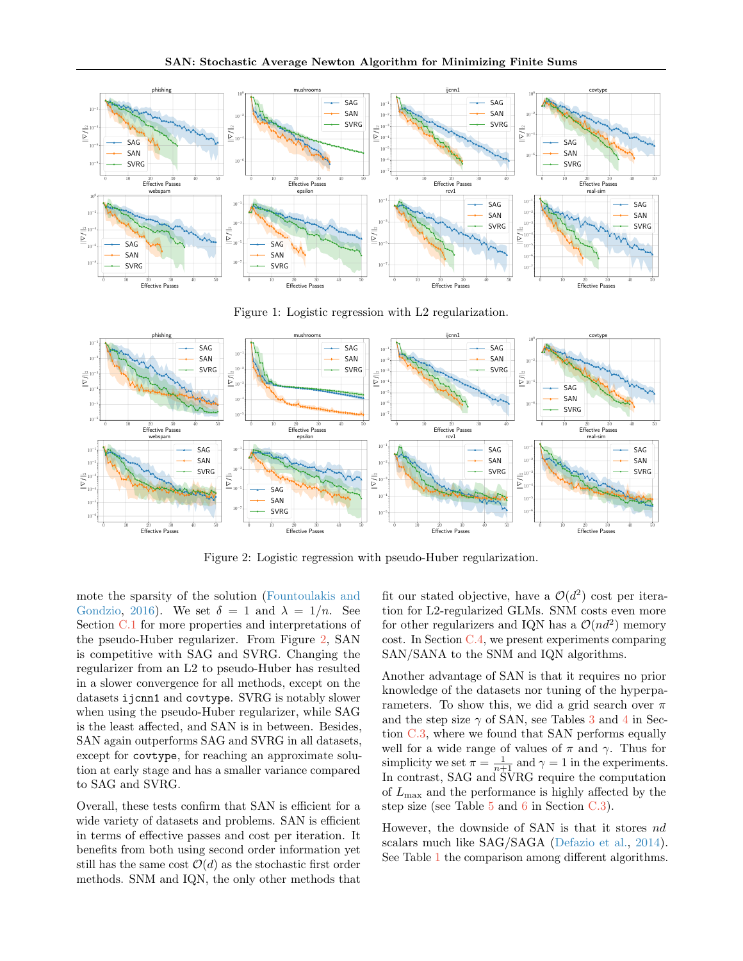

Figure 1: Logistic regression with L2 regularization.



Figure 2: Logistic regression with pseudo-Huber regularization.

mote the sparsity of the solution [\(Fountoulakis and](#page-10-0) [Gondzio,](#page-10-0) [2016\)](#page-10-0). We set  $\delta = 1$  and  $\lambda = 1/n$ . See Section [C.1](#page-20-0) for more properties and interpretations of the pseudo-Huber regularizer. From Figure [2,](#page-5-1) SAN is competitive with SAG and SVRG. Changing the regularizer from an L2 to pseudo-Huber has resulted in a slower convergence for all methods, except on the datasets ijcnn1 and covtype. SVRG is notably slower when using the pseudo-Huber regularizer, while SAG is the least affected, and SAN is in between. Besides, SAN again outperforms SAG and SVRG in all datasets, except for covtype, for reaching an approximate solution at early stage and has a smaller variance compared to SAG and SVRG.

Overall, these tests confirm that SAN is efficient for a wide variety of datasets and problems. SAN is efficient in terms of effective passes and cost per iteration. It benefits from both using second order information yet still has the same cost  $\mathcal{O}(d)$  as the stochastic first order methods. SNM and IQN, the only other methods that

<span id="page-5-1"></span><span id="page-5-0"></span>fit our stated objective, have a  $\mathcal{O}(d^2)$  cost per iteration for L2-regularized GLMs. SNM costs even more for other regularizers and IQN has a  $\mathcal{O}(nd^2)$  memory cost. In Section [C.4,](#page-23-0) we present experiments comparing SAN/SANA to the SNM and IQN algorithms.

Another advantage of SAN is that it requires no prior knowledge of the datasets nor tuning of the hyperparameters. To show this, we did a grid search over  $\pi$ and the step size  $\gamma$  of SAN, see Tables [3](#page-22-2) and [4](#page-22-3) in Section [C.3,](#page-22-0) where we found that SAN performs equally well for a wide range of values of  $\pi$  and  $\gamma$ . Thus for simplicity we set  $\pi = \frac{1}{n+1}$  and  $\gamma = 1$  in the experiments. In contrast, SAG and SVRG require the computation of  $L_{\text{max}}$  and the performance is highly affected by the step size (see Table [5](#page-23-1) and [6](#page-23-2) in Section [C.3\)](#page-22-0).

However, the downside of SAN is that it stores nd scalars much like SAG/SAGA [\(Defazio et al.,](#page-9-15) [2014\)](#page-9-15). See Table [1](#page-6-0) the comparison among different algorithms.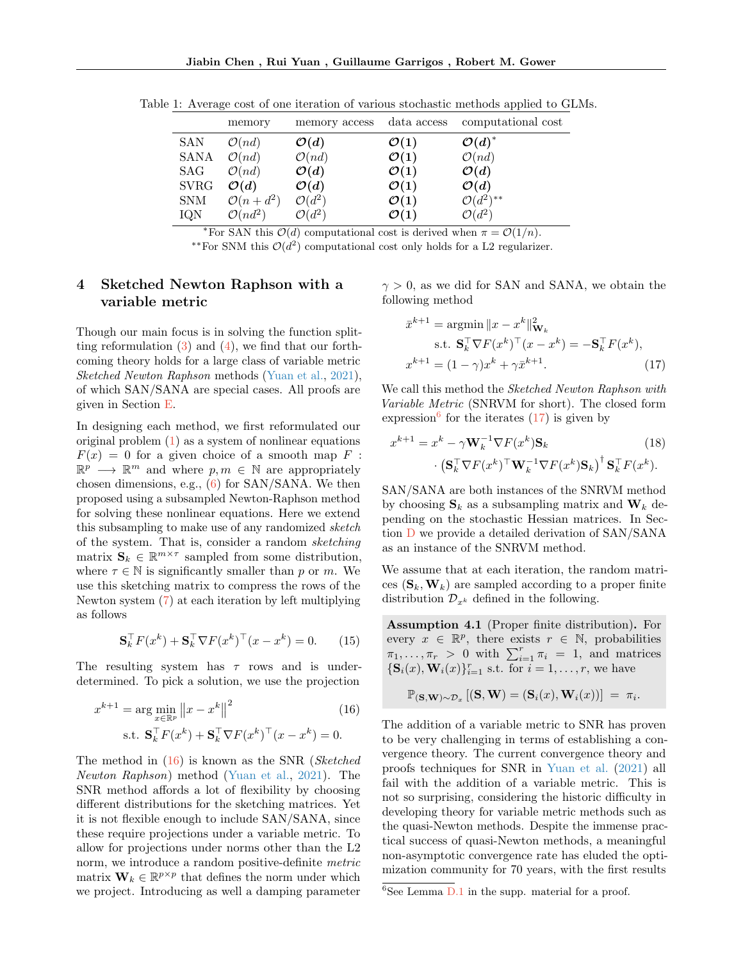|             | memory               | memory access      | data access      | computational cost |
|-------------|----------------------|--------------------|------------------|--------------------|
| SAN         | $\mathcal{O}(nd)$    | $\mathcal{O}(d)$   | $\mathcal{O}(1)$ | $\mathcal{O}(d)^*$ |
| SANA        | $\mathcal{O}(nd)$    | $\mathcal{O}(nd)$  | $\mathcal{O}(1)$ | $\mathcal{O}(nd)$  |
| SAG         | $\mathcal{O}(nd)$    | $\mathcal{O}(d)$   | $\mathcal{O}(1)$ | $\mathcal{O}(d)$   |
| <b>SVRG</b> | $\mathcal{O}(d)$     | $\mathcal{O}(d)$   | $\mathcal{O}(1)$ | $\mathcal{O}(d)$   |
| <b>SNM</b>  | $\mathcal{O}(n+d^2)$ | $\mathcal{O}(d^2)$ | $\mathcal{O}(1)$ | $O(d^2)^{**}$      |
| IQN         | $\mathcal{O}(nd^2)$  | $\mathcal{O}(d^2)$ | $\mathcal{O}(1)$ | $\mathcal{O}(d^2)$ |

<span id="page-6-0"></span>Table 1: Average cost of one iteration of various stochastic methods applied to GLMs.

\*For SAN this  $\mathcal{O}(d)$  computational cost is derived when  $\pi = \mathcal{O}(1/n)$ .

\*\*For SNM this  $\mathcal{O}(d^2)$  computational cost only holds for a L2 regularizer.

# <span id="page-6-1"></span>4 Sketched Newton Raphson with a variable metric

Though our main focus is in solving the function splitting reformulation  $(3)$  and  $(4)$ , we find that our forthcoming theory holds for a large class of variable metric Sketched Newton Raphson methods [\(Yuan et al.,](#page-9-8) [2021\)](#page-9-8), of which SAN/SANA are special cases. All proofs are given in Section [E.](#page-28-0)

In designing each method, we first reformulated our original problem  $(1)$  as a system of nonlinear equations  $F(x) = 0$  for a given choice of a smooth map F :  $\mathbb{R}^p \longrightarrow \mathbb{R}^m$  and where  $p, m \in \mathbb{N}$  are appropriately chosen dimensions, e.g.,  $(6)$  for SAN/SANA. We then proposed using a subsampled Newton-Raphson method for solving these nonlinear equations. Here we extend this subsampling to make use of any randomized sketch of the system. That is, consider a random sketching matrix  $\mathbf{S}_k \in \mathbb{R}^{m \times \tau}$  sampled from some distribution, where  $\tau \in \mathbb{N}$  is significantly smaller than p or m. We use this sketching matrix to compress the rows of the Newton system [\(7\)](#page-2-2) at each iteration by left multiplying as follows

$$
\mathbf{S}_k^{\top} F(x^k) + \mathbf{S}_k^{\top} \nabla F(x^k)^\top (x - x^k) = 0. \qquad (15)
$$

The resulting system has  $\tau$  rows and is underdetermined. To pick a solution, we use the projection

$$
x^{k+1} = \arg\min_{x \in \mathbb{R}^p} \|x - x^k\|^2
$$
(16)  
s.t.  $\mathbf{S}_k^\top F(x^k) + \mathbf{S}_k^\top \nabla F(x^k)^\top (x - x^k) = 0.$ 

The method in  $(16)$  is known as the SNR (Sketched Newton Raphson) method [\(Yuan et al.,](#page-9-8) [2021\)](#page-9-8). The SNR method affords a lot of flexibility by choosing different distributions for the sketching matrices. Yet it is not flexible enough to include SAN/SANA, since these require projections under a variable metric. To allow for projections under norms other than the L2 norm, we introduce a random positive-definite metric matrix  $\mathbf{W}_k \in \mathbb{R}^{p \times p}$  that defines the norm under which we project. Introducing as well a damping parameter  $\gamma > 0$ , as we did for SAN and SANA, we obtain the following method

<span id="page-6-3"></span>
$$
\bar{x}^{k+1} = \operatorname{argmin} \|x - x^k\|_{\mathbf{W}_k}^2
$$
  
s.t. 
$$
\mathbf{S}_k^\top \nabla F(x^k)^\top (x - x^k) = -\mathbf{S}_k^\top F(x^k),
$$

$$
x^{k+1} = (1 - \gamma)x^k + \gamma \bar{x}^{k+1}.
$$
 (17)

We call this method the *Sketched Newton Raphson with* Variable Metric (SNRVM for short). The closed form expression<sup>[6](#page-0-1)</sup> for the iterates  $(17)$  is given by

<span id="page-6-5"></span>
$$
x^{k+1} = x^k - \gamma \mathbf{W}_k^{-1} \nabla F(x^k) \mathbf{S}_k
$$
(18)  
 
$$
\cdot \left( \mathbf{S}_k^\top \nabla F(x^k)^\top \mathbf{W}_k^{-1} \nabla F(x^k) \mathbf{S}_k \right)^\dagger \mathbf{S}_k^\top F(x^k).
$$

SAN/SANA are both instances of the SNRVM method by choosing  $S_k$  as a subsampling matrix and  $W_k$  depending on the stochastic Hessian matrices. In Section [D](#page-25-1) we provide a detailed derivation of SAN/SANA as an instance of the SNRVM method.

We assume that at each iteration, the random matrices  $(\mathbf{S}_k, \mathbf{W}_k)$  are sampled according to a proper finite distribution  $\mathcal{D}_{x^k}$  defined in the following.

<span id="page-6-4"></span>Assumption 4.1 (Proper finite distribution). For every  $x \in \mathbb{R}^p$ , there exists  $r \in \mathbb{N}$ , probabilities  $\pi_1, \ldots, \pi_r > 0$  with  $\sum_{i=1}^r \pi_i = 1$ , and matrices  $\{\mathbf S_i(x), \mathbf W_i(x)\}_{i=1}^r$  s.t. for  $i = 1, \ldots, r$ , we have

$$
\mathbb{P}_{(\mathbf{S},\mathbf{W})\sim\mathcal{D}_x} [(\mathbf{S},\mathbf{W}) = (\mathbf{S}_i(x),\mathbf{W}_i(x))] = \pi_i.
$$

<span id="page-6-2"></span>The addition of a variable metric to SNR has proven to be very challenging in terms of establishing a convergence theory. The current convergence theory and proofs techniques for SNR in [Yuan et al.](#page-9-8) [\(2021\)](#page-9-8) all fail with the addition of a variable metric. This is not so surprising, considering the historic difficulty in developing theory for variable metric methods such as the quasi-Newton methods. Despite the immense practical success of quasi-Newton methods, a meaningful non-asymptotic convergence rate has eluded the optimization community for 70 years, with the first results

 ${}^{6}$ See Lemma [D.1](#page-27-0) in the supp. material for a proof.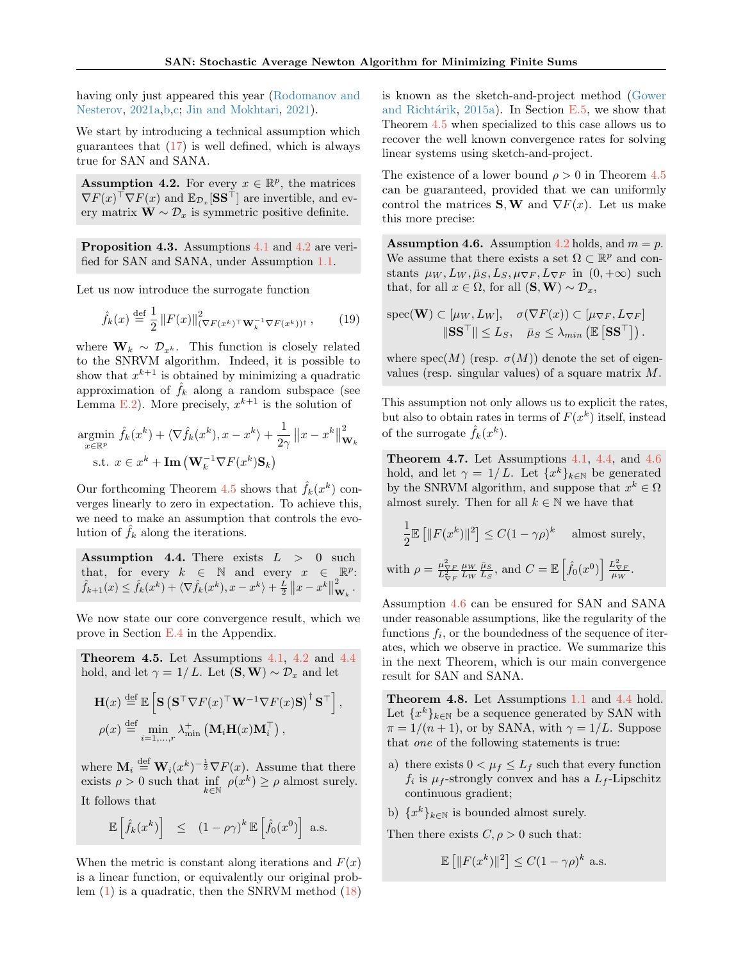$W$ 

having only just appeared this year [\(Rodomanov and](#page-10-1) [Nesterov,](#page-10-1) [2021a,](#page-10-1)[b](#page-10-2)[,c;](#page-10-3) [Jin and Mokhtari,](#page-10-4) [2021\)](#page-10-4).

We start by introducing a technical assumption which guarantees that  $(17)$  is well defined, which is always true for SAN and SANA.

<span id="page-7-0"></span>**Assumption 4.2.** For every  $x \in \mathbb{R}^p$ , the matrices  $\nabla F(x)^\top \nabla F(x)$  and  $\mathbb{E}_{\mathcal{D}_x}[\mathbf{S}\mathbf{S}^\top]$  are invertible, and every matrix  $\mathbf{W} \sim \mathcal{D}_x$  is symmetric positive definite.

<span id="page-7-6"></span>Proposition 4.3. Assumptions [4.1](#page-6-4) and [4.2](#page-7-0) are verified for SAN and SANA, under Assumption [1.1.](#page-2-5)

Let us now introduce the surrogate function

$$
\hat{f}_k(x) \stackrel{\text{def}}{=} \frac{1}{2} ||F(x)||^2_{(\nabla F(x^k)^\top \mathbf{W}_k^{-1} \nabla F(x^k))^\dagger}, \qquad (19)
$$

where  $\mathbf{W}_k \sim \mathcal{D}_{x^k}$ . This function is closely related to the SNRVM algorithm. Indeed, it is possible to show that  $x^{k+1}$  is obtained by minimizing a quadratic approximation of  $\hat{f}_k$  along a random subspace (see Lemma [E.2\)](#page-29-0). More precisely,  $x^{k+1}$  is the solution of

$$
\underset{x \in \mathbb{R}^p}{\text{argmin}} \hat{f}_k(x^k) + \langle \nabla \hat{f}_k(x^k), x - x^k \rangle + \frac{1}{2\gamma} \|x - x^k\|_{\mathbf{W}_k}^2
$$
  
s.t.  $x \in x^k + \text{Im}(\mathbf{W}_k^{-1} \nabla F(x^k) \mathbf{S}_k)$ 

Our forthcoming Theorem [4.5](#page-7-1) shows that  $\hat{f}_k(x^k)$  converges linearly to zero in expectation. To achieve this, we need to make an assumption that controls the evolution of  $f_k$  along the iterations.

<span id="page-7-2"></span>Assumption 4.4. There exists  $L > 0$  such that, for every  $k \in \mathbb{N}$  and every  $x \in \mathbb{R}^p$ :  $\hat{f}_{k+1}(x) \leq \hat{f}_k(x^k) + \langle \nabla \hat{f}_k(x^k), x - x^k \rangle + \frac{L}{2} ||x - x^k||^2$  $\overset{\text{\tiny{a}}}{\mathbf{w}}_{k}$  .

We now state our core convergence result, which we prove in Section [E.4](#page-31-0) in the Appendix.

<span id="page-7-1"></span>Theorem 4.5. Let Assumptions [4.1,](#page-6-4) [4.2](#page-7-0) and [4.4](#page-7-2) hold, and let  $\gamma = 1/L$ . Let  $(\mathbf{S}, \mathbf{W}) \sim \mathcal{D}_x$  and let

$$
\mathbf{H}(x) \stackrel{\text{def}}{=} \mathbb{E}\left[\mathbf{S} \left(\mathbf{S}^\top \nabla F(x)^\top \mathbf{W}^{-1} \nabla F(x) \mathbf{S}\right)^\dagger \mathbf{S}^\top\right],
$$
  

$$
\rho(x) \stackrel{\text{def}}{=} \min_{i=1,\dots,r} \lambda_{\min}^+ \left(\mathbf{M}_i \mathbf{H}(x) \mathbf{M}_i^\top\right),
$$

where  $\mathbf{M}_i \stackrel{\text{def}}{=} \mathbf{W}_i (x^k)^{-\frac{1}{2}} \nabla F(x)$ . Assume that there exists  $\rho > 0$  such that  $\inf_{k \in \mathbb{N}} \rho(x^k) \ge \rho$  almost surely. It follows that

$$
\mathbb{E}\left[\hat{f}_k(x^k)\right] \leq (1-\rho\gamma)^k \mathbb{E}\left[\hat{f}_0(x^0)\right] \text{ a.s.}
$$

When the metric is constant along iterations and  $F(x)$ is a linear function, or equivalently our original problem [\(1\)](#page-0-0) is a quadratic, then the SNRVM method [\(18\)](#page-6-5) is known as the sketch-and-project method [\(Gower](#page-9-9) and Richtárik,  $2015a$ . In Section [E.5,](#page-32-0) we show that Theorem [4.5](#page-7-1) when specialized to this case allows us to recover the well known convergence rates for solving linear systems using sketch-and-project.

The existence of a lower bound  $\rho > 0$  in Theorem [4.5](#page-7-1) can be guaranteed, provided that we can uniformly control the matrices **S**, **W** and  $\nabla F(x)$ . Let us make this more precise:

<span id="page-7-3"></span>**Assumption 4.6.** Assumption [4.2](#page-7-0) holds, and  $m = p$ . We assume that there exists a set  $\Omega \subset \mathbb{R}^p$  and constants  $\mu_W, L_W, \bar{\mu}_S, L_S, \mu_{\nabla F}, L_{\nabla F}$  in  $(0, +\infty)$  such that, for all  $x \in \Omega$ , for all  $(\mathbf{S}, \mathbf{W}) \sim \mathcal{D}_x$ ,

<span id="page-7-7"></span>
$$
\text{spec}(\mathbf{W}) \subset [\mu_W, L_W], \quad \sigma(\nabla F(x)) \subset [\mu_{\nabla F}, L_{\nabla F}]
$$

$$
\|\mathbf{S}\mathbf{S}^\top\| \le L_S, \quad \bar{\mu}_S \le \lambda_{min} (\mathbb{E}[\mathbf{S}\mathbf{S}^\top]).
$$

where  $spec(M)$  (resp.  $\sigma(M)$ ) denote the set of eigenvalues (resp. singular values) of a square matrix M.

This assumption not only allows us to explicit the rates, but also to obtain rates in terms of  $F(x^k)$  itself, instead of the surrogate  $\hat{f}_k(x^k)$ .

<span id="page-7-8"></span>Theorem 4.7. Let Assumptions [4.1,](#page-6-4) [4.4,](#page-7-2) and [4.6](#page-7-3) hold, and let  $\gamma = 1/L$ . Let  $\{x^k\}_{k \in \mathbb{N}}$  be generated by the SNRVM algorithm, and suppose that  $x^k \in \Omega$ almost surely. Then for all  $k \in \mathbb{N}$  we have that

$$
\frac{1}{2} \mathbb{E} \left[ \|F(x^k)\|^2 \right] \le C(1 - \gamma \rho)^k \quad \text{almost surely,}
$$
  
with  $\rho = \frac{\mu_{\nabla F}^2}{L_{\nabla F}^2} \frac{\mu_W}{L_W} \frac{\bar{\mu}_S}{L_S}, \text{ and } C = \mathbb{E} \left[ \hat{f}_0(x^0) \right] \frac{L_{\nabla F}^2}{\mu_W}.$ 

Assumption [4.6](#page-7-3) can be ensured for SAN and SANA under reasonable assumptions, like the regularity of the functions  $f_i$ , or the boundedness of the sequence of iterates, which we observe in practice. We summarize this in the next Theorem, which is our main convergence result for SAN and SANA.

<span id="page-7-5"></span>Theorem 4.8. Let Assumptions [1.1](#page-2-5) and [4.4](#page-7-2) hold. Let  ${x^k}_{k \in \mathbb{N}}$  be a sequence generated by SAN with  $\pi = 1/(n+1)$ , or by SANA, with  $\gamma = 1/L$ . Suppose that one of the following statements is true:

<span id="page-7-4"></span>a) there exists  $0 < \mu_f \leq L_f$  such that every function  $f_i$  is  $\mu_f$ -strongly convex and has a  $L_f$ -Lipschitz continuous gradient;

<span id="page-7-9"></span>b)  $\{x^k\}_{k\in\mathbb{N}}$  is bounded almost surely. Then there exists  $C, \rho > 0$  such that:

$$
\mathbb{E}\left[\|F(x^k)\|^2\right] \le C(1-\gamma \rho)^k \text{ a.s.}
$$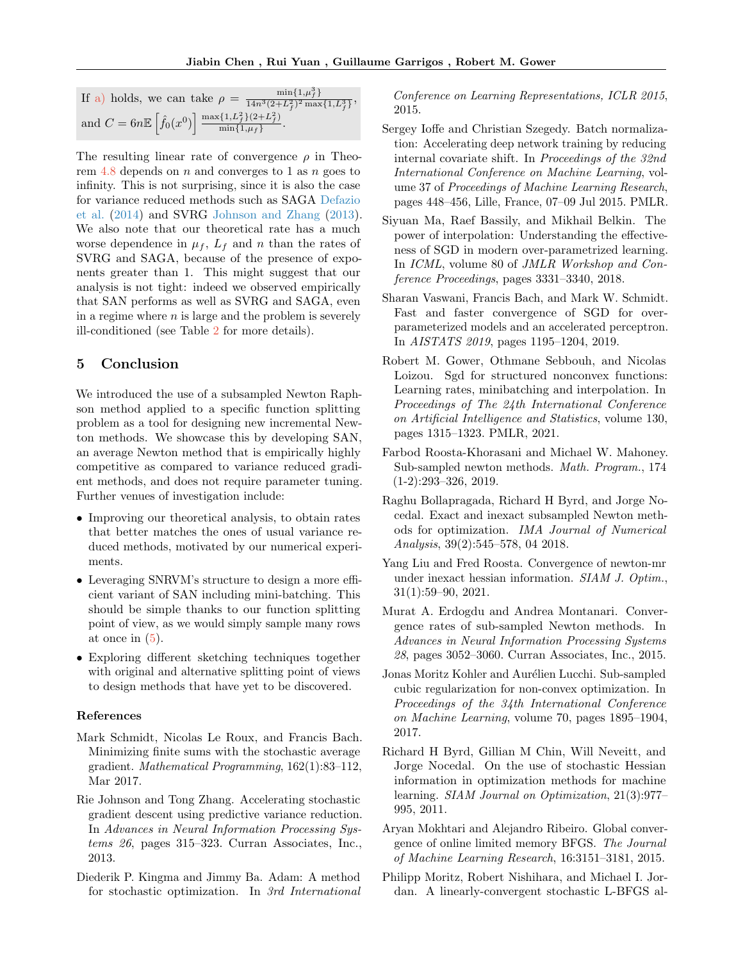| If a) holds, we can take $\rho = \frac{\min\{1, \mu_f\}}{14n^3(2+L_f^2)^2 \max\{1, L_f^3\}},$                |
|--------------------------------------------------------------------------------------------------------------|
| and $C = 6n \mathbb{E} \left[ \hat{f}_0(x^0) \right] \frac{\max\{1, L_f^2\}(2 + L_f^2)}{\min\{1, \mu_f\}}$ . |

The resulting linear rate of convergence  $\rho$  in Theorem  $4.8$  depends on n and converges to 1 as n goes to infinity. This is not surprising, since it is also the case for variance reduced methods such as SAGA [Defazio](#page-9-15) [et al.](#page-9-15) [\(2014\)](#page-9-15) and SVRG [Johnson and Zhang](#page-8-1) [\(2013\)](#page-8-1). We also note that our theoretical rate has a much worse dependence in  $\mu_f$ ,  $L_f$  and n than the rates of SVRG and SAGA, because of the presence of exponents greater than 1. This might suggest that our analysis is not tight: indeed we observed empirically that SAN performs as well as SVRG and SAGA, even in a regime where  $n$  is large and the problem is severely ill-conditioned (see Table [2](#page-21-0) for more details).

# 5 Conclusion

We introduced the use of a subsampled Newton Raphson method applied to a specific function splitting problem as a tool for designing new incremental Newton methods. We showcase this by developing SAN, an average Newton method that is empirically highly competitive as compared to variance reduced gradient methods, and does not require parameter tuning. Further venues of investigation include:

- Improving our theoretical analysis, to obtain rates that better matches the ones of usual variance reduced methods, motivated by our numerical experiments.
- Leveraging SNRVM's structure to design a more efficient variant of SAN including mini-batching. This should be simple thanks to our function splitting point of view, as we would simply sample many rows at once in  $(5)$ .
- Exploring different sketching techniques together with original and alternative splitting point of views to design methods that have yet to be discovered.

#### References

- <span id="page-8-0"></span>Mark Schmidt, Nicolas Le Roux, and Francis Bach. Minimizing finite sums with the stochastic average gradient. Mathematical Programming, 162(1):83–112, Mar 2017.
- <span id="page-8-1"></span>Rie Johnson and Tong Zhang. Accelerating stochastic gradient descent using predictive variance reduction. In Advances in Neural Information Processing Systems 26, pages 315–323. Curran Associates, Inc., 2013.
- <span id="page-8-2"></span>Diederik P. Kingma and Jimmy Ba. Adam: A method for stochastic optimization. In 3rd International

Conference on Learning Representations, ICLR 2015, 2015.

- <span id="page-8-3"></span>Sergey Ioffe and Christian Szegedy. Batch normalization: Accelerating deep network training by reducing internal covariate shift. In Proceedings of the 32nd International Conference on Machine Learning, volume 37 of Proceedings of Machine Learning Research, pages 448–456, Lille, France, 07–09 Jul 2015. PMLR.
- <span id="page-8-4"></span>Siyuan Ma, Raef Bassily, and Mikhail Belkin. The power of interpolation: Understanding the effectiveness of SGD in modern over-parametrized learning. In *ICML*, volume 80 of *JMLR Workshop and Con*ference Proceedings, pages 3331–3340, 2018.
- <span id="page-8-5"></span>Sharan Vaswani, Francis Bach, and Mark W. Schmidt. Fast and faster convergence of SGD for overparameterized models and an accelerated perceptron. In AISTATS 2019, pages 1195–1204, 2019.
- <span id="page-8-6"></span>Robert M. Gower, Othmane Sebbouh, and Nicolas Loizou. Sgd for structured nonconvex functions: Learning rates, minibatching and interpolation. In Proceedings of The 24th International Conference on Artificial Intelligence and Statistics, volume 130, pages 1315–1323. PMLR, 2021.
- <span id="page-8-7"></span>Farbod Roosta-Khorasani and Michael W. Mahoney. Sub-sampled newton methods. Math. Program., 174 (1-2):293–326, 2019.
- <span id="page-8-8"></span>Raghu Bollapragada, Richard H Byrd, and Jorge Nocedal. Exact and inexact subsampled Newton methods for optimization. IMA Journal of Numerical Analysis, 39(2):545–578, 04 2018.
- <span id="page-8-9"></span>Yang Liu and Fred Roosta. Convergence of newton-mr under inexact hessian information. SIAM J. Optim., 31(1):59–90, 2021.
- <span id="page-8-10"></span>Murat A. Erdogdu and Andrea Montanari. Convergence rates of sub-sampled Newton methods. In Advances in Neural Information Processing Systems 28, pages 3052–3060. Curran Associates, Inc., 2015.
- <span id="page-8-11"></span>Jonas Moritz Kohler and Aurélien Lucchi. Sub-sampled cubic regularization for non-convex optimization. In Proceedings of the 34th International Conference on Machine Learning, volume 70, pages 1895–1904, 2017.
- <span id="page-8-12"></span>Richard H Byrd, Gillian M Chin, Will Neveitt, and Jorge Nocedal. On the use of stochastic Hessian information in optimization methods for machine learning. SIAM Journal on Optimization, 21(3):977– 995, 2011.
- <span id="page-8-13"></span>Aryan Mokhtari and Alejandro Ribeiro. Global convergence of online limited memory BFGS. The Journal of Machine Learning Research, 16:3151–3181, 2015.
- <span id="page-8-14"></span>Philipp Moritz, Robert Nishihara, and Michael I. Jordan. A linearly-convergent stochastic L-BFGS al-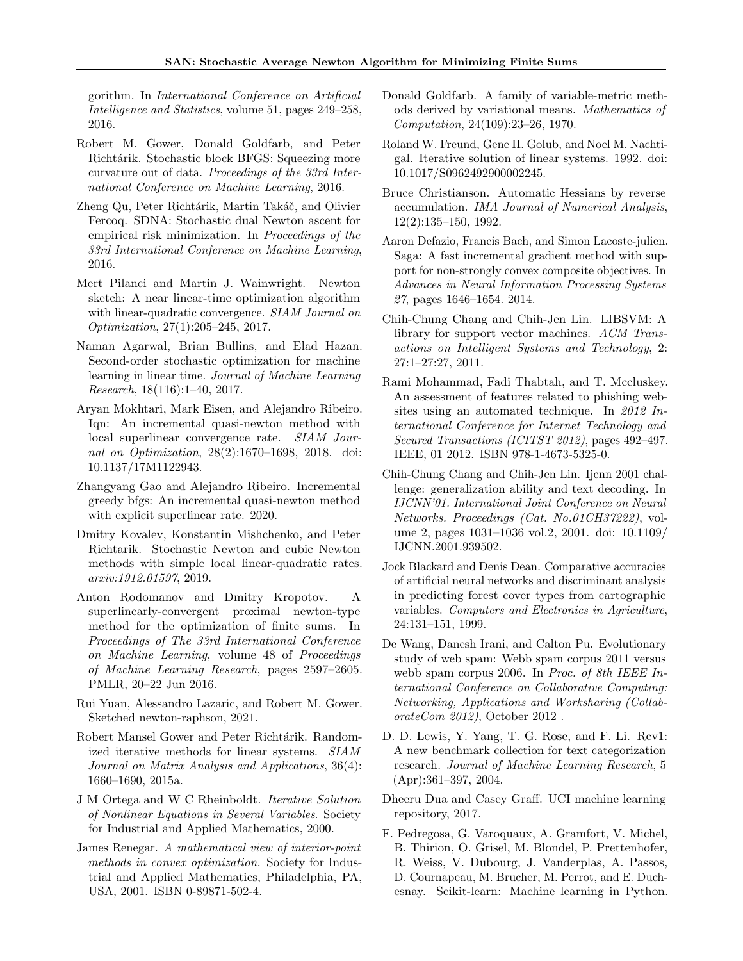gorithm. In International Conference on Artificial Intelligence and Statistics, volume 51, pages 249–258, 2016.

- <span id="page-9-0"></span>Robert M. Gower, Donald Goldfarb, and Peter Richtárik. Stochastic block BFGS: Squeezing more curvature out of data. Proceedings of the 33rd International Conference on Machine Learning, 2016.
- <span id="page-9-1"></span>Zheng Qu, Peter Richtárik, Martin Takáč, and Olivier Fercoq. SDNA: Stochastic dual Newton ascent for empirical risk minimization. In Proceedings of the 33rd International Conference on Machine Learning, 2016.
- <span id="page-9-2"></span>Mert Pilanci and Martin J. Wainwright. Newton sketch: A near linear-time optimization algorithm with linear-quadratic convergence. SIAM Journal on Optimization, 27(1):205–245, 2017.
- <span id="page-9-3"></span>Naman Agarwal, Brian Bullins, and Elad Hazan. Second-order stochastic optimization for machine learning in linear time. Journal of Machine Learning Research, 18(116):1–40, 2017.
- <span id="page-9-4"></span>Aryan Mokhtari, Mark Eisen, and Alejandro Ribeiro. Iqn: An incremental quasi-newton method with local superlinear convergence rate. SIAM Journal on Optimization, 28(2):1670–1698, 2018. doi: 10.1137/17M1122943.
- <span id="page-9-5"></span>Zhangyang Gao and Alejandro Ribeiro. Incremental greedy bfgs: An incremental quasi-newton method with explicit superlinear rate. 2020.
- <span id="page-9-6"></span>Dmitry Kovalev, Konstantin Mishchenko, and Peter Richtarik. Stochastic Newton and cubic Newton methods with simple local linear-quadratic rates. arxiv:1912.01597, 2019.
- <span id="page-9-7"></span>Anton Rodomanov and Dmitry Kropotov. A superlinearly-convergent proximal newton-type method for the optimization of finite sums. In Proceedings of The 33rd International Conference on Machine Learning, volume 48 of Proceedings of Machine Learning Research, pages 2597–2605. PMLR, 20–22 Jun 2016.
- <span id="page-9-8"></span>Rui Yuan, Alessandro Lazaric, and Robert M. Gower. Sketched newton-raphson, 2021.
- <span id="page-9-9"></span>Robert Mansel Gower and Peter Richtárik. Randomized iterative methods for linear systems. SIAM Journal on Matrix Analysis and Applications, 36(4): 1660–1690, 2015a.
- <span id="page-9-10"></span>J M Ortega and W C Rheinboldt. Iterative Solution of Nonlinear Equations in Several Variables. Society for Industrial and Applied Mathematics, 2000.
- <span id="page-9-11"></span>James Renegar. A mathematical view of interior-point methods in convex optimization. Society for Industrial and Applied Mathematics, Philadelphia, PA, USA, 2001. ISBN 0-89871-502-4.
- <span id="page-9-12"></span>Donald Goldfarb. A family of variable-metric methods derived by variational means. Mathematics of Computation, 24(109):23–26, 1970.
- <span id="page-9-13"></span>Roland W. Freund, Gene H. Golub, and Noel M. Nachtigal. Iterative solution of linear systems. 1992. doi: 10.1017/S0962492900002245.
- <span id="page-9-14"></span>Bruce Christianson. Automatic Hessians by reverse accumulation. IMA Journal of Numerical Analysis, 12(2):135–150, 1992.
- <span id="page-9-15"></span>Aaron Defazio, Francis Bach, and Simon Lacoste-julien. Saga: A fast incremental gradient method with support for non-strongly convex composite objectives. In Advances in Neural Information Processing Systems 27, pages 1646–1654. 2014.
- <span id="page-9-16"></span>Chih-Chung Chang and Chih-Jen Lin. LIBSVM: A library for support vector machines. ACM Transactions on Intelligent Systems and Technology, 2: 27:1–27:27, 2011.
- <span id="page-9-18"></span>Rami Mohammad, Fadi Thabtah, and T. Mccluskey. An assessment of features related to phishing websites using an automated technique. In 2012 International Conference for Internet Technology and Secured Transactions (ICITST 2012), pages 492–497. IEEE, 01 2012. ISBN 978-1-4673-5325-0.
- <span id="page-9-19"></span>Chih-Chung Chang and Chih-Jen Lin. Ijcnn 2001 challenge: generalization ability and text decoding. In IJCNN'01. International Joint Conference on Neural Networks. Proceedings (Cat. No.01CH37222), volume 2, pages 1031–1036 vol.2, 2001. doi: 10.1109/ IJCNN.2001.939502.
- <span id="page-9-20"></span>Jock Blackard and Denis Dean. Comparative accuracies of artificial neural networks and discriminant analysis in predicting forest cover types from cartographic variables. Computers and Electronics in Agriculture, 24:131–151, 1999.
- <span id="page-9-21"></span>De Wang, Danesh Irani, and Calton Pu. Evolutionary study of web spam: Webb spam corpus 2011 versus webb spam corpus 2006. In Proc. of 8th IEEE International Conference on Collaborative Computing: Networking, Applications and Worksharing (CollaborateCom 2012), October 2012 .
- <span id="page-9-22"></span>D. D. Lewis, Y. Yang, T. G. Rose, and F. Li. Rcv1: A new benchmark collection for text categorization research. Journal of Machine Learning Research, 5 (Apr):361–397, 2004.
- <span id="page-9-23"></span>Dheeru Dua and Casey Graff. UCI machine learning repository, 2017.
- <span id="page-9-17"></span>F. Pedregosa, G. Varoquaux, A. Gramfort, V. Michel, B. Thirion, O. Grisel, M. Blondel, P. Prettenhofer, R. Weiss, V. Dubourg, J. Vanderplas, A. Passos, D. Cournapeau, M. Brucher, M. Perrot, and E. Duchesnay. Scikit-learn: Machine learning in Python.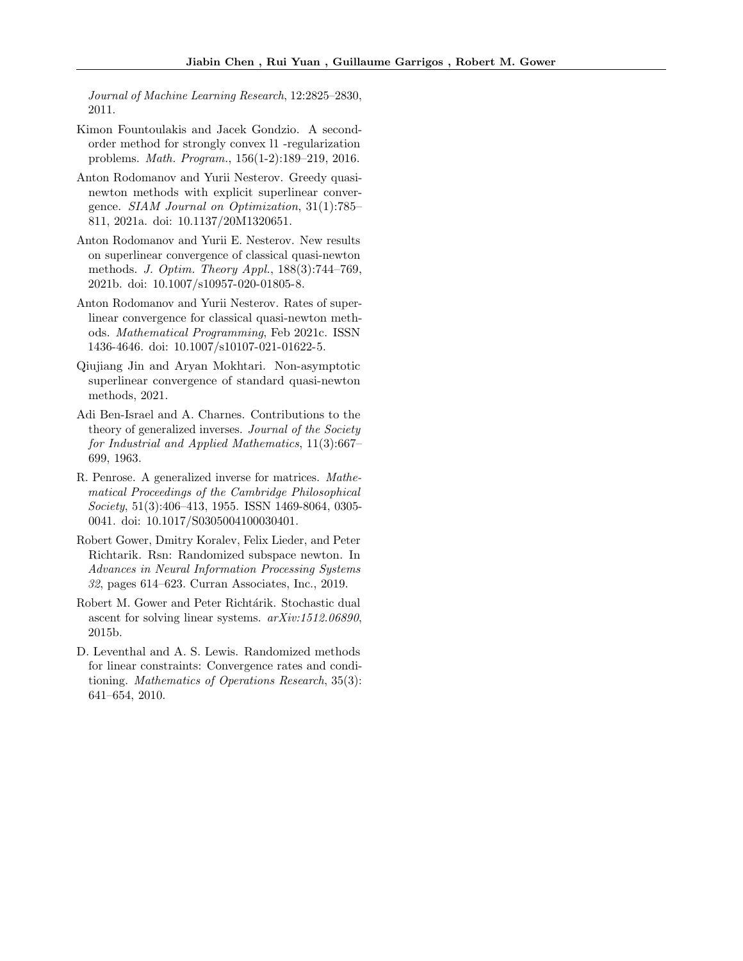Journal of Machine Learning Research, 12:2825–2830, 2011.

- <span id="page-10-0"></span>Kimon Fountoulakis and Jacek Gondzio. A secondorder method for strongly convex l1 -regularization problems. Math. Program., 156(1-2):189–219, 2016.
- <span id="page-10-1"></span>Anton Rodomanov and Yurii Nesterov. Greedy quasinewton methods with explicit superlinear convergence. SIAM Journal on Optimization, 31(1):785– 811, 2021a. doi: 10.1137/20M1320651.
- <span id="page-10-2"></span>Anton Rodomanov and Yurii E. Nesterov. New results on superlinear convergence of classical quasi-newton methods. J. Optim. Theory Appl., 188(3):744–769, 2021b. doi: 10.1007/s10957-020-01805-8.
- <span id="page-10-3"></span>Anton Rodomanov and Yurii Nesterov. Rates of superlinear convergence for classical quasi-newton methods. Mathematical Programming, Feb 2021c. ISSN 1436-4646. doi: 10.1007/s10107-021-01622-5.
- <span id="page-10-4"></span>Qiujiang Jin and Aryan Mokhtari. Non-asymptotic superlinear convergence of standard quasi-newton methods, 2021.
- <span id="page-10-5"></span>Adi Ben-Israel and A. Charnes. Contributions to the theory of generalized inverses. Journal of the Society for Industrial and Applied Mathematics, 11(3):667– 699, 1963.
- <span id="page-10-6"></span>R. Penrose. A generalized inverse for matrices. Mathematical Proceedings of the Cambridge Philosophical Society, 51(3):406–413, 1955. ISSN 1469-8064, 0305- 0041. doi: 10.1017/S0305004100030401.
- <span id="page-10-7"></span>Robert Gower, Dmitry Koralev, Felix Lieder, and Peter Richtarik. Rsn: Randomized subspace newton. In Advances in Neural Information Processing Systems 32, pages 614–623. Curran Associates, Inc., 2019.
- <span id="page-10-8"></span>Robert M. Gower and Peter Richtárik. Stochastic dual ascent for solving linear systems. arXiv:1512.06890, 2015b.
- <span id="page-10-9"></span>D. Leventhal and A. S. Lewis. Randomized methods for linear constraints: Convergence rates and conditioning. Mathematics of Operations Research, 35(3): 641–654, 2010.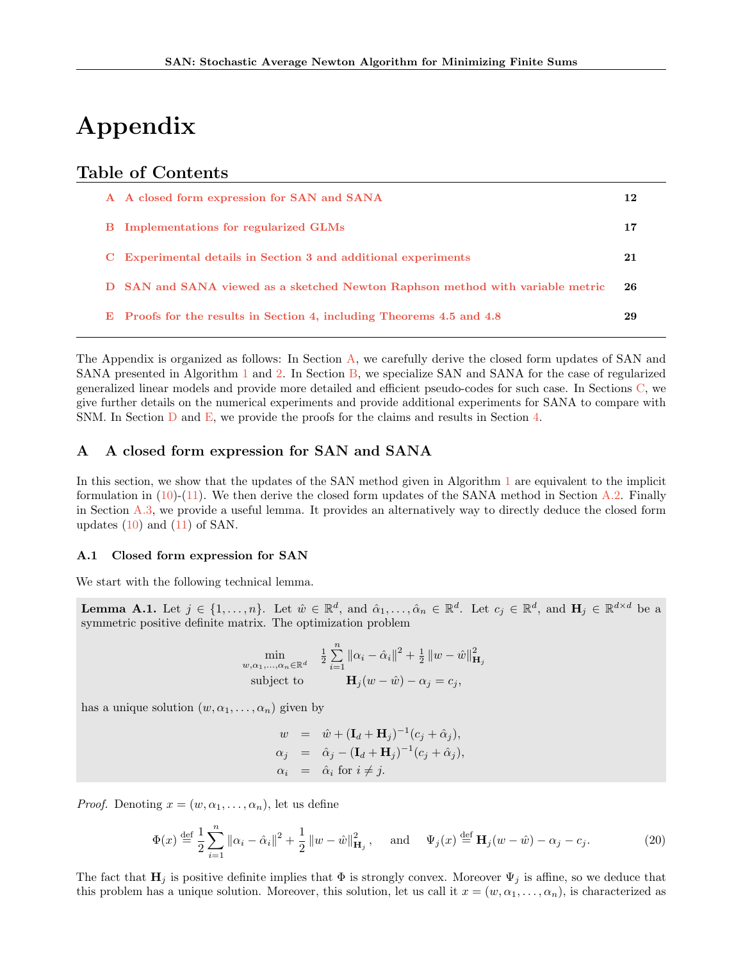# Appendix

# Table of Contents

| A A closed form expression for SAN and SANA                                    | 12 |
|--------------------------------------------------------------------------------|----|
| <b>B</b> Implementations for regularized GLMs                                  | 17 |
| C Experimental details in Section 3 and additional experiments                 | 21 |
| D SAN and SANA viewed as a sketched Newton Raphson method with variable metric | 26 |
| E Proofs for the results in Section 4, including Theorems 4.5 and 4.8          | 29 |

The Appendix is organized as follows: In Section [A,](#page-11-0) we carefully derive the closed form updates of SAN and SANA presented in Algorithm [1](#page-3-2) and [2.](#page-3-8) In Section [B,](#page-16-0) we specialize SAN and SANA for the case of regularized generalized linear models and provide more detailed and efficient pseudo-codes for such case. In Sections [C,](#page-20-1) we give further details on the numerical experiments and provide additional experiments for SANA to compare with SNM. In Section [D](#page-25-1) and [E,](#page-28-0) we provide the proofs for the claims and results in Section [4.](#page-6-1)

# <span id="page-11-0"></span>A A closed form expression for SAN and SANA

In this section, we show that the updates of the SAN method given in Algorithm [1](#page-3-2) are equivalent to the implicit formulation in  $(10)-(11)$  $(10)-(11)$  $(10)-(11)$ . We then derive the closed form updates of the SANA method in Section [A.2.](#page-13-0) Finally in Section [A.3,](#page-15-1) we provide a useful lemma. It provides an alternatively way to directly deduce the closed form updates  $(10)$  and  $(11)$  of SAN.

#### <span id="page-11-3"></span>A.1 Closed form expression for SAN

We start with the following technical lemma.

<span id="page-11-1"></span>**Lemma A.1.** Let  $j \in \{1, ..., n\}$ . Let  $\hat{w} \in \mathbb{R}^d$ , and  $\hat{\alpha}_1, \dots, \hat{\alpha}_n \in \mathbb{R}^d$ . Let  $c_j \in \mathbb{R}^d$ , and  $\mathbf{H}_j \in \mathbb{R}^{d \times d}$  be a symmetric positive definite matrix. The optimization problem

$$
\min_{\substack{w,\alpha_1,\ldots,\alpha_n \in \mathbb{R}^d}} \quad \frac{1}{2} \sum_{i=1}^n \|\alpha_i - \hat{\alpha}_i\|^2 + \frac{1}{2} \left\|w - \hat{w}\right\|_{\mathbf{H}_j}^2
$$
\nsubject to\n
$$
\mathbf{H}_j(w - \hat{w}) - \alpha_j = c_j,
$$

has a unique solution  $(w, \alpha_1, \ldots, \alpha_n)$  given by

$$
w = \hat{w} + (\mathbf{I}_d + \mathbf{H}_j)^{-1} (c_j + \hat{\alpha}_j),
$$
  
\n
$$
\alpha_j = \hat{\alpha}_j - (\mathbf{I}_d + \mathbf{H}_j)^{-1} (c_j + \hat{\alpha}_j),
$$
  
\n
$$
\alpha_i = \hat{\alpha}_i \text{ for } i \neq j.
$$

*Proof.* Denoting  $x = (w, \alpha_1, \ldots, \alpha_n)$ , let us define

<span id="page-11-2"></span>
$$
\Phi(x) \stackrel{\text{def}}{=} \frac{1}{2} \sum_{i=1}^{n} ||\alpha_i - \hat{\alpha}_i||^2 + \frac{1}{2} ||w - \hat{w}||_{\mathbf{H}_j}^2, \quad \text{and} \quad \Psi_j(x) \stackrel{\text{def}}{=} \mathbf{H}_j(w - \hat{w}) - \alpha_j - c_j.
$$
 (20)

The fact that  $\mathbf{H}_j$  is positive definite implies that  $\Phi$  is strongly convex. Moreover  $\Psi_j$  is affine, so we deduce that this problem has a unique solution. Moreover, this solution, let us call it  $x = (w, \alpha_1, \ldots, \alpha_n)$ , is characterized as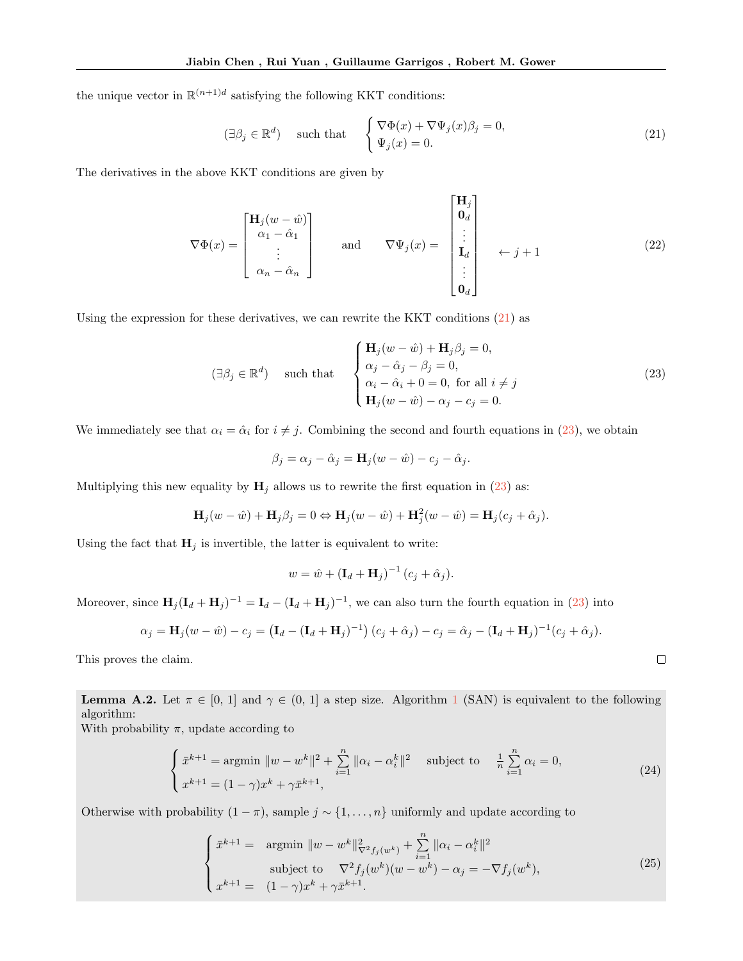the unique vector in  $\mathbb{R}^{(n+1)d}$  satisfying the following KKT conditions:

<span id="page-12-1"></span>
$$
(\exists \beta_j \in \mathbb{R}^d) \quad \text{such that} \quad \begin{cases} \nabla \Phi(x) + \nabla \Psi_j(x) \beta_j = 0, \\ \Psi_j(x) = 0. \end{cases} \tag{21}
$$

The derivatives in the above KKT conditions are given by

<span id="page-12-5"></span>
$$
\nabla \Phi(x) = \begin{bmatrix} \mathbf{H}_j(w - \hat{w}) \\ \alpha_1 - \hat{\alpha}_1 \\ \vdots \\ \alpha_n - \hat{\alpha}_n \end{bmatrix} \quad \text{and} \quad \nabla \Psi_j(x) = \begin{bmatrix} \mathbf{H}_j \\ \mathbf{0}_d \\ \vdots \\ \mathbf{I}_d \\ \vdots \\ \mathbf{0}_d \end{bmatrix} \quad \leftarrow j + 1 \tag{22}
$$

Using the expression for these derivatives, we can rewrite the KKT conditions [\(21\)](#page-12-1) as

<span id="page-12-2"></span>
$$
(\exists \beta_j \in \mathbb{R}^d) \quad \text{such that} \quad \begin{cases} \mathbf{H}_j(w - \hat{w}) + \mathbf{H}_j \beta_j = 0, \\ \alpha_j - \hat{\alpha}_j - \beta_j = 0, \\ \alpha_i - \hat{\alpha}_i + 0 = 0, \text{ for all } i \neq j \\ \mathbf{H}_j(w - \hat{w}) - \alpha_j - c_j = 0. \end{cases} \tag{23}
$$

We immediately see that  $\alpha_i = \hat{\alpha}_i$  for  $i \neq j$ . Combining the second and fourth equations in [\(23\)](#page-12-2), we obtain

$$
\beta_j = \alpha_j - \hat{\alpha}_j = \mathbf{H}_j(w - \hat{w}) - c_j - \hat{\alpha}_j.
$$

Multiplying this new equality by  $H_i$  allows us to rewrite the first equation in [\(23\)](#page-12-2) as:

$$
\mathbf{H}_j(w - \hat{w}) + \mathbf{H}_j \beta_j = 0 \Leftrightarrow \mathbf{H}_j(w - \hat{w}) + \mathbf{H}_j^2(w - \hat{w}) = \mathbf{H}_j(c_j + \hat{\alpha}_j).
$$

Using the fact that  $H_j$  is invertible, the latter is equivalent to write:

$$
w = \hat{w} + (\mathbf{I}_d + \mathbf{H}_j)^{-1} (c_j + \hat{\alpha}_j).
$$

Moreover, since  $H_j (I_d + H_j)^{-1} = I_d - (I_d + H_j)^{-1}$ , we can also turn the fourth equation in [\(23\)](#page-12-2) into

$$
\alpha_j = \mathbf{H}_j(w - \hat{w}) - c_j = (\mathbf{I}_d - (\mathbf{I}_d + \mathbf{H}_j)^{-1}) (c_j + \hat{\alpha}_j) - c_j = \hat{\alpha}_j - (\mathbf{I}_d + \mathbf{H}_j)^{-1} (c_j + \hat{\alpha}_j).
$$

This proves the claim.

<span id="page-12-0"></span>**Lemma A.2.** Let  $\pi \in [0, 1]$  $\pi \in [0, 1]$  $\pi \in [0, 1]$  and  $\gamma \in (0, 1]$  a step size. Algorithm 1 (SAN) is equivalent to the following algorithm:

With probability  $\pi$ , update according to

<span id="page-12-3"></span>
$$
\begin{cases} \bar{x}^{k+1} = \text{argmin } \|w - w^k\|^2 + \sum_{i=1}^n \|\alpha_i - \alpha_i^k\|^2 & \text{subject to} \quad \frac{1}{n} \sum_{i=1}^n \alpha_i = 0, \\ x^{k+1} = (1 - \gamma)x^k + \gamma \bar{x}^{k+1}, \end{cases} \tag{24}
$$

 $\Box$ 

Otherwise with probability  $(1 - \pi)$ , sample  $j \sim \{1, ..., n\}$  uniformly and update according to

<span id="page-12-4"></span>
$$
\begin{cases}\n\bar{x}^{k+1} = \underset{\text{subject to}}{\text{argmin}} \ \|w - w^k\|_{\nabla^2 f_j(w^k)}^2 + \sum_{i=1}^n \|\alpha_i - \alpha_i^k\|^2 \\
\text{subject to}} \ \nabla^2 f_j(w^k)(w - w^k) - \alpha_j = -\nabla f_j(w^k), \\
x^{k+1} = (1 - \gamma)x^k + \gamma \bar{x}^{k+1}.\n\end{cases} \tag{25}
$$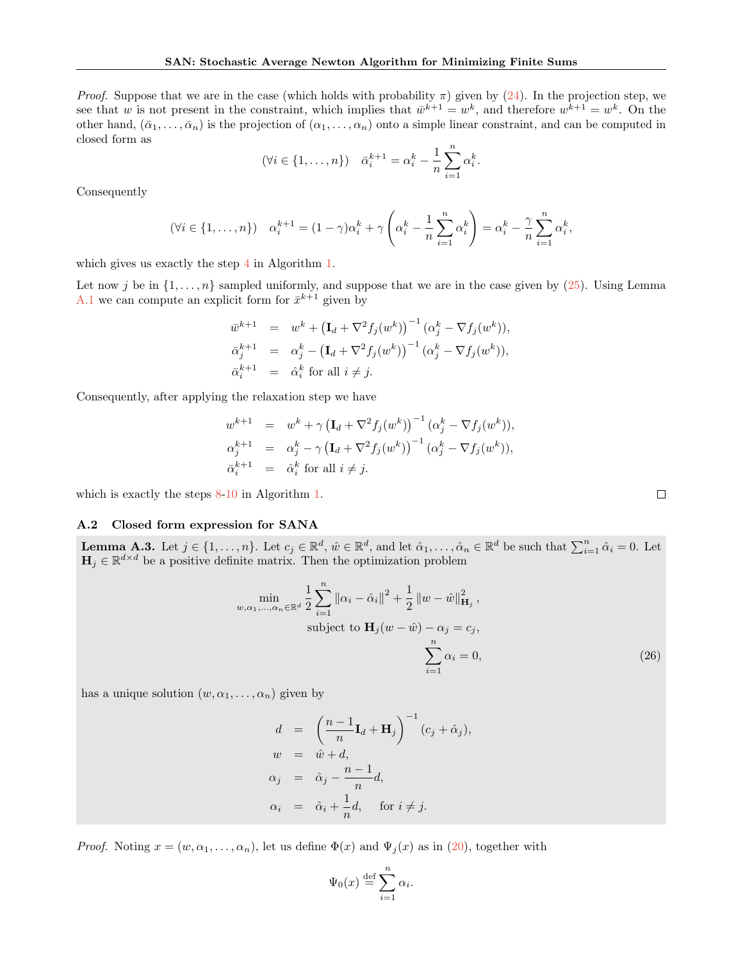*Proof.* Suppose that we are in the case (which holds with probability  $\pi$ ) given by [\(24\)](#page-12-3). In the projection step, we see that w is not present in the constraint, which implies that  $\bar{w}^{k+1} = w^k$ , and therefore  $w^{k+1} = w^k$ . On the other hand,  $(\bar{\alpha}_1, \ldots, \bar{\alpha}_n)$  is the projection of  $(\alpha_1, \ldots, \alpha_n)$  onto a simple linear constraint, and can be computed in closed form as

$$
(\forall i \in \{1, ..., n\})
$$
  $\bar{\alpha}_i^{k+1} = \alpha_i^k - \frac{1}{n} \sum_{i=1}^n \alpha_i^k$ .

Consequently

$$
(\forall i \in \{1, \ldots, n\}) \quad \alpha_i^{k+1} = (1 - \gamma)\alpha_i^k + \gamma \left(\alpha_i^k - \frac{1}{n} \sum_{i=1}^n \alpha_i^k\right) = \alpha_i^k - \frac{\gamma}{n} \sum_{i=1}^n \alpha_i^k,
$$

which gives us exactly the step [4](#page-3-1) in Algorithm [1.](#page-3-2)

Let now j be in  $\{1,\ldots,n\}$  sampled uniformly, and suppose that we are in the case given by  $(25)$ . Using Lemma [A.1](#page-11-1) we can compute an explicit form for  $\bar{x}^{k+1}$  given by

$$
\bar{w}^{k+1} = w^k + (\mathbf{I}_d + \nabla^2 f_j(w^k))^{-1} (\alpha_j^k - \nabla f_j(w^k)),
$$
  
\n
$$
\bar{\alpha}_j^{k+1} = \alpha_j^k - (\mathbf{I}_d + \nabla^2 f_j(w^k))^{-1} (\alpha_j^k - \nabla f_j(w^k)),
$$
  
\n
$$
\bar{\alpha}_i^{k+1} = \hat{\alpha}_i^k \text{ for all } i \neq j.
$$

Consequently, after applying the relaxation step we have

$$
w^{k+1} = w^k + \gamma \left(\mathbf{I}_d + \nabla^2 f_j(w^k)\right)^{-1} (\alpha_j^k - \nabla f_j(w^k)),
$$
  
\n
$$
\alpha_j^{k+1} = \alpha_j^k - \gamma \left(\mathbf{I}_d + \nabla^2 f_j(w^k)\right)^{-1} (\alpha_j^k - \nabla f_j(w^k)),
$$
  
\n
$$
\bar{\alpha}_i^{k+1} = \hat{\alpha}_i^k \text{ for all } i \neq j.
$$

which is exactly the steps  $8-10$  $8-10$  in Algorithm [1.](#page-3-2)

## <span id="page-13-0"></span>A.2 Closed form expression for SANA

<span id="page-13-1"></span>**Lemma A.3.** Let  $j \in \{1, ..., n\}$ . Let  $c_j \in \mathbb{R}^d$ ,  $\hat{w} \in \mathbb{R}^d$ , and let  $\hat{\alpha}_1, ..., \hat{\alpha}_n \in \mathbb{R}^d$  be such that  $\sum_{i=1}^n \hat{\alpha}_i = 0$ . Let  $\mathbf{H}_j \in \mathbb{R}^{d \times d}$  be a positive definite matrix. Then the optimization problem

$$
\min_{w, \alpha_1, ..., \alpha_n \in \mathbb{R}^d} \frac{1}{2} \sum_{i=1}^n ||\alpha_i - \hat{\alpha}_i||^2 + \frac{1}{2} ||w - \hat{w}||_{\mathbf{H}_j}^2,
$$
\nsubject to  $\mathbf{H}_j(w - \hat{w}) - \alpha_j = c_j,$ \n
$$
\sum_{i=1}^n \alpha_i = 0,
$$
\n(26)

has a unique solution  $(w, \alpha_1, \ldots, \alpha_n)$  given by

$$
d = \left(\frac{n-1}{n}\mathbf{I}_d + \mathbf{H}_j\right)^{-1} (c_j + \hat{\alpha}_j),
$$
  
\n
$$
w = \hat{w} + d,
$$
  
\n
$$
\alpha_j = \hat{\alpha}_j - \frac{n-1}{n}d,
$$
  
\n
$$
\alpha_i = \hat{\alpha}_i + \frac{1}{n}d, \quad \text{for } i \neq j.
$$

*Proof.* Noting  $x = (w, \alpha_1, \ldots, \alpha_n)$ , let us define  $\Phi(x)$  and  $\Psi_i(x)$  as in [\(20\)](#page-11-2), together with

$$
\Psi_0(x) \stackrel{\text{def}}{=} \sum_{i=1}^n \alpha_i.
$$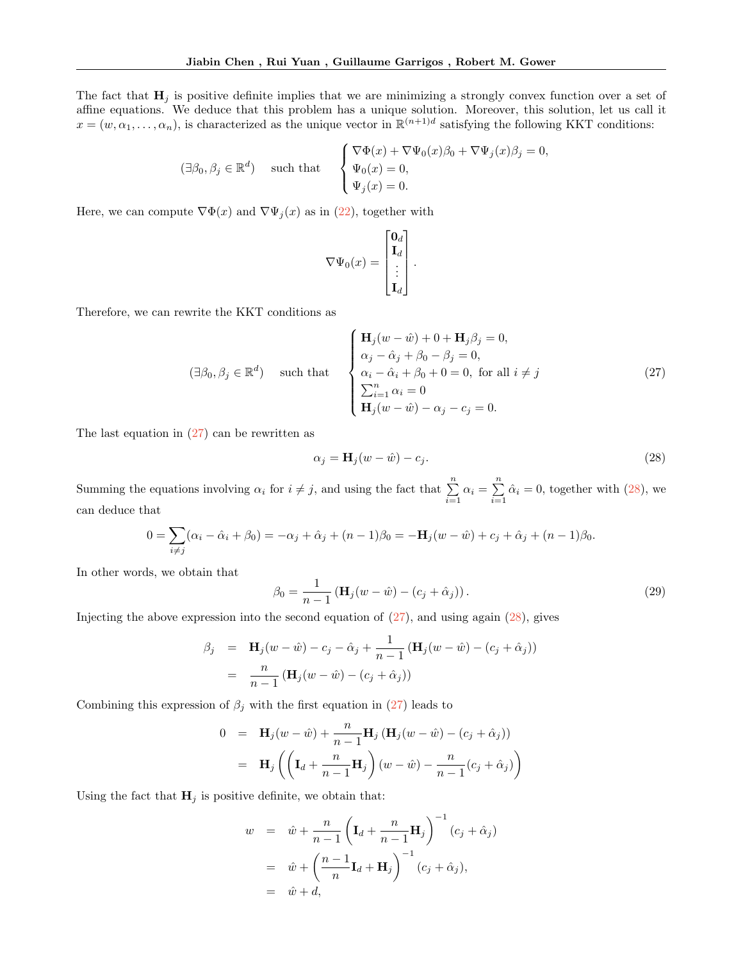The fact that  $H_j$  is positive definite implies that we are minimizing a strongly convex function over a set of affine equations. We deduce that this problem has a unique solution. Moreover, this solution, let us call it  $x = (w, \alpha_1, \dots, \alpha_n)$ , is characterized as the unique vector in  $\mathbb{R}^{(n+1)d}$  satisfying the following KKT conditions:

$$
(\exists \beta_0, \beta_j \in \mathbb{R}^d) \quad \text{ such that } \quad \begin{cases} \nabla \Phi(x) + \nabla \Psi_0(x)\beta_0 + \nabla \Psi_j(x)\beta_j = 0, \\ \Psi_0(x) = 0, \\ \Psi_j(x) = 0. \end{cases}
$$

Here, we can compute  $\nabla \Phi(x)$  and  $\nabla \Psi_j(x)$  as in [\(22\)](#page-12-5), together with

$$
\nabla \Psi_0(x) = \begin{bmatrix} \mathbf{0}_d \\ \mathbf{I}_d \\ \vdots \\ \mathbf{I}_d \end{bmatrix}.
$$

Therefore, we can rewrite the KKT conditions as

<span id="page-14-0"></span>
$$
(\exists \beta_0, \beta_j \in \mathbb{R}^d) \quad \text{such that} \quad \begin{cases} \mathbf{H}_j(w - \hat{w}) + 0 + \mathbf{H}_j \beta_j = 0, \\ \alpha_j - \hat{\alpha}_j + \beta_0 - \beta_j = 0, \\ \alpha_i - \hat{\alpha}_i + \beta_0 + 0 = 0, \text{ for all } i \neq j \\ \sum_{i=1}^n \alpha_i = 0 \\ \mathbf{H}_j(w - \hat{w}) - \alpha_j - c_j = 0. \end{cases} \tag{27}
$$

The last equation in  $(27)$  can be rewritten as

<span id="page-14-1"></span>
$$
\alpha_j = \mathbf{H}_j(w - \hat{w}) - c_j. \tag{28}
$$

Summing the equations involving  $\alpha_i$  for  $i \neq j$ , and using the fact that  $\sum_{i=1}^{n} \alpha_i = \sum_{i=1}^{n}$  $\sum_{i=1} \hat{\alpha}_i = 0$ , together with [\(28\)](#page-14-1), we can deduce that

$$
0 = \sum_{i \neq j} (\alpha_i - \hat{\alpha}_i + \beta_0) = -\alpha_j + \hat{\alpha}_j + (n-1)\beta_0 = -\mathbf{H}_j(w - \hat{w}) + c_j + \hat{\alpha}_j + (n-1)\beta_0.
$$

In other words, we obtain that

$$
\beta_0 = \frac{1}{n-1} \left( \mathbf{H}_j(w - \hat{w}) - (c_j + \hat{\alpha}_j) \right). \tag{29}
$$

Injecting the above expression into the second equation of  $(27)$ , and using again  $(28)$ , gives

$$
\beta_j = \mathbf{H}_j(w - \hat{w}) - c_j - \hat{\alpha}_j + \frac{1}{n-1} (\mathbf{H}_j(w - \hat{w}) - (c_j + \hat{\alpha}_j))
$$
  
= 
$$
\frac{n}{n-1} (\mathbf{H}_j(w - \hat{w}) - (c_j + \hat{\alpha}_j))
$$

Combining this expression of  $\beta_j$  with the first equation in [\(27\)](#page-14-0) leads to

$$
0 = \mathbf{H}_j(w - \hat{w}) + \frac{n}{n-1} \mathbf{H}_j (\mathbf{H}_j(w - \hat{w}) - (c_j + \hat{\alpha}_j))
$$
  

$$
= \mathbf{H}_j \left( \left( \mathbf{I}_d + \frac{n}{n-1} \mathbf{H}_j \right) (w - \hat{w}) - \frac{n}{n-1} (c_j + \hat{\alpha}_j) \right)
$$

Using the fact that  $H_j$  is positive definite, we obtain that:

$$
w = \hat{w} + \frac{n}{n-1} \left( \mathbf{I}_d + \frac{n}{n-1} \mathbf{H}_j \right)^{-1} (c_j + \hat{\alpha}_j)
$$
  
=  $\hat{w} + \left( \frac{n-1}{n} \mathbf{I}_d + \mathbf{H}_j \right)^{-1} (c_j + \hat{\alpha}_j),$   
=  $\hat{w} + d,$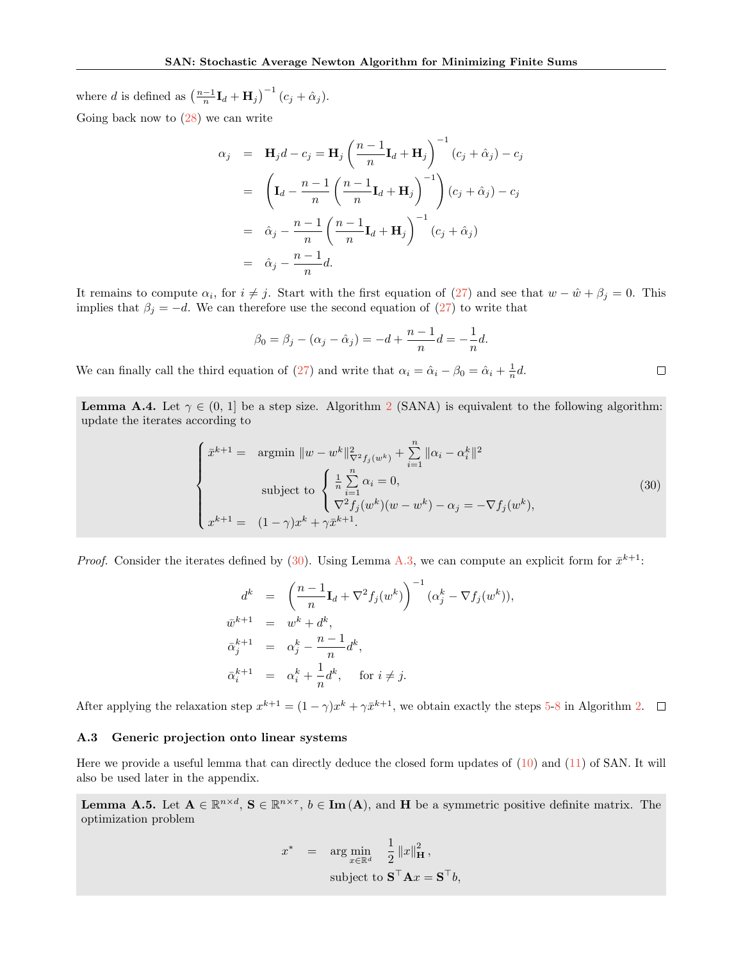where *d* is defined as  $\left(\frac{n-1}{n}\mathbf{I}_d + \mathbf{H}_j\right)^{-1} (c_j + \hat{\alpha}_j)$ .

Going back now to  $(28)$  we can write

$$
\alpha_j = \mathbf{H}_j d - c_j = \mathbf{H}_j \left( \frac{n-1}{n} \mathbf{I}_d + \mathbf{H}_j \right)^{-1} (c_j + \hat{\alpha}_j) - c_j
$$
  
\n
$$
= \left( \mathbf{I}_d - \frac{n-1}{n} \left( \frac{n-1}{n} \mathbf{I}_d + \mathbf{H}_j \right)^{-1} \right) (c_j + \hat{\alpha}_j) - c_j
$$
  
\n
$$
= \hat{\alpha}_j - \frac{n-1}{n} \left( \frac{n-1}{n} \mathbf{I}_d + \mathbf{H}_j \right)^{-1} (c_j + \hat{\alpha}_j)
$$
  
\n
$$
= \hat{\alpha}_j - \frac{n-1}{n} d.
$$

It remains to compute  $\alpha_i$ , for  $i \neq j$ . Start with the first equation of [\(27\)](#page-14-0) and see that  $w - \hat{w} + \beta_j = 0$ . This implies that  $\beta_j = -d$ . We can therefore use the second equation of [\(27\)](#page-14-0) to write that

$$
\beta_0 = \beta_j - (\alpha_j - \hat{\alpha}_j) = -d + \frac{n-1}{n}d = -\frac{1}{n}d.
$$

We can finally call the third equation of [\(27\)](#page-14-0) and write that  $\alpha_i = \hat{\alpha}_i - \hat{\beta}_0 = \hat{\alpha}_i + \frac{1}{n}d$ .

<span id="page-15-0"></span>**Lemma A.4.** Let  $\gamma \in (0, 1]$  be a step size. Algorithm [2](#page-3-8) (SANA) is equivalent to the following algorithm: update the iterates according to

<span id="page-15-2"></span>
$$
\begin{cases}\n\bar{x}^{k+1} = \text{ argmin } \|w - w^k\|_{\nabla^2 f_j(w^k)}^2 + \sum_{i=1}^n \|\alpha_i - \alpha_i^k\|^2 \\
\text{subject to } \begin{cases}\n\frac{1}{n} \sum_{i=1}^n \alpha_i = 0, \\
\nabla^2 f_j(w^k)(w - w^k) - \alpha_j = -\nabla f_j(w^k),\n\end{cases} \\
x^{k+1} = (1 - \gamma)x^k + \gamma \bar{x}^{k+1}.\n\end{cases} (30)
$$

 $\Box$ 

*Proof.* Consider the iterates defined by [\(30\)](#page-15-2). Using Lemma [A.3,](#page-13-1) we can compute an explicit form for  $\bar{x}^{k+1}$ :

$$
d^k = \left(\frac{n-1}{n}\mathbf{I}_d + \nabla^2 f_j(w^k)\right)^{-1} (\alpha_j^k - \nabla f_j(w^k)),
$$
  
\n
$$
\bar{w}^{k+1} = w^k + d^k,
$$
  
\n
$$
\bar{\alpha}_j^{k+1} = \alpha_j^k - \frac{n-1}{n}d^k,
$$
  
\n
$$
\bar{\alpha}_i^{k+1} = \alpha_i^k + \frac{1}{n}d^k, \quad \text{for } i \neq j.
$$

After applying the relaxation step  $x^{k+1} = (1 - \gamma)x^k + \gamma \bar{x}^{k+1}$ , we obtain exactly the steps [5](#page-3-10)[-8](#page-3-7) in Algorithm [2.](#page-3-8)

## <span id="page-15-1"></span>A.3 Generic projection onto linear systems

Here we provide a useful lemma that can directly deduce the closed form updates of [\(10\)](#page-2-6) and [\(11\)](#page-2-7) of SAN. It will also be used later in the appendix.

<span id="page-15-3"></span>**Lemma A.5.** Let  $A \in \mathbb{R}^{n \times d}$ ,  $S \in \mathbb{R}^{n \times \tau}$ ,  $b \in \text{Im}(A)$ , and H be a symmetric positive definite matrix. The optimization problem

$$
x^* = \arg\min_{x \in \mathbb{R}^d} \frac{1}{2} ||x||_{\mathbf{H}}^2,
$$
  
subject to  $\mathbf{S}^\top \mathbf{A} x = \mathbf{S}^\top b$ ,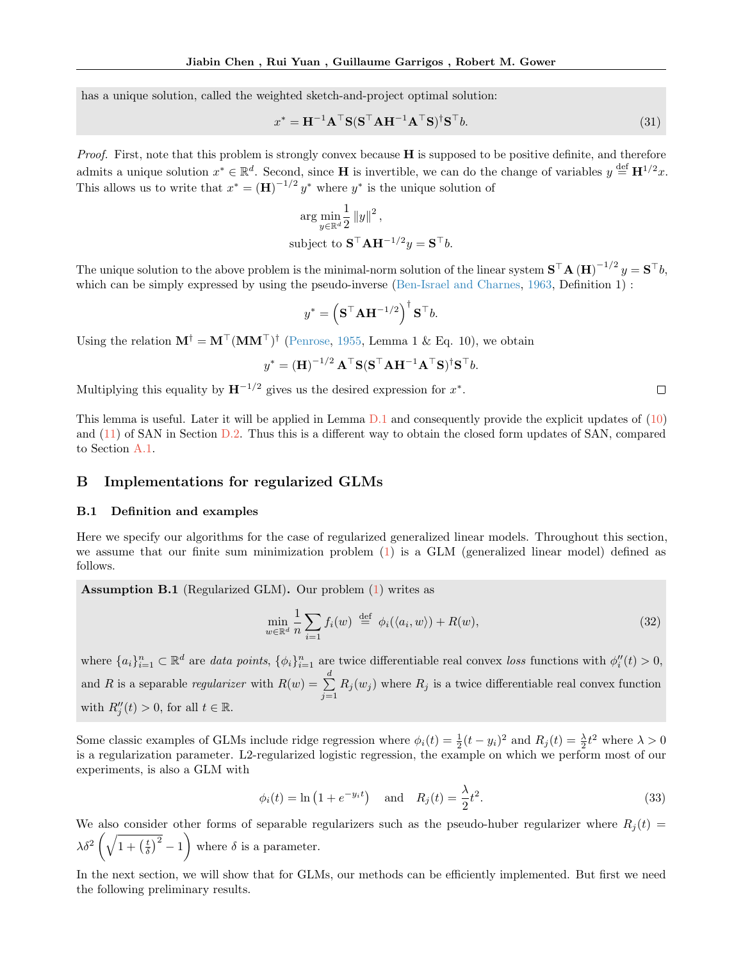has a unique solution, called the weighted sketch-and-project optimal solution:

$$
x^* = \mathbf{H}^{-1} \mathbf{A}^\top \mathbf{S} (\mathbf{S}^\top \mathbf{A} \mathbf{H}^{-1} \mathbf{A}^\top \mathbf{S})^\dagger \mathbf{S}^\top b. \tag{31}
$$

*Proof.* First, note that this problem is strongly convex because  $H$  is supposed to be positive definite, and therefore admits a unique solution  $x^* \in \mathbb{R}^d$ . Second, since **H** is invertible, we can do the change of variables  $y \stackrel{\text{def}}{=} \mathbf{H}^{1/2}x$ . This allows us to write that  $x^* = (\mathbf{H})^{-1/2} y^*$  where  $y^*$  is the unique solution of

$$
\arg \min_{y \in \mathbb{R}^d} \frac{1}{2} \|y\|^2,
$$
  
subject to 
$$
\mathbf{S}^\top \mathbf{A} \mathbf{H}^{-1/2} y = \mathbf{S}^\top b.
$$

The unique solution to the above problem is the minimal-norm solution of the linear system  $S<sup>T</sup>A(H)<sup>-1/2</sup>y = S<sup>T</sup>b$ , which can be simply expressed by using the pseudo-inverse [\(Ben-Israel and Charnes,](#page-10-5) [1963,](#page-10-5) Definition 1) :

$$
y^* = \left(\mathbf{S}^\top \mathbf{A} \mathbf{H}^{-1/2}\right)^\dagger \mathbf{S}^\top b.
$$

Using the relation  $M^{\dagger} = M^{\dagger} (MM^{\dagger})^{\dagger}$  [\(Penrose,](#page-10-6) [1955,](#page-10-6) Lemma 1 & Eq. 10), we obtain

$$
y^* = \left(\mathbf{H}\right)^{-1/2} \mathbf{A}^\top \mathbf{S} (\mathbf{S}^\top \mathbf{A} \mathbf{H}^{-1} \mathbf{A}^\top \mathbf{S})^\dagger \mathbf{S}^\top b.
$$

Multiplying this equality by  $H^{-1/2}$  gives us the desired expression for  $x^*$ .

This lemma is useful. Later it will be applied in Lemma [D.1](#page-27-0) and consequently provide the explicit updates of [\(10\)](#page-2-6) and [\(11\)](#page-2-7) of SAN in Section [D.2.](#page-27-1) Thus this is a different way to obtain the closed form updates of SAN, compared to Section [A.1.](#page-11-3)

# <span id="page-16-0"></span>B Implementations for regularized GLMs

#### B.1 Definition and examples

Here we specify our algorithms for the case of regularized generalized linear models. Throughout this section, we assume that our finite sum minimization problem [\(1\)](#page-0-0) is a GLM (generalized linear model) defined as follows.

<span id="page-16-1"></span>Assumption B.1 (Regularized GLM). Our problem [\(1\)](#page-0-0) writes as

$$
\min_{w \in \mathbb{R}^d} \frac{1}{n} \sum_{i=1} f_i(w) \stackrel{\text{def}}{=} \phi_i(\langle a_i, w \rangle) + R(w), \tag{32}
$$

 $\Box$ 

where  $\{a_i\}_{i=1}^n \subset \mathbb{R}^d$  are data points,  $\{\phi_i\}_{i=1}^n$  are twice differentiable real convex loss functions with  $\phi''_i(t) > 0$ , and R is a separable *regularizer* with  $R(w) = \sum_{n=1}^{d}$  $\sum_{j=1} R_j(w_j)$  where  $R_j$  is a twice differentiable real convex function with  $R_j''(t) > 0$ , for all  $t \in \mathbb{R}$ .

Some classic examples of GLMs include ridge regression where  $\phi_i(t) = \frac{1}{2}(t - y_i)^2$  and  $R_j(t) = \frac{\lambda}{2}t^2$  where  $\lambda > 0$ is a regularization parameter. L2-regularized logistic regression, the example on which we perform most of our experiments, is also a GLM with

$$
\phi_i(t) = \ln\left(1 + e^{-y_i t}\right) \quad \text{and} \quad R_j(t) = \frac{\lambda}{2} t^2. \tag{33}
$$

We also consider other forms of separable regularizers such as the pseudo-huber regularizer where  $R_i(t)$  =  $\lambda \delta^2 \left( \sqrt{1 + \left(\frac{t}{\delta}\right)^2} - 1 \right)$  where  $\delta$  is a parameter.

In the next section, we will show that for GLMs, our methods can be efficiently implemented. But first we need the following preliminary results.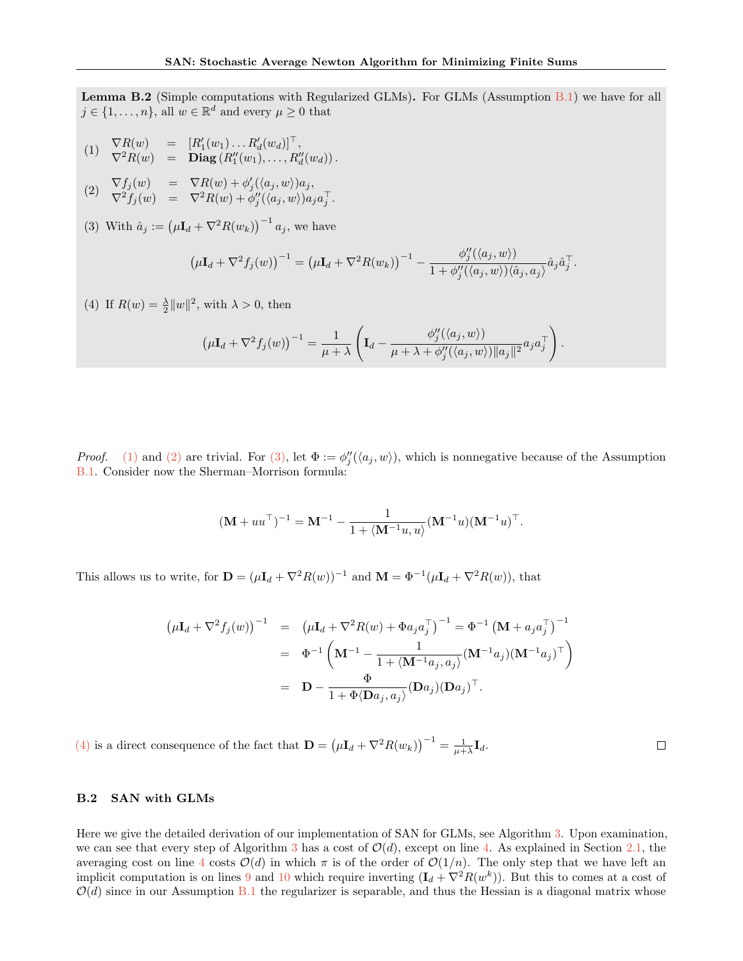<span id="page-17-0"></span>Lemma B.2 (Simple computations with Regularized GLMs). For GLMs (Assumption [B.1\)](#page-16-1) we have for all  $j \in \{1, \ldots, n\}$ , all  $w \in \mathbb{R}^d$  and every  $\mu \geq 0$  that

<span id="page-17-1"></span>
$$
(1) \quad \nabla R(w) = [R'_1(w_1) \dots R'_d(w_d)]^\top, \n\nabla^2 R(w) = \mathbf{Diag}(R''_1(w_1), \dots, R''_d(w_d)).
$$

<span id="page-17-2"></span>(2) 
$$
\nabla f_j(w) = \nabla R(w) + \phi'_j(\langle a_j, w \rangle) a_j,
$$
  

$$
\nabla^2 f_j(w) = \nabla^2 R(w) + \phi''_j(\langle a_j, w \rangle) a_j a_j^\top.
$$

<span id="page-17-3"></span>(3) With  $\hat{a}_j := (\mu \mathbf{I}_d + \nabla^2 R(w_k))^{-1} a_j$ , we have

$$
\left(\mu \mathbf{I}_d + \nabla^2 f_j(w)\right)^{-1} = \left(\mu \mathbf{I}_d + \nabla^2 R(w_k)\right)^{-1} - \frac{\phi''_j(\langle a_j, w \rangle)}{1 + \phi''_j(\langle a_j, w \rangle)\langle \hat{a}_j, a_j \rangle} \hat{a}_j \hat{a}_j^{\top}.
$$

<span id="page-17-4"></span>(4) If  $R(w) = \frac{\lambda}{2} ||w||^2$ , with  $\lambda > 0$ , then

$$
\left(\mu \mathbf{I}_d + \nabla^2 f_j(w)\right)^{-1} = \frac{1}{\mu + \lambda} \left( \mathbf{I}_d - \frac{\phi''_j(\langle a_j, w \rangle)}{\mu + \lambda + \phi''_j(\langle a_j, w \rangle) ||a_j||^2} a_j a_j^\top \right).
$$

*Proof.* [\(1\)](#page-17-1) and [\(2\)](#page-17-2) are trivial. For [\(3\),](#page-17-3) let  $\Phi := \phi''_j(\langle a_j, w \rangle)$ , which is nonnegative because of the Assumption [B.1.](#page-16-1) Consider now the Sherman–Morrison formula:

$$
(\mathbf{M} + uu^{\top})^{-1} = \mathbf{M}^{-1} - \frac{1}{1 + \langle \mathbf{M}^{-1}u, u \rangle} (\mathbf{M}^{-1}u)(\mathbf{M}^{-1}u)^{\top}.
$$

This allows us to write, for  $\mathbf{D} = (\mu \mathbf{I}_d + \nabla^2 R(w))^{-1}$  and  $\mathbf{M} = \Phi^{-1}(\mu \mathbf{I}_d + \nabla^2 R(w))$ , that

$$
\begin{aligned}\n\left(\mu \mathbf{I}_d + \nabla^2 f_j(w)\right)^{-1} &= \left(\mu \mathbf{I}_d + \nabla^2 R(w) + \Phi a_j a_j^\top\right)^{-1} = \Phi^{-1} \left(\mathbf{M} + a_j a_j^\top\right)^{-1} \\
&= \Phi^{-1} \left(\mathbf{M}^{-1} - \frac{1}{1 + \langle \mathbf{M}^{-1} a_j, a_j \rangle} (\mathbf{M}^{-1} a_j) (\mathbf{M}^{-1} a_j)^\top\right) \\
&= \mathbf{D} - \frac{\Phi}{1 + \Phi \langle \mathbf{D} a_j, a_j \rangle} (\mathbf{D} a_j) (\mathbf{D} a_j)^\top.\n\end{aligned}
$$

 $\Box$ 

[\(4\)](#page-17-4) is a direct consequence of the fact that  $\mathbf{D} = (\mu \mathbf{I}_d + \nabla^2 R(w_k))^{-1} = \frac{1}{\mu + \lambda} \mathbf{I}_d$ .

## B.2 SAN with GLMs

Here we give the detailed derivation of our implementation of SAN for GLMs, see Algorithm [3.](#page-18-0) Upon examination, we can see that every step of Algorithm [3](#page-18-0) has a cost of  $\mathcal{O}(d)$ , except on line [4.](#page-18-1) As explained in Section [2.1,](#page-2-0) the averaging cost on line [4](#page-18-1) costs  $\mathcal{O}(d)$  in which  $\pi$  is of the order of  $\mathcal{O}(1/n)$ . The only step that we have left an implicit computation is on lines [9](#page-18-2) and [10](#page-18-3) which require inverting  $(I_d + \nabla^2 R(w^k))$ . But this to comes at a cost of  $\mathcal{O}(d)$  since in our Assumption [B.1](#page-16-1) the regularizer is separable, and thus the Hessian is a diagonal matrix whose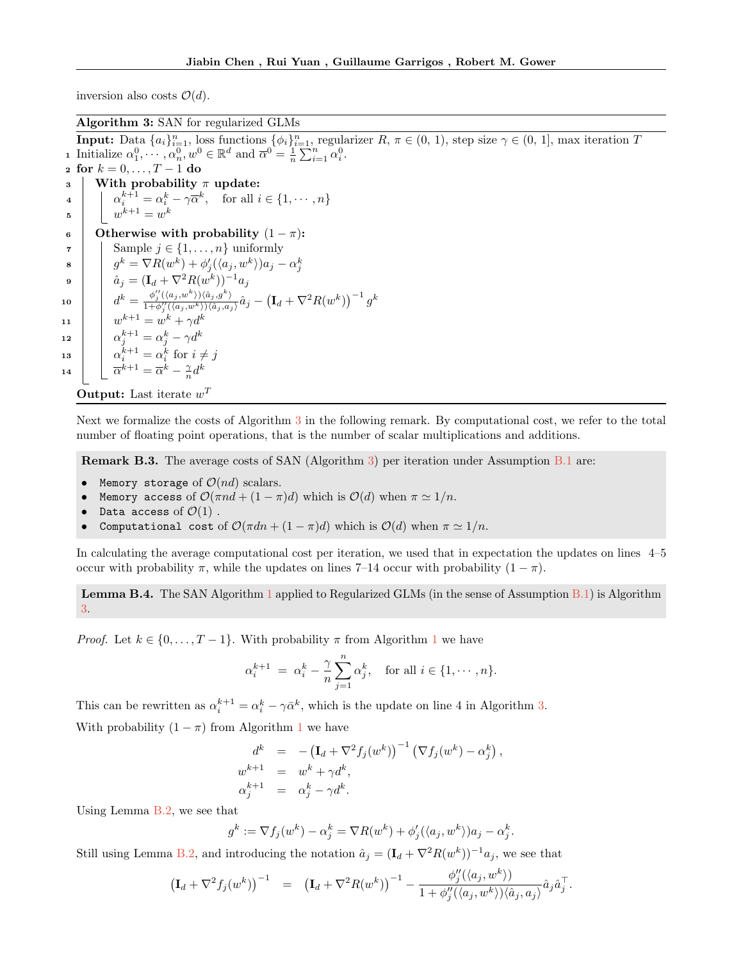inversion also costs  $\mathcal{O}(d)$ .

Algorithm 3: SAN for regularized GLMs

<span id="page-18-1"></span><span id="page-18-0"></span>**Input:** Data  $\{a_i\}_{i=1}^n$ , loss functions  $\{\phi_i\}_{i=1}^n$ , regularizer  $R, \pi \in (0, 1)$ , step size  $\gamma \in (0, 1]$ , max iteration T **1** Initialize  $\alpha_1^0, \dots, \alpha_n^0, w^0 \in \mathbb{R}^d$  and  $\overline{\alpha}^0 = \frac{1}{n} \sum_{i=1}^n \alpha_i^0$ . 2 for  $k = 0, ..., T - 1$  do  $\vert$  With probability  $\pi$  update: 4  $\alpha_i^{k+1} = \alpha_i^k - \gamma \overline{\alpha}^k$ , for all  $i \in \{1, \dots, n\}$  $\mathfrak{s}$   $\Big|$   $w^{k+1} = w^k$ 6 Otherwise with probability  $(1 - \pi)$ : 7 | Sample  $j \in \{1, \ldots, n\}$  uniformly  $\left\{ \begin{array}{c} \mathbf{s} \quad\quad \quad g^k = \nabla R(w^k) + \phi_j'(\langle a_j, w^k \rangle) a_j - \alpha_j^k \ \hat{a}_j = (\mathbf{I}_d + \nabla^2 R(w^k))^{-1} a_j \end{array} \right.$  $\begin{array}{l} \texttt{10} \end{array} \left| \quad d^k = \frac{\phi_j^{\prime\prime}(\langle a_j, w^k \rangle)\langle \hat{a}_j, g^k \rangle}{1 + \phi_j^{\prime\prime}(\langle a_j, w^k \rangle)\langle \hat{a}_j, a_j \rangle} \hat{a}_j - \left(\textbf{I}_d + \nabla^2 R(w^k)\right)^{-1} g^k \right| \, .$ 11  $w^{k+1} = w^k + \gamma d^k$ 12  $\alpha_j^{k+1} = \alpha_j^k - \gamma d^k$ 13  $\alpha_i^{k+1} = \alpha_i^k$  for  $i \neq j$ 14  $\bar{\alpha}^{k+1} = \bar{\alpha}^k - \frac{\gamma}{n}d^k$ 

<span id="page-18-3"></span><span id="page-18-2"></span>**Output:** Last iterate  $w^T$ 

Next we formalize the costs of Algorithm [3](#page-18-0) in the following remark. By computational cost, we refer to the total number of floating point operations, that is the number of scalar multiplications and additions.

Remark B.3. The average costs of SAN (Algorithm [3\)](#page-18-0) per iteration under Assumption [B.1](#page-16-1) are:

- Memory storage of  $\mathcal{O}(nd)$  scalars.
- **Memory access of**  $\mathcal{O}(\pi nd + (1 \pi)d)$  which is  $\mathcal{O}(d)$  when  $\pi \simeq 1/n$ .
- Data access of  $\mathcal{O}(1)$ .
- Computational cost of  $\mathcal{O}(\pi dn + (1 \pi)d)$  which is  $\mathcal{O}(d)$  when  $\pi \simeq 1/n$ .

In calculating the average computational cost per iteration, we used that in expectation the updates on lines 4–5 occur with probability  $\pi$ , while the updates on lines 7–14 occur with probability  $(1 - \pi)$ .

Lemma B.4. The SAN Algorithm [1](#page-3-2) applied to Regularized GLMs (in the sense of Assumption [B.1\)](#page-16-1) is Algorithm [3.](#page-18-0)

*Proof.* Let  $k \in \{0, \ldots, T-1\}$  $k \in \{0, \ldots, T-1\}$  $k \in \{0, \ldots, T-1\}$ . With probability  $\pi$  from Algorithm 1 we have

$$
\alpha_i^{k+1} = \alpha_i^k - \frac{\gamma}{n} \sum_{j=1}^n \alpha_j^k, \text{ for all } i \in \{1, \cdots, n\}.
$$

This can be rewritten as  $\alpha_i^{k+1} = \alpha_i^k - \gamma \bar{\alpha}^k$ , which is the update on line 4 in Algorithm [3.](#page-18-0) With probability  $(1 - \pi)$  $(1 - \pi)$  $(1 - \pi)$  from Algorithm 1 we have

$$
d^k = -(\mathbf{I}_d + \nabla^2 f_j(w^k))^{-1} (\nabla f_j(w^k) - \alpha_j^k),
$$
  
\n
$$
w^{k+1} = w^k + \gamma d^k,
$$
  
\n
$$
\alpha_j^{k+1} = \alpha_j^k - \gamma d^k.
$$

Using Lemma [B.2,](#page-17-0) we see that

$$
g^k := \nabla f_j(w^k) - \alpha_j^k = \nabla R(w^k) + \phi_j'(\langle a_j, w^k \rangle) a_j - \alpha_j^k.
$$

Still using Lemma [B.2,](#page-17-0) and introducing the notation  $\hat{a}_j = (\mathbf{I}_d + \nabla^2 R(w^k))^{-1} a_j$ , we see that

$$
\left(\mathbf{I}_d + \nabla^2 f_j(w^k)\right)^{-1} = \left(\mathbf{I}_d + \nabla^2 R(w^k)\right)^{-1} - \frac{\phi_j''(\langle a_j, w^k \rangle)}{1 + \phi_j''(\langle a_j, w^k \rangle)\langle \hat{a}_j, a_j \rangle} \hat{a}_j \hat{a}_j^\top.
$$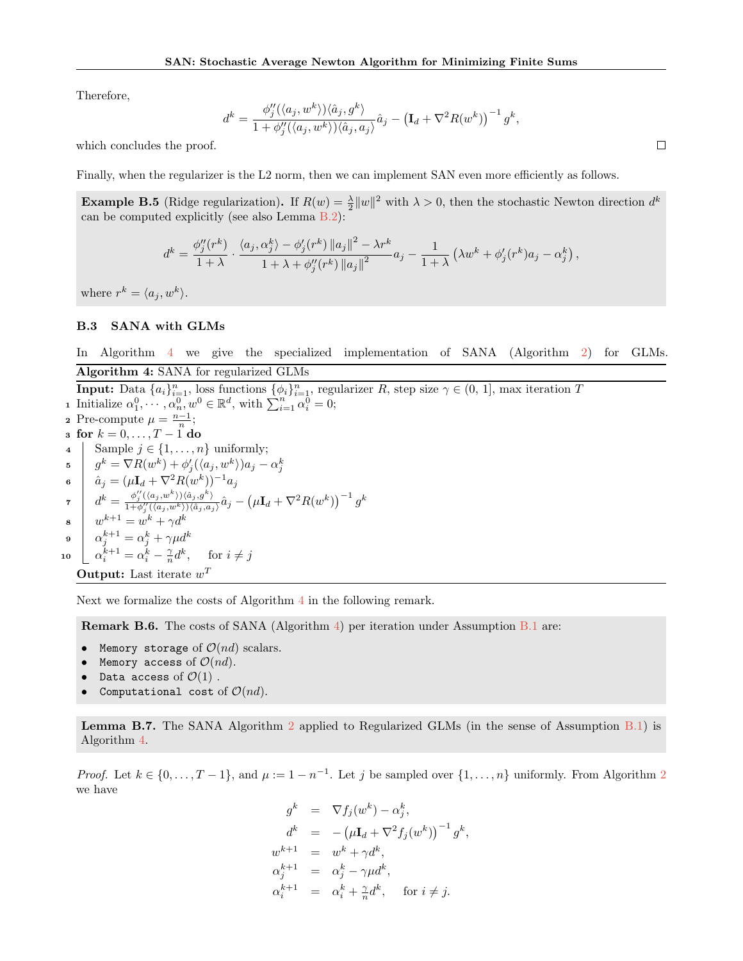Therefore,

$$
d^k = \frac{\phi_j''(\langle a_j, w^k \rangle) \langle \hat{a}_j, g^k \rangle}{1 + \phi_j''(\langle a_j, w^k \rangle) \langle \hat{a}_j, a_j \rangle} \hat{a}_j - \left(\mathbf{I}_d + \nabla^2 R(w^k)\right)^{-1} g^k,
$$

which concludes the proof.

Finally, when the regularizer is the L2 norm, then we can implement SAN even more efficiently as follows.

**Example B.5** (Ridge regularization). If  $R(w) = \frac{\lambda}{2} ||w||^2$  with  $\lambda > 0$ , then the stochastic Newton direction  $d^k$ can be computed explicitly (see also Lemma [B.2\)](#page-17-0):

$$
d^k = \frac{\phi_j''(r^k)}{1+\lambda} \cdot \frac{\langle a_j, \alpha_j^k \rangle - \phi_j'(r^k) \|a_j\|^2 - \lambda r^k}{1+\lambda + \phi_j''(r^k) \|a_j\|^2} a_j - \frac{1}{1+\lambda} \left(\lambda w^k + \phi_j'(r^k) a_j - \alpha_j^k\right),
$$

where  $r^k = \langle a_j, w^k \rangle$ .

# B.3 SANA with GLMs

In Algorithm [4](#page-19-0) we give the specialized implementation of SANA (Algorithm [2\)](#page-3-8) for GLMs. Algorithm 4: SANA for regularized GLMs

<span id="page-19-0"></span>**Input:** Data  $\{a_i\}_{i=1}^n$ , loss functions  $\{\phi_i\}_{i=1}^n$ , regularizer R, step size  $\gamma \in (0, 1]$ , max iteration T **1** Initialize  $\alpha_1^0, \cdots, \alpha_n^0, w^0 \in \mathbb{R}^d$ , with  $\sum_{i=1}^n \alpha_i^0 = 0$ ; 2 Pre-compute  $\mu = \frac{n-1}{n}$ ; 3 for  $k = 0, \ldots, T - \mathbf{1}$  do 4 Sample  $j \in \{1, \ldots, n\}$  uniformly;  $\quad \, \texttt{s} \quad \Big\vert \quad g^k = \nabla R(w^k) + \phi_j'(\langle a_j, w^k \rangle)a_j - \alpha_j^k$ 6  $\hat{a}_j = (\mu \mathbf{I}_d + \nabla^2 R(w^k))^{-1} a_j$  $\tau \quad \bigg| \quad d^k = \frac{\phi_j''(\langle a_j, w^k \rangle) \langle \hat{a}_j, g^k \rangle}{1 + \phi_j''(\langle a_j, w^k \rangle) \langle \hat{a}_j, a_j \rangle} \hat{a}_j - \left(\mu \mathbf{I}_d + \nabla^2 R(w^k)\right)^{-1} g^k$  $\int w^{k+1} = w^k + \gamma d^k$ 9  $\alpha_j^{k+1} = \alpha_j^k + \gamma \mu d^k$ 10  $\alpha_i^{k+1} = \alpha_i^k - \frac{\gamma}{n} d^k$ , for  $i \neq j$ 

**Output:** Last iterate  $w^T$ 

Next we formalize the costs of Algorithm [4](#page-19-0) in the following remark.

Remark B.6. The costs of SANA (Algorithm [4\)](#page-19-0) per iteration under Assumption [B.1](#page-16-1) are:

- Memory storage of  $\mathcal{O}(nd)$  scalars.
- Memory access of  $\mathcal{O}(nd)$ .
- Data access of  $\mathcal{O}(1)$ .
- Computational cost of  $O(nd)$ .

Lemma B.7. The SANA Algorithm [2](#page-3-8) applied to Regularized GLMs (in the sense of Assumption [B.1\)](#page-16-1) is Algorithm [4.](#page-19-0)

*Proof.* Let  $k \in \{0, ..., T-1\}$ , and  $\mu := 1 - n^{-1}$ . Let j be sampled over  $\{1, ..., n\}$  uniformly. From Algorithm [2](#page-3-8) we have

$$
g^{k} = \nabla f_{j}(w^{k}) - \alpha_{j}^{k},
$$
  
\n
$$
d^{k} = -(\mu \mathbf{I}_{d} + \nabla^{2} f_{j}(w^{k}))^{-1} g^{k},
$$
  
\n
$$
w^{k+1} = w^{k} + \gamma d^{k},
$$
  
\n
$$
\alpha_{j}^{k+1} = \alpha_{j}^{k} - \gamma \mu d^{k},
$$
  
\n
$$
\alpha_{i}^{k+1} = \alpha_{i}^{k} + \gamma d^{k}, \quad \text{for } i \neq j.
$$

 $\Box$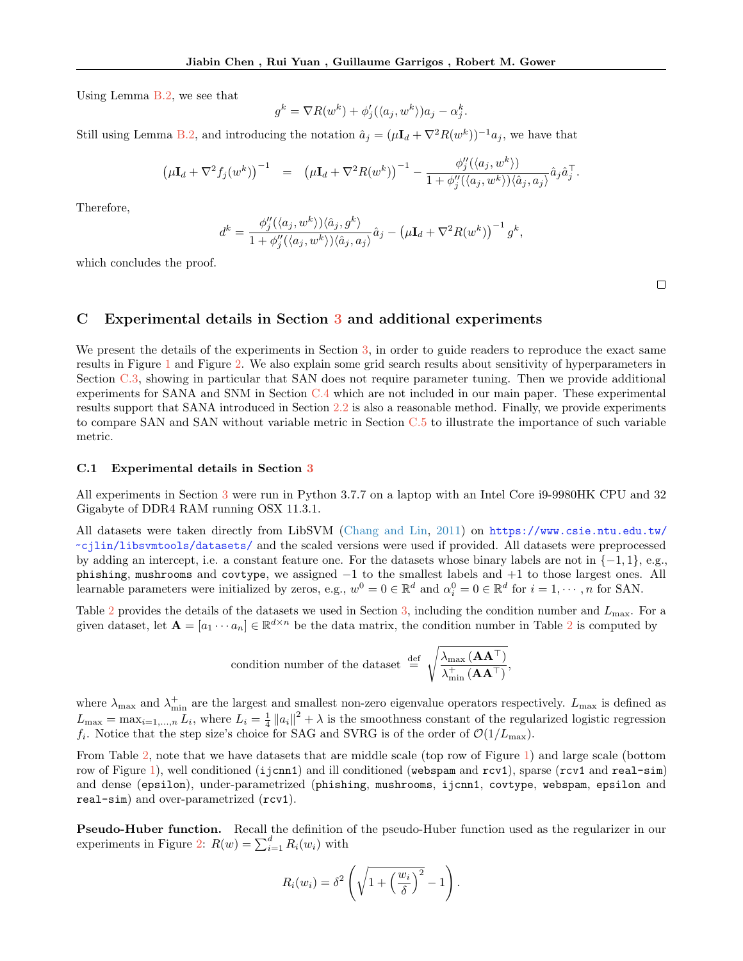Using Lemma [B.2,](#page-17-0) we see that

$$
g^{k} = \nabla R(w^{k}) + \phi'_{j}(\langle a_{j}, w^{k} \rangle) a_{j} - \alpha_{j}^{k}.
$$

Still using Lemma [B.2,](#page-17-0) and introducing the notation  $\hat{a}_j = (\mu \mathbf{I}_d + \nabla^2 R(w^k))^{-1} a_j$ , we have that

$$
\left(\mu \mathbf{I}_d + \nabla^2 f_j(w^k)\right)^{-1} = \left(\mu \mathbf{I}_d + \nabla^2 R(w^k)\right)^{-1} - \frac{\phi_j''(\langle a_j, w^k \rangle)}{1 + \phi_j''(\langle a_j, w^k \rangle)\langle \hat{a}_j, a_j \rangle} \hat{a}_j \hat{a}_j^\top.
$$

Therefore,

$$
d^k = \frac{\phi_j''(\langle a_j, w^k \rangle) \langle \hat{a}_j, g^k \rangle}{1 + \phi_j''(\langle a_j, w^k \rangle) \langle \hat{a}_j, a_j \rangle} \hat{a}_j - \left(\mu I_d + \nabla^2 R(w^k)\right)^{-1} g^k,
$$

which concludes the proof.

 $\Box$ 

# <span id="page-20-1"></span>C Experimental details in Section [3](#page-4-0) and additional experiments

We present the details of the experiments in Section [3,](#page-4-0) in order to guide readers to reproduce the exact same results in Figure [1](#page-5-0) and Figure [2.](#page-5-1) We also explain some grid search results about sensitivity of hyperparameters in Section  $C.3$ , showing in particular that SAN does not require parameter tuning. Then we provide additional experiments for SANA and SNM in Section [C.4](#page-23-0) which are not included in our main paper. These experimental results support that SANA introduced in Section [2.2](#page-3-0) is also a reasonable method. Finally, we provide experiments to compare SAN and SAN without variable metric in Section [C.5](#page-25-0) to illustrate the importance of such variable metric.

### <span id="page-20-0"></span>C.1 Experimental details in Section [3](#page-4-0)

All experiments in Section [3](#page-4-0) were run in Python 3.7.7 on a laptop with an Intel Core i9-9980HK CPU and 32 Gigabyte of DDR4 RAM running OSX 11.3.1.

All datasets were taken directly from LibSVM [\(Chang and Lin,](#page-9-16) [2011\)](#page-9-16) on [https://www.csie.ntu.edu.tw/](https://www.csie.ntu.edu.tw/~cjlin/libsvmtools/datasets/) [~cjlin/libsvmtools/datasets/](https://www.csie.ntu.edu.tw/~cjlin/libsvmtools/datasets/) and the scaled versions were used if provided. All datasets were preprocessed by adding an intercept, i.e. a constant feature one. For the datasets whose binary labels are not in {−1, 1}, e.g., phishing, mushrooms and covtype, we assigned −1 to the smallest labels and +1 to those largest ones. All learnable parameters were initialized by zeros, e.g.,  $w^0 = 0 \in \mathbb{R}^d$  and  $\alpha_i^0 = 0 \in \mathbb{R}^d$  for  $i = 1, \dots, n$  for SAN.

Table [2](#page-21-0) provides the details of the datasets we used in Section [3,](#page-4-0) including the condition number and  $L_{\text{max}}$ . For a given dataset, let  $\mathbf{A} = [a_1 \cdots a_n] \in \mathbb{R}^{d \times n}$  be the data matrix, the condition number in Table [2](#page-21-0) is computed by

condition number of the dataset 
$$
\stackrel{\text{def}}{=} \sqrt{\frac{\lambda_{\text{max}} (\mathbf{A} \mathbf{A}^{\top})}{\lambda_{\text{min}}^+ (\mathbf{A} \mathbf{A}^{\top})}}
$$

,

where  $\lambda_{\text{max}}$  and  $\lambda_{\text{min}}^+$  are the largest and smallest non-zero eigenvalue operators respectively.  $L_{\text{max}}$  is defined as  $L_{\text{max}} = \max_{i=1,\dots,n} L_i$ , where  $L_i = \frac{1}{4} ||a_i||^2 + \lambda$  is the smoothness constant of the regularized logistic regression  $f_i$ . Notice that the step size's choice for SAG and SVRG is of the order of  $\mathcal{O}(1/L_{\text{max}})$ .

From Table [2,](#page-21-0) note that we have datasets that are middle scale (top row of Figure [1\)](#page-5-0) and large scale (bottom row of Figure [1\)](#page-5-0), well conditioned (ijcnn1) and ill conditioned (webspam and rcv1), sparse (rcv1 and real-sim) and dense (epsilon), under-parametrized (phishing, mushrooms, ijcnn1, covtype, webspam, epsilon and real-sim) and over-parametrized (rcv1).

**Pseudo-Huber function.** Recall the definition of the pseudo-Huber function used as the regularizer in our experiments in Figure [2:](#page-5-1)  $R(w) = \sum_{i=1}^{d} R_i(w_i)$  with

$$
R_i(w_i) = \delta^2 \left( \sqrt{1 + \left(\frac{w_i}{\delta}\right)^2} - 1 \right).
$$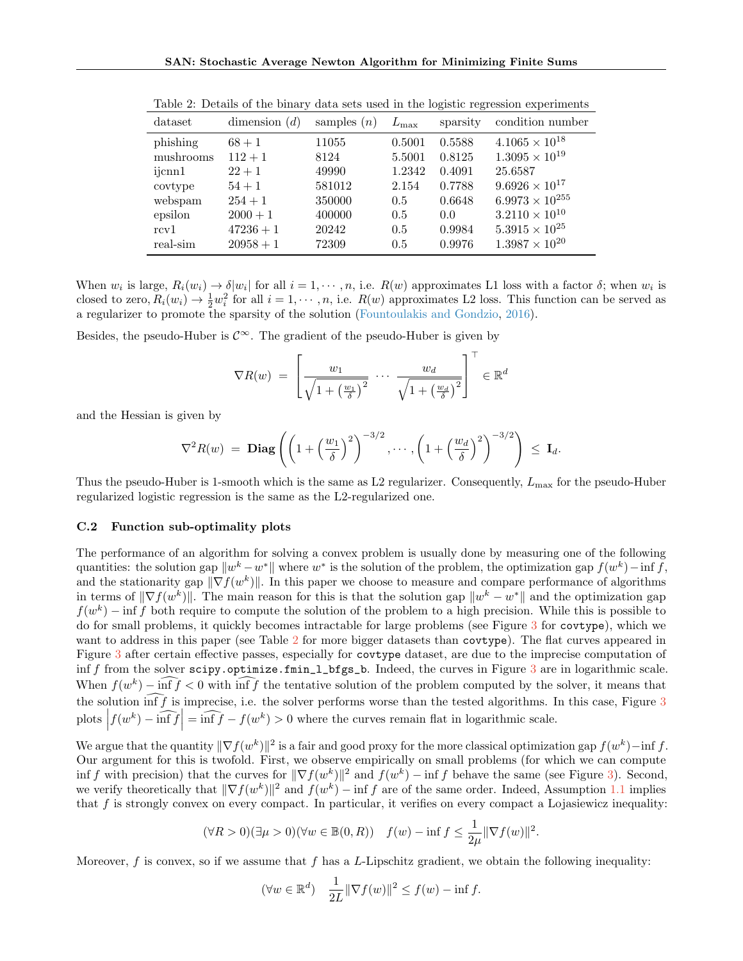| dataset   | dimension $(d)$ | samples $(n)$ | $L_{\rm max}$ | sparsity | condition number         |
|-----------|-----------------|---------------|---------------|----------|--------------------------|
| phishing  | $68 + 1$        | 11055         | 0.5001        | 0.5588   | $4.1065 \times 10^{18}$  |
| mushrooms | $112 + 1$       | 8124          | 5.5001        | 0.8125   | $1.3095 \times 10^{19}$  |
| ijcnn1    | $22+1$          | 49990         | 1.2342        | 0.4091   | 25.6587                  |
| covtype   | $54 + 1$        | 581012        | 2.154         | 0.7788   | $9.6926 \times 10^{17}$  |
| webspam   | $254 + 1$       | 350000        | 0.5           | 0.6648   | $6.9973 \times 10^{255}$ |
| epsilon   | $2000 + 1$      | 400000        | 0.5           | 0.0      | $3.2110 \times 10^{10}$  |
| rcv1      | $47236 + 1$     | 20242         | 0.5           | 0.9984   | $5.3915 \times 10^{25}$  |
| real-sim  | $20958 + 1$     | 72309         | 0.5           | 0.9976   | $1.3987 \times 10^{20}$  |

<span id="page-21-0"></span>Table 2: Details of the binary data sets used in the logistic regression experiments

When  $w_i$  is large,  $R_i(w_i) \to \delta |w_i|$  for all  $i = 1, \dots, n$ , i.e.  $R(w)$  approximates L1 loss with a factor  $\delta$ ; when  $w_i$  is closed to zero,  $R_i(w_i) \to \frac{1}{2}w_i^2$  for all  $i = 1, \dots, n$ , i.e.  $R(w)$  approximates L2 loss. This function can be served as a regularizer to promote the sparsity of the solution [\(Fountoulakis and Gondzio,](#page-10-0) [2016\)](#page-10-0).

Besides, the pseudo-Huber is  $\mathcal{C}^{\infty}$ . The gradient of the pseudo-Huber is given by

$$
\nabla R(w) = \left[ \frac{w_1}{\sqrt{1 + \left(\frac{w_1}{\delta}\right)^2}} \cdots \frac{w_d}{\sqrt{1 + \left(\frac{w_d}{\delta}\right)^2}} \right]^\top \in \mathbb{R}^d
$$

and the Hessian is given by

$$
\nabla^2 R(w) = \textbf{Diag}\left( \left( 1 + \left(\frac{w_1}{\delta}\right)^2 \right)^{-3/2}, \cdots, \left( 1 + \left(\frac{w_d}{\delta}\right)^2 \right)^{-3/2} \right) \leq \mathbf{I}_d.
$$

Thus the pseudo-Huber is 1-smooth which is the same as L2 regularizer. Consequently,  $L_{\text{max}}$  for the pseudo-Huber regularized logistic regression is the same as the L2-regularized one.

#### <span id="page-21-1"></span>C.2 Function sub-optimality plots

The performance of an algorithm for solving a convex problem is usually done by measuring one of the following quantities: the solution gap  $\|w^k - w^*\|$  where  $w^*$  is the solution of the problem, the optimization gap  $f(w^k) - \inf f$ , and the stationarity gap  $\|\nabla f(w^k)\|$ . In this paper we choose to measure and compare performance of algorithms in terms of  $\|\nabla f(w^k)\|$ . The main reason for this is that the solution gap  $\|w^k - w^*\|$  and the optimization gap  $f(w^k)$  – inf f both require to compute the solution of the problem to a high precision. While this is possible to do for small problems, it quickly becomes intractable for large problems (see Figure [3](#page-22-1) for covtype), which we want to address in this paper (see Table [2](#page-21-0) for more bigger datasets than covtype). The flat curves appeared in Figure [3](#page-22-1) after certain effective passes, especially for covtype dataset, are due to the imprecise computation of inf f from the solver scipy.optimize.fmin\_l\_bfgs\_b. Indeed, the curves in Figure [3](#page-22-1) are in logarithmic scale. When  $f(w^k) - \inf f < 0$  with  $\inf f$  the tentative solution of the problem computed by the solver, it means that the solution  $\widehat{\inf f}$  is imprecise, i.e. the solver performs worse than the tested algorithms. In this case, Figure [3](#page-22-1) plots  $|f(w^k) - \widehat{\inf f}| = \widehat{\inf f} - f(w^k) > 0$  where the curves remain flat in logarithmic scale.

We argue that the quantity  $\|\nabla f(w^k)\|^2$  is a fair and good proxy for the more classical optimization gap  $f(w^k)$  – inf f. Our argument for this is twofold. First, we observe empirically on small problems (for which we can compute inf f with precision) that the curves for  $\|\nabla f(w^k)\|^2$  and  $f(w^k)$  – inf f behave the same (see Figure [3\)](#page-22-1). Second, we verify theoretically that  $\|\nabla f(w^k)\|^2$  and  $f(w^k) - \inf f$  are of the same order. Indeed, Assumption [1.1](#page-2-5) implies that  $f$  is strongly convex on every compact. In particular, it verifies on every compact a Lojasiewicz inequality:

$$
(\forall R > 0)(\exists \mu > 0)(\forall w \in \mathbb{B}(0, R)) \quad f(w) - \inf f \le \frac{1}{2\mu} \|\nabla f(w)\|^2.
$$

Moreover,  $f$  is convex, so if we assume that  $f$  has a L-Lipschitz gradient, we obtain the following inequality:

$$
(\forall w \in \mathbb{R}^d) \quad \frac{1}{2L} \|\nabla f(w)\|^2 \le f(w) - \inf f.
$$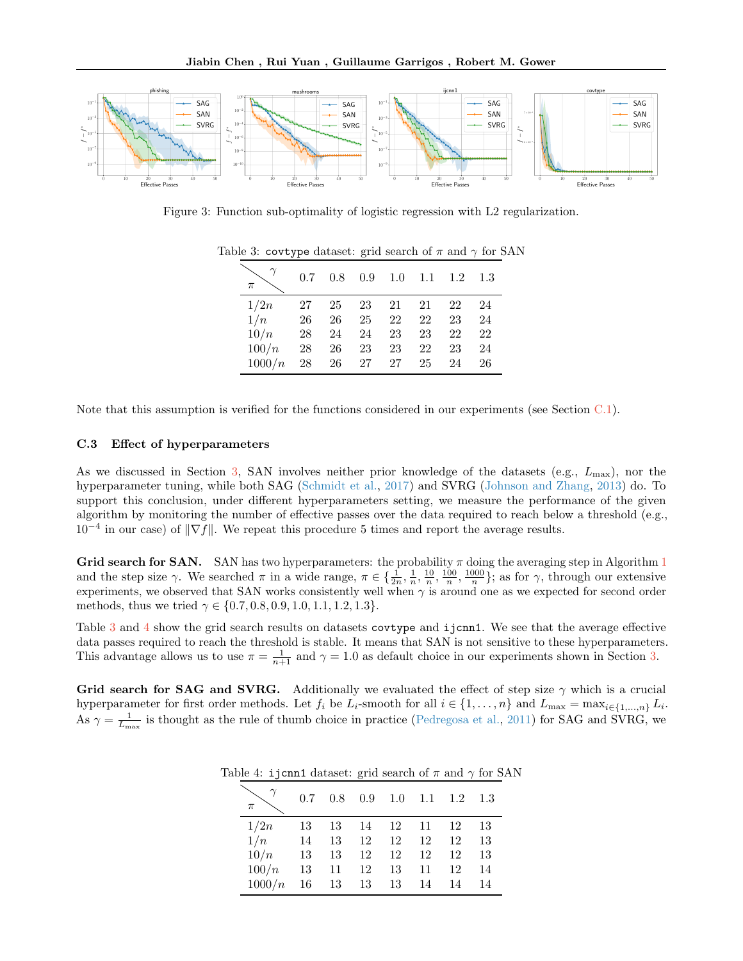

<span id="page-22-2"></span>Figure 3: Function sub-optimality of logistic regression with L2 regularization.

<span id="page-22-1"></span>

| $\pi$  | 0.7 | 0.8 | 0.9 | 1.0 | 1.1 | 1.2 | 1.3 |
|--------|-----|-----|-----|-----|-----|-----|-----|
| 1/2n   | 27  | 25  | 23  | 21  | 21  | 22  | 24  |
| 1/n    | 26  | 26  | 25  | 22  | 22  | 23  | 24  |
| 10/n   | 28  | 24  | 24  | 23  | 23  | 22  | 22  |
| 100/n  | 28  | 26  | 23  | 23  | 22  | 23  | 24  |
| 1000/n | 28  | 26  | 27  | 27  | 25  | 24  | 26  |

Table 3: covtype dataset: grid search of  $\pi$  and  $\gamma$  for SAN

Note that this assumption is verified for the functions considered in our experiments (see Section [C.1\)](#page-20-0).

#### <span id="page-22-0"></span>C.3 Effect of hyperparameters

As we discussed in Section [3,](#page-4-0) SAN involves neither prior knowledge of the datasets (e.g.,  $L_{\text{max}}$ ), nor the hyperparameter tuning, while both SAG [\(Schmidt et al.,](#page-8-0) [2017\)](#page-8-0) and SVRG [\(Johnson and Zhang,](#page-8-1) [2013\)](#page-8-1) do. To support this conclusion, under different hyperparameters setting, we measure the performance of the given algorithm by monitoring the number of effective passes over the data required to reach below a threshold (e.g.,  $10^{-4}$  in our case) of  $\|\nabla f\|$ . We repeat this procedure 5 times and report the average results.

Grid search for SAN. SAN has two hyperparameters: the probability  $\pi$  doing the averaging step in Algorithm [1](#page-3-2) and the step size  $\gamma$ . We searched  $\pi$  in a wide range,  $\pi \in \{\frac{1}{2n}, \frac{1}{n}, \frac{10}{n}, \frac{100}{n}, \frac{1000}{n}\}$ ; as for  $\gamma$ , through our extensive experiments, we observed that SAN works consistently well when  $\gamma$  is around one as we expected for second order methods, thus we tried  $\gamma \in \{0.7, 0.8, 0.9, 1.0, 1.1, 1.2, 1.3\}.$ 

Table [3](#page-22-2) and [4](#page-22-3) show the grid search results on datasets covtype and ijcnn1. We see that the average effective data passes required to reach the threshold is stable. It means that SAN is not sensitive to these hyperparameters. This advantage allows us to use  $\pi = \frac{1}{n+1}$  and  $\gamma = 1.0$  as default choice in our experiments shown in Section [3.](#page-4-0)

<span id="page-22-3"></span>Grid search for SAG and SVRG. Additionally we evaluated the effect of step size  $\gamma$  which is a crucial hyperparameter for first order methods. Let  $f_i$  be  $L_i$ -smooth for all  $i \in \{1, ..., n\}$  and  $L_{\max} = \max_{i \in \{1, ..., n\}} L_i$ . As  $\gamma = \frac{1}{L_{\text{max}}}$  is thought as the rule of thumb choice in practice [\(Pedregosa et al.,](#page-9-17) [2011\)](#page-9-17) for SAG and SVRG, we

|  | Table 4: i jcnn1 dataset: grid search of $\pi$ and $\gamma$ for SAN |  |  |  |
|--|---------------------------------------------------------------------|--|--|--|
|  |                                                                     |  |  |  |

| π      | 0.7 | 0.8 | 0.9 |    |    | $1.0 \quad 1.1 \quad 1.2$ | 1.3 |
|--------|-----|-----|-----|----|----|---------------------------|-----|
| 1/2n   | 13  | 13  | -14 | 12 | 11 | 12                        | 13  |
| 1/n    | 14  | 13  | 12  | 12 | 12 | 12                        | 13  |
| 10/n   | 13  | 13  | 12  | 12 | 12 | 12                        | 13  |
| 100/n  | 13  | 11  | 12  | 13 | 11 | 12                        | 14  |
| 1000/n | 16  | 13  | 13  | 13 | 14 | 14                        | 14  |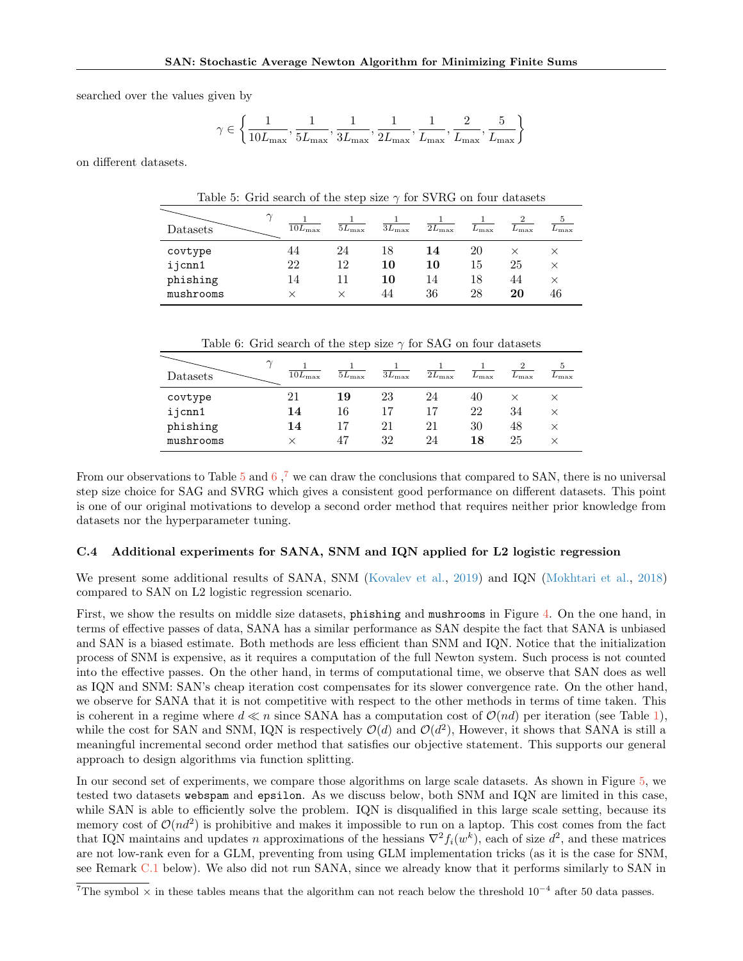searched over the values given by

$$
\gamma \in \left\{ \frac{1}{10L_{\max}}, \frac{1}{5L_{\max}}, \frac{1}{3L_{\max}}, \frac{1}{2L_{\max}}, \frac{1}{L_{\max}}, \frac{2}{L_{\max}}, \frac{5}{L_{\max}} \right\}
$$

<span id="page-23-1"></span>on different datasets.

| Table 5: Grid search of the step size $\gamma$ for SVRG on four datasets |                 |                |                |                |               |               |                      |  |  |
|--------------------------------------------------------------------------|-----------------|----------------|----------------|----------------|---------------|---------------|----------------------|--|--|
| Datasets                                                                 | $10L_{\rm max}$ | $5L_{\rm max}$ | $3L_{\rm max}$ | $2L_{\rm max}$ | $L_{\rm max}$ | $L_{\rm max}$ | $\mathcal{L}_{\max}$ |  |  |
| covtype                                                                  | 44              | 24             | 18             | 14             | 20            | $\times$      | $\times$             |  |  |
| ijcnn1                                                                   | 22              | 12             | 10             | 10             | 15            | 25            | $\times$             |  |  |
| phishing                                                                 | 14              | 11             | 10             | 14             | 18            | 44            | $\times$             |  |  |
| mushrooms                                                                |                 | ×              | 44             | 36             | 28            | 20            | 46                   |  |  |

Table 6: Grid search of the step size  $\gamma$  for SAG on four datasets

<span id="page-23-2"></span>

| $\sim$<br>Datasets | $10L_{\rm max}$ | $5L_{\rm max}$ | $3L_{\rm max}$ | $2L_{\rm max}$ | $L_{\rm max}$ | $L_{\rm max}$ | $L_{\rm max}$ |
|--------------------|-----------------|----------------|----------------|----------------|---------------|---------------|---------------|
| covtype            | 21              | 19             | 23             | 24             | 40            |               |               |
| ijcnn1             | 14              | 16             | 17             | 17             | 22            | 34            | $\times$      |
| phishing           | 14              | 17             | 21             | 21             | 30            | 48            | $\times$      |
| mushrooms          |                 | 47             | 32             | 24             | 18            | 25            | ×             |

From our observations to Table [5](#page-23-1) and [6](#page-23-2),<sup>[7](#page-0-1)</sup> we can draw the conclusions that compared to SAN, there is no universal step size choice for SAG and SVRG which gives a consistent good performance on different datasets. This point is one of our original motivations to develop a second order method that requires neither prior knowledge from datasets nor the hyperparameter tuning.

### <span id="page-23-0"></span>C.4 Additional experiments for SANA, SNM and IQN applied for L2 logistic regression

We present some additional results of SANA, SNM [\(Kovalev et al.,](#page-9-6) [2019\)](#page-9-6) and IQN [\(Mokhtari et al.,](#page-9-4) [2018\)](#page-9-4) compared to SAN on L2 logistic regression scenario.

First, we show the results on middle size datasets, phishing and mushrooms in Figure [4.](#page-24-0) On the one hand, in terms of effective passes of data, SANA has a similar performance as SAN despite the fact that SANA is unbiased and SAN is a biased estimate. Both methods are less efficient than SNM and IQN. Notice that the initialization process of SNM is expensive, as it requires a computation of the full Newton system. Such process is not counted into the effective passes. On the other hand, in terms of computational time, we observe that SAN does as well as IQN and SNM: SAN's cheap iteration cost compensates for its slower convergence rate. On the other hand, we observe for SANA that it is not competitive with respect to the other methods in terms of time taken. This is coherent in a regime where  $d \ll n$  since SANA has a computation cost of  $\mathcal{O}(nd)$  per iteration (see Table [1\)](#page-6-0), while the cost for SAN and SNM, IQN is respectively  $\mathcal{O}(d)$  and  $\mathcal{O}(d^2)$ , However, it shows that SANA is still a meaningful incremental second order method that satisfies our objective statement. This supports our general approach to design algorithms via function splitting.

In our second set of experiments, we compare those algorithms on large scale datasets. As shown in Figure [5,](#page-24-1) we tested two datasets webspam and epsilon. As we discuss below, both SNM and IQN are limited in this case, while SAN is able to efficiently solve the problem. IQN is disqualified in this large scale setting, because its memory cost of  $\mathcal{O}(nd^2)$  is prohibitive and makes it impossible to run on a laptop. This cost comes from the fact that IQN maintains and updates n approximations of the hessians  $\nabla^2 f_i(w^k)$ , each of size  $d^2$ , and these matrices are not low-rank even for a GLM, preventing from using GLM implementation tricks (as it is the case for SNM, see Remark [C.1](#page-25-2) below). We also did not run SANA, since we already know that it performs similarly to SAN in

<sup>&</sup>lt;sup>7</sup>The symbol  $\times$  in these tables means that the algorithm can not reach below the threshold 10<sup>-4</sup> after 50 data passes.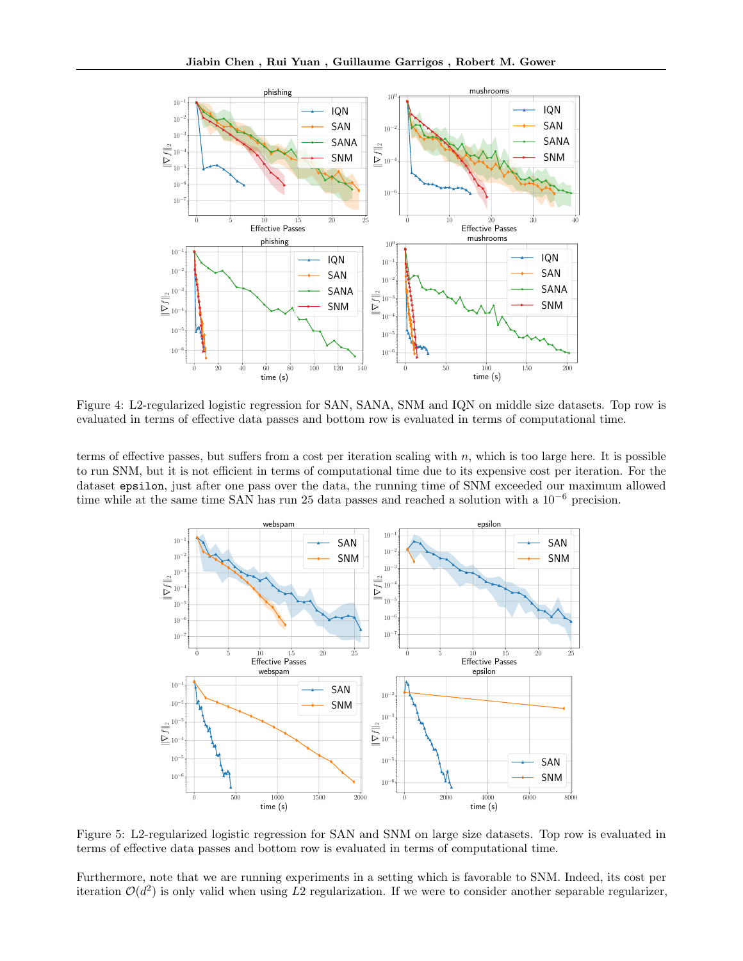

Figure 4: L2-regularized logistic regression for SAN, SANA, SNM and IQN on middle size datasets. Top row is evaluated in terms of effective data passes and bottom row is evaluated in terms of computational time.

terms of effective passes, but suffers from a cost per iteration scaling with n, which is too large here. It is possible to run SNM, but it is not efficient in terms of computational time due to its expensive cost per iteration. For the dataset epsilon, just after one pass over the data, the running time of SNM exceeded our maximum allowed time while at the same time SAN has run 25 data passes and reached a solution with a 10−<sup>6</sup> precision.

<span id="page-24-0"></span>

<span id="page-24-1"></span>Figure 5: L2-regularized logistic regression for SAN and SNM on large size datasets. Top row is evaluated in terms of effective data passes and bottom row is evaluated in terms of computational time.

Furthermore, note that we are running experiments in a setting which is favorable to SNM. Indeed, its cost per iteration  $\mathcal{O}(d^2)$  is only valid when using L2 regularization. If we were to consider another separable regularizer,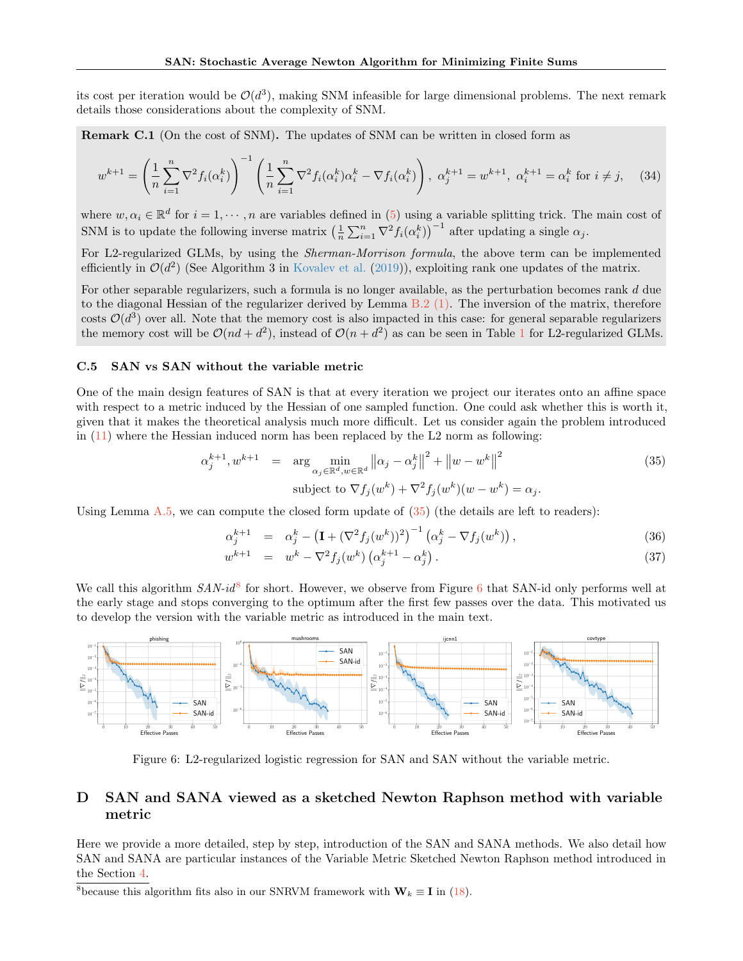its cost per iteration would be  $\mathcal{O}(d^3)$ , making SNM infeasible for large dimensional problems. The next remark details those considerations about the complexity of SNM.

<span id="page-25-2"></span>Remark C.1 (On the cost of SNM). The updates of SNM can be written in closed form as

$$
w^{k+1} = \left(\frac{1}{n}\sum_{i=1}^{n} \nabla^2 f_i(\alpha_i^k)\right)^{-1} \left(\frac{1}{n}\sum_{i=1}^{n} \nabla^2 f_i(\alpha_i^k)\alpha_i^k - \nabla f_i(\alpha_i^k)\right), \ \alpha_j^{k+1} = w^{k+1}, \ \alpha_i^{k+1} = \alpha_i^k \text{ for } i \neq j,
$$
 (34)

where  $w, \alpha_i \in \mathbb{R}^d$  for  $i = 1, \dots, n$  are variables defined in [\(5\)](#page-1-3) using a variable splitting trick. The main cost of SNM is to update the following inverse matrix  $\left(\frac{1}{n}\sum_{i=1}^n \nabla^2 f_i(\alpha_i^k)\right)^{-1}$  after updating a single  $\alpha_j$ .

For L2-regularized GLMs, by using the *Sherman-Morrison formula*, the above term can be implemented efficiently in  $\mathcal{O}(d^2)$  (See Algorithm 3 in [Kovalev et al.](#page-9-6) [\(2019\)](#page-9-6)), exploiting rank one updates of the matrix.

For other separable regularizers, such a formula is no longer available, as the perturbation becomes rank d due to the diagonal Hessian of the regularizer derived by Lemma  $B.2$  [\(1\).](#page-17-1) The inversion of the matrix, therefore costs  $\mathcal{O}(d^3)$  over all. Note that the memory cost is also impacted in this case: for general separable regularizers the memory cost will be  $\mathcal{O}(nd + d^2)$ , instead of  $\mathcal{O}(n + d^2)$  as can be seen in Table [1](#page-6-0) for L2-regularized GLMs.

# <span id="page-25-0"></span>C.5 SAN vs SAN without the variable metric

One of the main design features of SAN is that at every iteration we project our iterates onto an affine space with respect to a metric induced by the Hessian of one sampled function. One could ask whether this is worth it, given that it makes the theoretical analysis much more difficult. Let us consider again the problem introduced in [\(11\)](#page-2-7) where the Hessian induced norm has been replaced by the L2 norm as following:

<span id="page-25-3"></span>
$$
\alpha_j^{k+1}, w^{k+1} = \arg \min_{\alpha_j \in \mathbb{R}^d, w \in \mathbb{R}^d} ||\alpha_j - \alpha_j^k||^2 + ||w - w^k||^2
$$
  
subject to  $\nabla f_j(w^k) + \nabla^2 f_j(w^k)(w - w^k) = \alpha_j.$  (35)

Using Lemma  $A.5$ , we can compute the closed form update of  $(35)$  (the details are left to readers):

$$
\alpha_j^{k+1} = \alpha_j^k - \left(\mathbf{I} + (\nabla^2 f_j(w^k))^2\right)^{-1} \left(\alpha_j^k - \nabla f_j(w^k)\right),\tag{36}
$$

<span id="page-25-4"></span>
$$
w^{k+1} = w^k - \nabla^2 f_j(w^k) \left( \alpha_j^{k+1} - \alpha_j^k \right). \tag{37}
$$

We call this algorithm  $SAN-i d^8$  $SAN-i d^8$  for short. However, we observe from Figure [6](#page-25-4) that SAN-id only performs well at the early stage and stops converging to the optimum after the first few passes over the data. This motivated us to develop the version with the variable metric as introduced in the main text.



Figure 6: L2-regularized logistic regression for SAN and SAN without the variable metric.

# <span id="page-25-1"></span>D SAN and SANA viewed as a sketched Newton Raphson method with variable metric

Here we provide a more detailed, step by step, introduction of the SAN and SANA methods. We also detail how SAN and SANA are particular instances of the Variable Metric Sketched Newton Raphson method introduced in the Section [4.](#page-6-1)

<sup>&</sup>lt;sup>8</sup>because this algorithm fits also in our SNRVM framework with  $\mathbf{W}_k \equiv \mathbf{I}$  in [\(18\)](#page-6-5).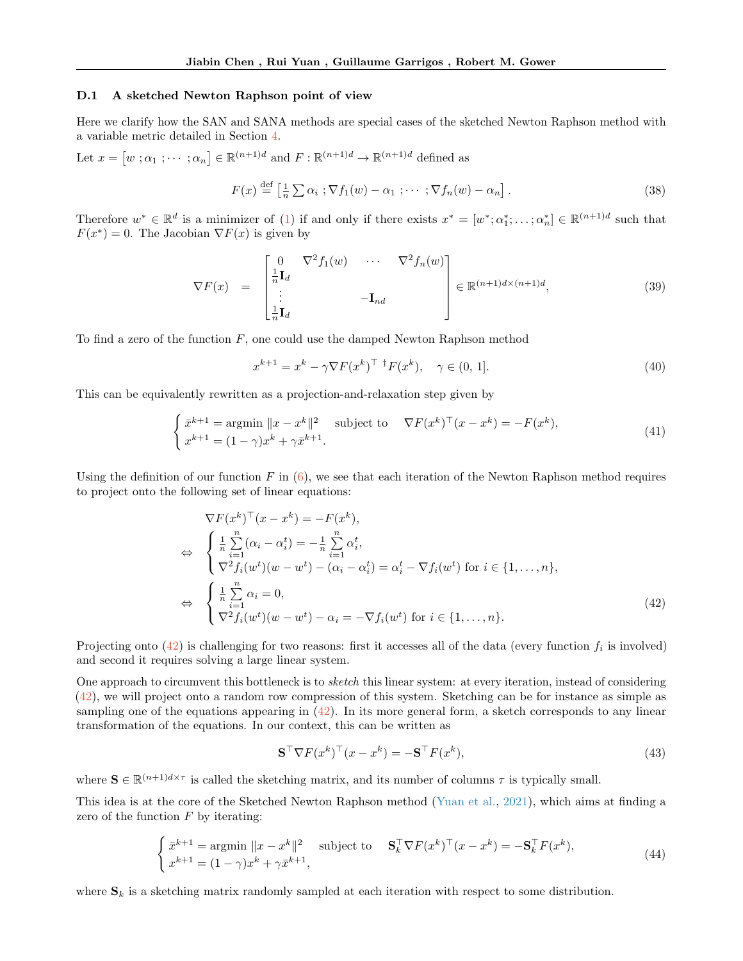#### D.1 A sketched Newton Raphson point of view

Here we clarify how the SAN and SANA methods are special cases of the sketched Newton Raphson method with a variable metric detailed in Section [4.](#page-6-1)

Let  $x = [w; \alpha_1; \cdots; \alpha_n] \in \mathbb{R}^{(n+1)d}$  and  $F : \mathbb{R}^{(n+1)d} \to \mathbb{R}^{(n+1)d}$  defined as

$$
F(x) \stackrel{\text{def}}{=} \left[\frac{1}{n} \sum \alpha_i ; \nabla f_1(w) - \alpha_1 ; \cdots ; \nabla f_n(w) - \alpha_n\right]. \tag{38}
$$

Therefore  $w^* \in \mathbb{R}^d$  is a minimizer of [\(1\)](#page-0-0) if and only if there exists  $x^* = [w^*; \alpha_1^*; \dots; \alpha_n^*] \in \mathbb{R}^{(n+1)d}$  such that  $F(x^*) = 0$ . The Jacobian  $\nabla F(x)$  is given by

<span id="page-26-2"></span>
$$
\nabla F(x) = \begin{bmatrix} 0 & \nabla^2 f_1(w) & \cdots & \nabla^2 f_n(w) \\ \n\frac{1}{n} \mathbf{I}_d & & & \\ \n\vdots & & & \\ \n\frac{1}{n} \mathbf{I}_d & & & \n\end{bmatrix} \in \mathbb{R}^{(n+1)d \times (n+1)d},
$$
\n(39)

To find a zero of the function  $F$ , one could use the damped Newton Raphson method

$$
x^{k+1} = x^k - \gamma \nabla F(x^k)^\top \, {}^\dagger F(x^k), \quad \gamma \in (0, 1]. \tag{40}
$$

This can be equivalently rewritten as a projection-and-relaxation step given by

$$
\begin{cases} \bar{x}^{k+1} = \operatorname{argmin} \|x - x^k\|^2 & \text{subject to} \quad \nabla F(x^k)^\top (x - x^k) = -F(x^k),\\ x^{k+1} = (1 - \gamma)x^k + \gamma \bar{x}^{k+1}.\end{cases} \tag{41}
$$

Using the definition of our function F in  $(6)$ , we see that each iteration of the Newton Raphson method requires to project onto the following set of linear equations:

<span id="page-26-0"></span>
$$
\nabla F(x^k)^\top (x - x^k) = -F(x^k),
$$
  
\n
$$
\Leftrightarrow \begin{cases} \frac{1}{n} \sum_{i=1}^n (\alpha_i - \alpha_i^t) = -\frac{1}{n} \sum_{i=1}^n \alpha_i^t, \\ \nabla^2 f_i(w^t) (w - w^t) - (\alpha_i - \alpha_i^t) = \alpha_i^t - \nabla f_i(w^t) \text{ for } i \in \{1, ..., n\}, \end{cases}
$$
  
\n
$$
\Leftrightarrow \begin{cases} \frac{1}{n} \sum_{i=1}^n \alpha_i = 0, \\ \nabla^2 f_i(w^t) (w - w^t) - \alpha_i = -\nabla f_i(w^t) \text{ for } i \in \{1, ..., n\}. \end{cases}
$$
\n(42)

Projecting onto  $(42)$  is challenging for two reasons: first it accesses all of the data (every function  $f_i$  is involved) and second it requires solving a large linear system.

One approach to circumvent this bottleneck is to *sketch* this linear system: at every iteration, instead of considering [\(42\)](#page-26-0), we will project onto a random row compression of this system. Sketching can be for instance as simple as sampling one of the equations appearing in  $(42)$ . In its more general form, a sketch corresponds to any linear transformation of the equations. In our context, this can be written as

<span id="page-26-1"></span>
$$
\mathbf{S}^{\top} \nabla F(x^k)^\top (x - x^k) = -\mathbf{S}^{\top} F(x^k),\tag{43}
$$

where  $\mathbf{S} \in \mathbb{R}^{(n+1)d \times \tau}$  is called the sketching matrix, and its number of columns  $\tau$  is typically small.

This idea is at the core of the Sketched Newton Raphson method [\(Yuan et al.,](#page-9-8) [2021\)](#page-9-8), which aims at finding a zero of the function  $F$  by iterating:

$$
\begin{cases} \bar{x}^{k+1} = \operatorname{argmin} \|x - x^k\|^2 & \text{subject to} \quad \mathbf{S}_k^\top \nabla F(x^k)^\top (x - x^k) = -\mathbf{S}_k^\top F(x^k),\\ x^{k+1} = (1 - \gamma)x^k + \gamma \bar{x}^{k+1}, \end{cases} \tag{44}
$$

where  $S_k$  is a sketching matrix randomly sampled at each iteration with respect to some distribution.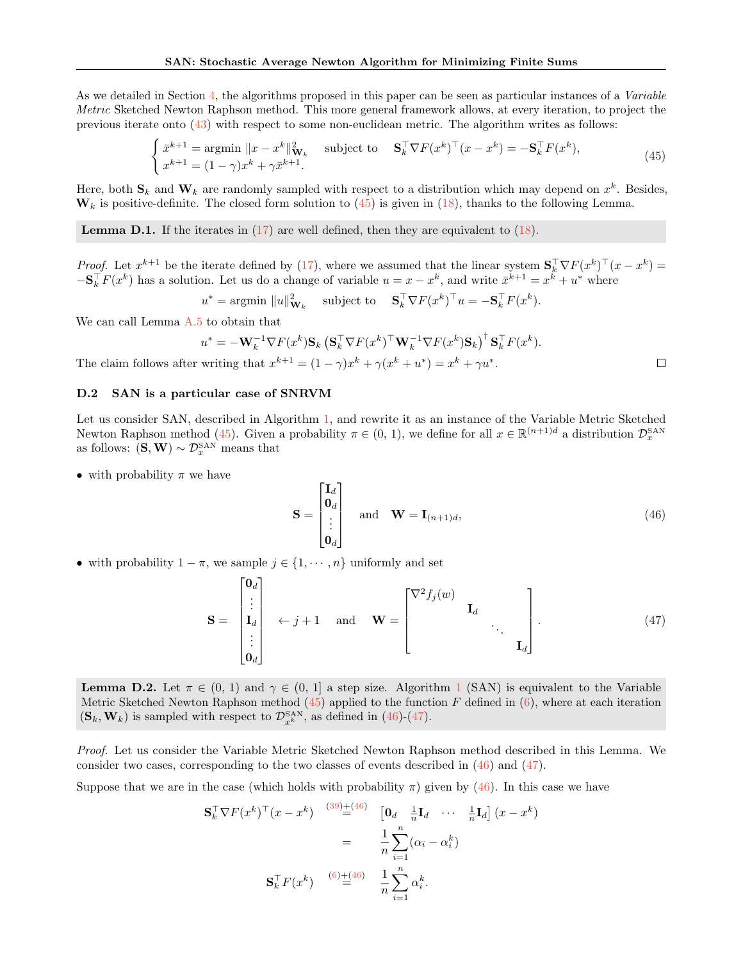As we detailed in Section [4,](#page-6-1) the algorithms proposed in this paper can be seen as particular instances of a Variable Metric Sketched Newton Raphson method. This more general framework allows, at every iteration, to project the previous iterate onto [\(43\)](#page-26-1) with respect to some non-euclidean metric. The algorithm writes as follows:

<span id="page-27-2"></span>
$$
\begin{cases} \bar{x}^{k+1} = \operatorname{argmin} \|x - x^k\|_{\mathbf{W}_k}^2 & \text{subject to} \quad \mathbf{S}_k^\top \nabla F(x^k)^\top (x - x^k) = -\mathbf{S}_k^\top F(x^k),\\ x^{k+1} = (1 - \gamma)x^k + \gamma \bar{x}^{k+1}.\end{cases} \tag{45}
$$

Here, both  $\mathbf{S}_k$  and  $\mathbf{W}_k$  are randomly sampled with respect to a distribution which may depend on  $x^k$ . Besides,  $\mathbf{W}_k$  is positive-definite. The closed form solution to [\(45\)](#page-27-2) is given in [\(18\)](#page-6-5), thanks to the following Lemma.

<span id="page-27-0"></span>**Lemma D.1.** If the iterates in  $(17)$  are well defined, then they are equivalent to  $(18)$ .

Proof. Let  $x^{k+1}$  be the iterate defined by [\(17\)](#page-6-3), where we assumed that the linear system  $S_k^{\top} \nabla F(x^k)^{\top} (x - x^k) =$  $-\mathbf{S}_k^{\top} F(x^k)$  has a solution. Let us do a change of variable  $u = x - x^k$ , and write  $\bar{x}^{k+1} = x^k + u^*$  where

 $u^* = \text{argmin } \|u\|_{\mathbf{W}_k}^2 \quad \text{ subject to } \quad \mathbf{S}_k^{\top} \nabla F(x^k)^{\top} u = -\mathbf{S}_k^{\top} F(x^k).$ 

We can call Lemma [A.5](#page-15-3) to obtain that

$$
u^* = -\mathbf{W}_k^{-1} \nabla F(x^k) \mathbf{S}_k \left( \mathbf{S}_k^\top \nabla F(x^k)^\top \mathbf{W}_k^{-1} \nabla F(x^k) \mathbf{S}_k \right)^\dagger \mathbf{S}_k^\top F(x^k).
$$
  
Writing that  $x^{k+1} = (1 - \gamma)x^k + \gamma(x^k + u^*) = x^k + \gamma u^*.$ 

The claim follows after writing that  $x^{k+1} = (1 - \gamma)x^k + \gamma(x^k + u^*) = x^k + \gamma u^*$ .

# <span id="page-27-1"></span>D.2 SAN is a particular case of SNRVM

Let us consider SAN, described in Algorithm [1,](#page-3-2) and rewrite it as an instance of the Variable Metric Sketched Newton Raphson method [\(45\)](#page-27-2). Given a probability  $\pi \in (0, 1)$ , we define for all  $x \in \mathbb{R}^{(n+1)d}$  a distribution  $\mathcal{D}_x^{\text{SAN}}$ as follows:  $(S, W) \sim \mathcal{D}_x^{SAN}$  means that

• with probability  $\pi$  we have

<span id="page-27-3"></span>
$$
\mathbf{S} = \begin{bmatrix} \mathbf{I}_d \\ \mathbf{0}_d \\ \vdots \\ \mathbf{0}_d \end{bmatrix} \quad \text{and} \quad \mathbf{W} = \mathbf{I}_{(n+1)d}, \tag{46}
$$

• with probability  $1 - \pi$ , we sample  $j \in \{1, \dots, n\}$  uniformly and set

<span id="page-27-4"></span>
$$
\mathbf{S} = \begin{bmatrix} \mathbf{0}_d \\ \vdots \\ \mathbf{I}_d \\ \vdots \\ \mathbf{0}_d \end{bmatrix} \leftarrow j+1 \quad \text{and} \quad \mathbf{W} = \begin{bmatrix} \nabla^2 f_j(w) \\ & \mathbf{I}_d \\ & & \ddots \\ & & & \mathbf{I}_d \end{bmatrix} . \tag{47}
$$

**Lemma D.2.** Let  $\pi \in (0, 1)$  $\pi \in (0, 1)$  $\pi \in (0, 1)$  and  $\gamma \in (0, 1]$  a step size. Algorithm 1 (SAN) is equivalent to the Variable Metric Sketched Newton Raphson method  $(45)$  applied to the function F defined in  $(6)$ , where at each iteration  $(\mathbf{S}_k, \mathbf{W}_k)$  is sampled with respect to  $\mathcal{D}_{x^k}^{\text{SAN}},$  as defined in [\(46\)](#page-27-3)-[\(47\)](#page-27-4).

Proof. Let us consider the Variable Metric Sketched Newton Raphson method described in this Lemma. We consider two cases, corresponding to the two classes of events described in  $(46)$  and  $(47)$ .

Suppose that we are in the case (which holds with probability  $\pi$ ) given by [\(46\)](#page-27-3). In this case we have

$$
\mathbf{S}_k^{\top} \nabla F(x^k)^{\top} (x - x^k) \stackrel{(39)\pm(46)}{=} \left[\begin{matrix} \mathbf{0}_d & \frac{1}{n} \mathbf{I}_d & \cdots & \frac{1}{n} \mathbf{I}_d \end{matrix} \right] (x - x^k)
$$

$$
= \frac{1}{n} \sum_{i=1}^n (\alpha_i - \alpha_i^k)
$$

$$
\mathbf{S}_k^{\top} F(x^k) \stackrel{(6)\pm(46)}{=} \frac{1}{n} \sum_{i=1}^n \alpha_i^k.
$$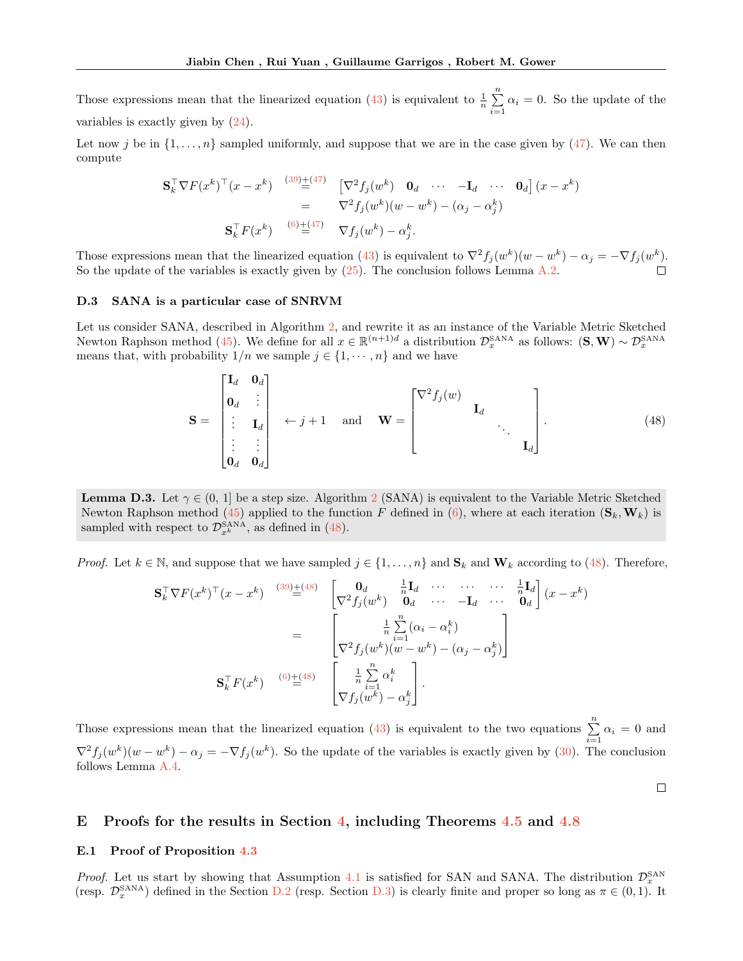Those expressions mean that the linearized equation [\(43\)](#page-26-1) is equivalent to  $\frac{1}{n} \sum_{n=1}^{\infty}$  $\sum_{i=1}^{\infty} \alpha_i = 0$ . So the update of the variables is exactly given by [\(24\)](#page-12-3).

Let now j be in  $\{1, \ldots, n\}$  sampled uniformly, and suppose that we are in the case given by [\(47\)](#page-27-4). We can then compute

$$
\begin{split} \mathbf{S}_k^\top \nabla F(x^k)^\top (x - x^k) & \stackrel{(39) + (47)}{=} \left[ \nabla^2 f_j(w^k) \quad \mathbf{0}_d \quad \cdots \quad -\mathbf{I}_d \quad \cdots \quad \mathbf{0}_d \right] (x - x^k) \\ & = \quad \nabla^2 f_j(w^k) (w - w^k) - (\alpha_j - \alpha_j^k) \\ \mathbf{S}_k^\top F(x^k) & \stackrel{(6) + (47)}{=} \quad \nabla f_j(w^k) - \alpha_j^k. \end{split}
$$

Those expressions mean that the linearized equation [\(43\)](#page-26-1) is equivalent to  $\nabla^2 f_j(w^k)(w - w^k) - \alpha_j = -\nabla f_j(w^k)$ . So the update of the variables is exactly given by [\(25\)](#page-12-4). The conclusion follows Lemma [A.2.](#page-12-0)

#### <span id="page-28-2"></span>D.3 SANA is a particular case of SNRVM

гT.

Let us consider SANA, described in Algorithm [2,](#page-3-8) and rewrite it as an instance of the Variable Metric Sketched Newton Raphson method [\(45\)](#page-27-2). We define for all  $x \in \mathbb{R}^{(n+1)d}$  a distribution  $\mathcal{D}_x^{\text{SANA}}$  as follows:  $(\mathbf{S}, \mathbf{W}) \sim \mathcal{D}_x^{\text{SANA}}$ means that, with probability  $1/n$  we sample  $j \in \{1, \dots, n\}$  and we have

<span id="page-28-1"></span>
$$
\mathbf{S} = \begin{bmatrix} \mathbf{I}_d & \mathbf{0}_d \\ \mathbf{0}_d & \vdots \\ \vdots & \mathbf{I}_d \\ \vdots & \vdots \\ \mathbf{0}_d & \mathbf{0}_d \end{bmatrix} \leftarrow j+1 \quad \text{and} \quad \mathbf{W} = \begin{bmatrix} \nabla^2 f_j(w) \\ & \mathbf{I}_d \\ & \ddots \\ & & \mathbf{I}_d \end{bmatrix} . \tag{48}
$$

**Lemma D.3.** Let  $\gamma \in (0, 1]$  be a step size. Algorithm [2](#page-3-8) (SANA) is equivalent to the Variable Metric Sketched Newton Raphson method [\(45\)](#page-27-2) applied to the function F defined in [\(6\)](#page-2-4), where at each iteration  $(\mathbf{S}_k, \mathbf{W}_k)$  is sampled with respect to  $\mathcal{D}_{x^k}^{\text{SANA}},$  as defined in [\(48\)](#page-28-1).

*Proof.* Let  $k \in \mathbb{N}$ , and suppose that we have sampled  $j \in \{1, \ldots, n\}$  and  $\mathbf{S}_k$  and  $\mathbf{W}_k$  according to [\(48\)](#page-28-1). Therefore,

$$
\mathbf{S}_{k}^{\top} \nabla F(x^{k})^{\top} (x - x^{k}) \stackrel{(39)\pm(48)}{=} \begin{bmatrix} \mathbf{0}_{d} & \frac{1}{n} \mathbf{I}_{d} & \cdots & \cdots & \cdots & \frac{1}{n} \mathbf{I}_{d} \\ \nabla^{2} f_{j}(w^{k}) & \mathbf{0}_{d} & \cdots & -\mathbf{I}_{d} & \cdots & \mathbf{0}_{d} \end{bmatrix} (x - x^{k})
$$
\n
$$
= \begin{bmatrix} \frac{1}{n} \sum_{i=1}^{n} (\alpha_{i} - \alpha_{i}^{k}) \\ \nabla^{2} f_{j}(w^{k})(w - w^{k}) - (\alpha_{j} - \alpha_{j}^{k}) \end{bmatrix}
$$
\n
$$
\mathbf{S}_{k}^{\top} F(x^{k}) \stackrel{(6)\pm(48)}{=} \begin{bmatrix} \frac{1}{n} \sum_{i=1}^{n} \alpha_{i}^{k} \\ \nabla f_{j}(w^{k}) - \alpha_{j}^{k} \end{bmatrix}.
$$

Those expressions mean that the linearized equation [\(43\)](#page-26-1) is equivalent to the two equations  $\sum_{i=1}^{n} \alpha_i = 0$  and  $\nabla^2 f_j(w^k)(w - w^k) - \alpha_j = -\nabla f_j(w^k)$ . So the update of the variables is exactly given by [\(30\)](#page-15-2). The conclusion follows Lemma [A.4.](#page-15-0)

 $\Box$ 

# <span id="page-28-0"></span>E Proofs for the results in Section [4,](#page-6-1) including Theorems [4.5](#page-7-1) and [4.8](#page-7-5)

#### <span id="page-28-3"></span>E.1 Proof of Proposition [4.3](#page-7-6)

*Proof.* Let us start by showing that Assumption [4.1](#page-6-4) is satisfied for SAN and SANA. The distribution  $\mathcal{D}_x^{\text{SAN}}$ (resp.  $\mathcal{D}_x^{\text{SANA}}$ ) defined in the Section [D.2](#page-27-1) (resp. Section [D.3\)](#page-28-2) is clearly finite and proper so long as  $\pi \in (0,1)$ . It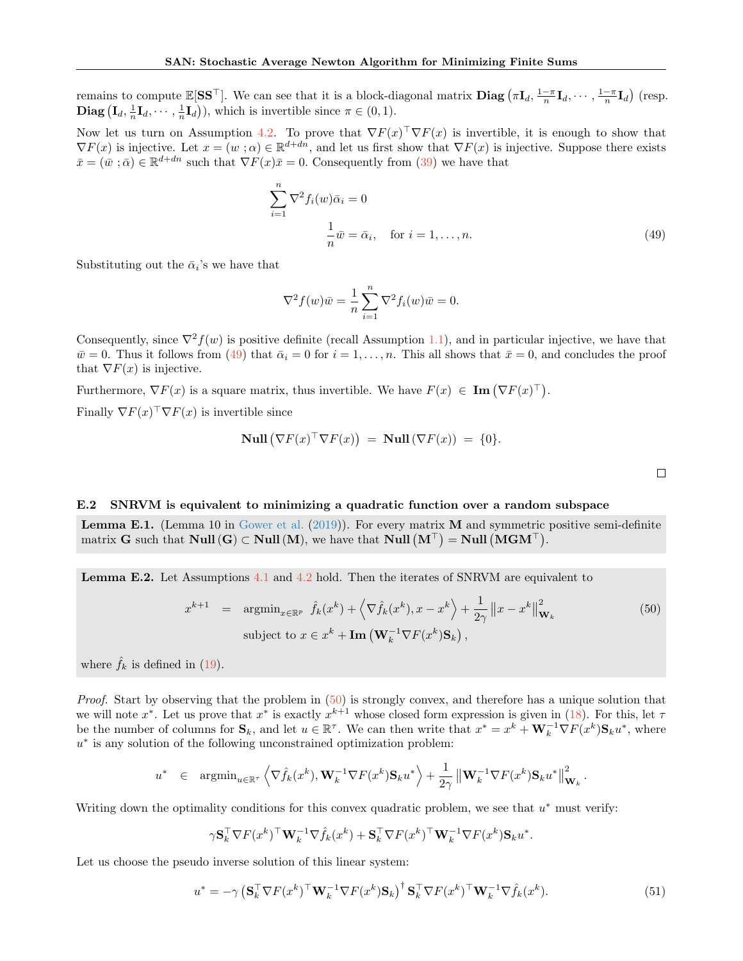remains to compute  $\mathbb{E}[\mathbf{S}\mathbf{S}^{\top}]$ . We can see that it is a block-diagonal matrix  $\mathbf{Diag}(\pi\mathbf{I}_d, \frac{1-\pi}{n}\mathbf{I}_d, \cdots, \frac{1-\pi}{n}\mathbf{I}_d)$  (resp. **Diag**  $(\mathbf{I}_d, \frac{1}{n}\mathbf{I}_d, \cdots, \frac{1}{n}\mathbf{I}_d)$ , which is invertible since  $\pi \in (0, 1)$ .

Now let us turn on Assumption [4.2.](#page-7-0) To prove that  $\nabla F(x)$   $\nabla F(x)$  is invertible, it is enough to show that  $\nabla F(x)$  is injective. Let  $x = (w : \alpha) \in \mathbb{R}^{d+dn}$ , and let us first show that  $\nabla F(x)$  is injective. Suppose there exists  $\bar{x} = (\bar{w}; \bar{\alpha}) \in \mathbb{R}^{d+dn}$  such that  $\nabla F(x)\bar{x} = 0$ . Consequently from [\(39\)](#page-26-2) we have that

$$
\sum_{i=1}^{n} \nabla^2 f_i(w) \bar{\alpha}_i = 0
$$
  

$$
\frac{1}{n} \bar{w} = \bar{\alpha}_i, \quad \text{for } i = 1, \dots, n.
$$
 (49)

Substituting out the  $\bar{\alpha}_i$ 's we have that

$$
\nabla^2 f(w)\overline{w} = \frac{1}{n} \sum_{i=1}^n \nabla^2 f_i(w)\overline{w} = 0.
$$

Consequently, since  $\nabla^2 f(w)$  is positive definite (recall Assumption [1.1\)](#page-2-5), and in particular injective, we have that  $\bar{w}=0$ . Thus it follows from [\(49\)](#page-29-1) that  $\bar{\alpha}_i=0$  for  $i=1,\ldots,n$ . This all shows that  $\bar{x}=0$ , and concludes the proof that  $\nabla F(x)$  is injective.

Furthermore,  $\nabla F(x)$  is a square matrix, thus invertible. We have  $F(x) \in \text{Im}(\nabla F(x)^{\top}).$ 

Finally  $\nabla F(x)$   $\nabla F(x)$  is invertible since

$$
\text{Null}\left(\nabla F(x)^\top \nabla F(x)\right) \ = \ \text{Null}\left(\nabla F(x)\right) \ = \ \{0\}.
$$

<span id="page-29-1"></span> $\Box$ 

#### E.2 SNRVM is equivalent to minimizing a quadratic function over a random subspace

<span id="page-29-3"></span>**Lemma E.1.** (Lemma 10 in [Gower et al.](#page-10-7)  $(2019)$ ). For every matrix **M** and symmetric positive semi-definite matrix G such that  $\text{Null}(G) \subset \text{Null}(M)$ , we have that  $\text{Null}(M^{\top}) = \text{Null}(MGM^{\top})$ .

<span id="page-29-0"></span>Lemma E.2. Let Assumptions [4.1](#page-6-4) and [4.2](#page-7-0) hold. Then the iterates of SNRVM are equivalent to

<span id="page-29-2"></span>
$$
x^{k+1} = \operatorname{argmin}_{x \in \mathbb{R}^p} \hat{f}_k(x^k) + \left\langle \nabla \hat{f}_k(x^k), x - x^k \right\rangle + \frac{1}{2\gamma} \|x - x^k\|_{\mathbf{W}_k}^2
$$
(50)  
subject to  $x \in x^k + \mathbf{Im} \left( \mathbf{W}_k^{-1} \nabla F(x^k) \mathbf{S}_k \right),$ 

where  $\hat{f}_k$  is defined in [\(19\)](#page-7-7).

Proof. Start by observing that the problem in  $(50)$  is strongly convex, and therefore has a unique solution that we will note  $x^*$ . Let us prove that  $x^*$  is exactly  $x^{k+1}$  whose closed form expression is given in [\(18\)](#page-6-5). For this, let  $\tau$ be the number of columns for  $\mathbf{S}_k$ , and let  $u \in \mathbb{R}^{\tau}$ . We can then write that  $x^* = x^k + \mathbf{W}_k^{-1} \nabla F(x^k) \mathbf{S}_k u^*$ , where u ∗ is any solution of the following unconstrained optimization problem:

$$
u^* \in \operatorname{argmin}_{u \in \mathbb{R}^\tau} \left\langle \nabla \hat{f}_k(x^k), \mathbf{W}_k^{-1} \nabla F(x^k) \mathbf{S}_k u^* \right\rangle + \frac{1}{2\gamma} \left\| \mathbf{W}_k^{-1} \nabla F(x^k) \mathbf{S}_k u^* \right\|_{\mathbf{W}_k}^2.
$$

Writing down the optimality conditions for this convex quadratic problem, we see that  $u^*$  must verify:

$$
\gamma \mathbf{S}_k^\top \nabla F(x^k)^\top \mathbf{W}_k^{-1} \nabla \hat{f}_k(x^k) + \mathbf{S}_k^\top \nabla F(x^k)^\top \mathbf{W}_k^{-1} \nabla F(x^k) \mathbf{S}_k u^*.
$$

Let us choose the pseudo inverse solution of this linear system:

<span id="page-29-4"></span>
$$
u^* = -\gamma \left(\mathbf{S}_k^\top \nabla F(x^k)^\top \mathbf{W}_k^{-1} \nabla F(x^k) \mathbf{S}_k\right)^\dagger \mathbf{S}_k^\top \nabla F(x^k)^\top \mathbf{W}_k^{-1} \nabla \hat{f}_k(x^k).
$$
 (51)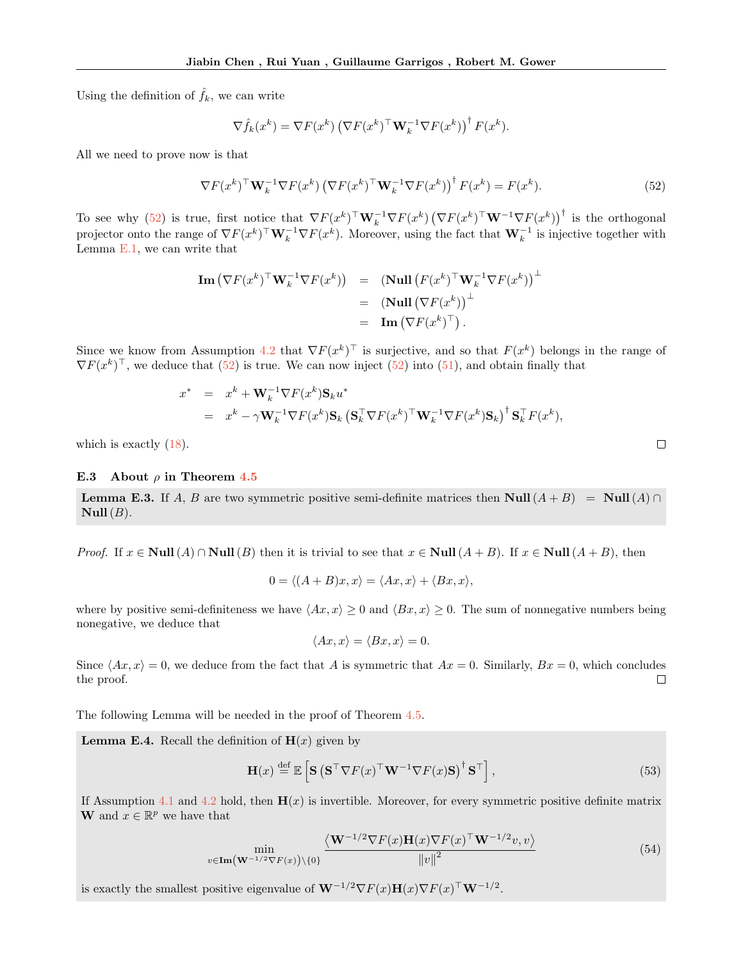Using the definition of  $\hat{f}_k$ , we can write

$$
\nabla \hat{f}_k(x^k) = \nabla F(x^k) \left( \nabla F(x^k)^\top \mathbf{W}_k^{-1} \nabla F(x^k) \right)^\dagger F(x^k).
$$

All we need to prove now is that

<span id="page-30-0"></span>
$$
\nabla F(x^k)^\top \mathbf{W}_k^{-1} \nabla F(x^k) \left( \nabla F(x^k)^\top \mathbf{W}_k^{-1} \nabla F(x^k) \right)^\dagger F(x^k) = F(x^k). \tag{52}
$$

To see why [\(52\)](#page-30-0) is true, first notice that  $\nabla F(x^k)^\top \mathbf{W}_k^{-1} \nabla F(x^k) \left( \nabla F(x^k)^\top \mathbf{W}^{-1} \nabla F(x^k) \right)^\dagger$  is the orthogonal projector onto the range of  $\nabla F(x^k)^\top \mathbf{W}_k^{-1} \nabla F(x^k)$ . Moreover, using the fact that  $\mathbf{W}_k^{-1}$  is injective together with Lemma [E.1,](#page-29-3) we can write that

$$
\mathbf{Im}(\nabla F(x^k)^{\top} \mathbf{W}_k^{-1} \nabla F(x^k)) = (\mathbf{Null} (F(x^k)^{\top} \mathbf{W}_k^{-1} \nabla F(x^k))^{\top}
$$

$$
= (\mathbf{Null} (\nabla F(x^k))^{\top})^{\top}
$$

$$
= \mathbf{Im}(\nabla F(x^k)^{\top}).
$$

Since we know from Assumption [4.2](#page-7-0) that  $\nabla F(x^k)^\top$  is surjective, and so that  $F(x^k)$  belongs in the range of  $\nabla F(x^k)^\top$ , we deduce that  $(52)$  is true. We can now inject  $(52)$  into  $(51)$ , and obtain finally that

$$
x^* = x^k + \mathbf{W}_k^{-1} \nabla F(x^k) \mathbf{S}_k u^*
$$
  
=  $x^k - \gamma \mathbf{W}_k^{-1} \nabla F(x^k) \mathbf{S}_k (\mathbf{S}_k^\top \nabla F(x^k)^\top \mathbf{W}_k^{-1} \nabla F(x^k) \mathbf{S}_k)^\dagger \mathbf{S}_k^\top F(x^k),$ 

which is exactly  $(18)$ .

### E.3 About  $\rho$  in Theorem [4.5](#page-7-1)

<span id="page-30-1"></span>**Lemma E.3.** If A, B are two symmetric positive semi-definite matrices then Null  $(A + B) =$  Null  $(A) \cap$  $Null(B).$ 

*Proof.* If  $x \in Null(A) \cap Null(B)$  then it is trivial to see that  $x \in Null(A + B)$ . If  $x \in Null(A + B)$ , then

$$
0 = \langle (A+B)x, x \rangle = \langle Ax, x \rangle + \langle Bx, x \rangle,
$$

where by positive semi-definiteness we have  $\langle Ax, x \rangle \ge 0$  and  $\langle Bx, x \rangle \ge 0$ . The sum of nonnegative numbers being nonegative, we deduce that

$$
\langle Ax, x \rangle = \langle Bx, x \rangle = 0.
$$

Since  $\langle Ax, x \rangle = 0$ , we deduce from the fact that A is symmetric that  $Ax = 0$ . Similarly,  $Bx = 0$ , which concludes the proof. the proof.

The following Lemma will be needed in the proof of Theorem [4.5.](#page-7-1)

<span id="page-30-3"></span>**Lemma E.4.** Recall the definition of  $H(x)$  given by

$$
\mathbf{H}(x) \stackrel{\text{def}}{=} \mathbb{E}\left[\mathbf{S}\left(\mathbf{S}^\top \nabla F(x)^\top \mathbf{W}^{-1} \nabla F(x) \mathbf{S}\right)^\dagger \mathbf{S}^\top\right],\tag{53}
$$

If Assumption [4.1](#page-6-4) and [4.2](#page-7-0) hold, then  $H(x)$  is invertible. Moreover, for every symmetric positive definite matrix **W** and  $x \in \mathbb{R}^p$  we have that

<span id="page-30-2"></span>
$$
\min_{v \in \mathbf{Im}(\mathbf{W}^{-1/2}\nabla F(x)) \setminus \{0\}} \frac{\langle \mathbf{W}^{-1/2}\nabla F(x)\mathbf{H}(x)\nabla F(x)^\top \mathbf{W}^{-1/2}v, v\rangle}{\|v\|^2} \tag{54}
$$

is exactly the smallest positive eigenvalue of  $\mathbf{W}^{-1/2} \nabla F(x) \mathbf{H}(x) \nabla F(x)^\top \mathbf{W}^{-1/2}$ .

<span id="page-30-4"></span> $\Box$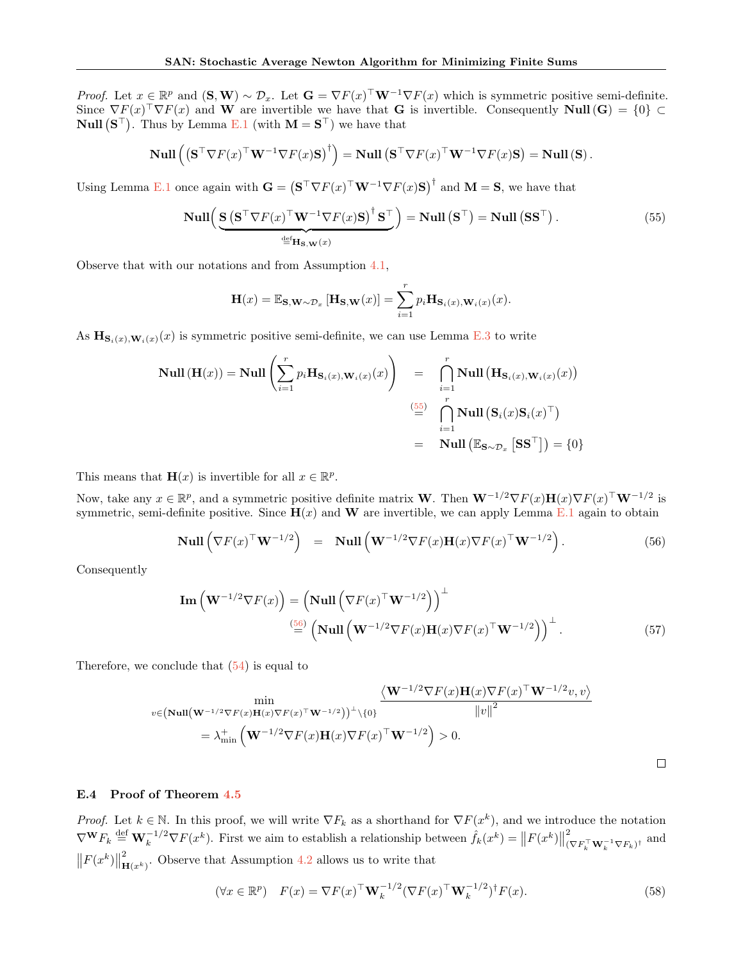*Proof.* Let  $x \in \mathbb{R}^p$  and  $(\mathbf{S}, \mathbf{W}) \sim \mathcal{D}_x$ . Let  $\mathbf{G} = \nabla F(x)^\top \mathbf{W}^{-1} \nabla F(x)$  which is symmetric positive semi-definite. Since  $\nabla F(x)$   $\nabla F(x)$  and W are invertible we have that G is invertible. Consequently Null(G) = {0} ⊂ **Null**  $(S^{\top})$ . Thus by Lemma [E.1](#page-29-3) (with  $M = S^{\top}$ ) we have that

$$
\mathrm{Null}\left(\left(\mathbf{S}^\top \nabla F(x)^\top \mathbf{W}^{-1} \nabla F(x) \mathbf{S}\right)^\dagger\right) = \mathrm{Null}\left(\mathbf{S}^\top \nabla F(x)^\top \mathbf{W}^{-1} \nabla F(x) \mathbf{S}\right) = \mathrm{Null}\left(\mathbf{S}\right).
$$

Using Lemma [E.1](#page-29-3) once again with  $\mathbf{G} = (\mathbf{S}^\top \nabla F(x)^\top \mathbf{W}^{-1} \nabla F(x) \mathbf{S})^\top$  and  $\mathbf{M} = \mathbf{S}$ , we have that

<span id="page-31-1"></span>
$$
\text{Null}\left(\underbrace{\mathbf{S}\left(\mathbf{S}^{\top}\nabla F(x)^{\top}\mathbf{W}^{-1}\nabla F(x)\mathbf{S}\right)^{\dagger}\mathbf{S}^{\top}}_{\stackrel{\text{def}}{=} \mathbf{H}_{\mathbf{S},\mathbf{W}}(x)}\right) = \text{Null}\left(\mathbf{S}^{\top}\right) = \text{Null}\left(\mathbf{S}\mathbf{S}^{\top}\right). \tag{55}
$$

Observe that with our notations and from Assumption [4.1,](#page-6-4)

$$
\mathbf{H}(x) = \mathbb{E}_{\mathbf{S}, \mathbf{W} \sim \mathcal{D}_x} [\mathbf{H}_{\mathbf{S}, \mathbf{W}}(x)] = \sum_{i=1}^r p_i \mathbf{H}_{\mathbf{S}_i(x), \mathbf{W}_i(x)}(x).
$$

As  $\mathbf{H}_{\mathbf{S}_i(x),\mathbf{W}_i(x)}(x)$  is symmetric positive semi-definite, we can use Lemma [E.3](#page-30-1) to write

<span id="page-31-2"></span>
$$
\text{Null}(\mathbf{H}(x)) = \text{Null}\left(\sum_{i=1}^{r} p_i \mathbf{H}_{\mathbf{S}_i(x), \mathbf{W}_i(x)}(x)\right) = \bigcap_{i=1}^{r} \text{Null}(\mathbf{H}_{\mathbf{S}_i(x), \mathbf{W}_i(x)}(x))
$$
\n
$$
\stackrel{\left(\underset{i=1}{\overset{55}{\equiv}}\right)}{\underset{i=1}{\bigcap}} \text{Null}(\mathbf{S}_i(x)\mathbf{S}_i(x)^{\top})
$$
\n
$$
= \text{Null}(\mathbb{E}_{\mathbf{S}\sim\mathcal{D}_x}\left[\mathbf{S}\mathbf{S}^{\top}\right]) = \{0\}
$$

This means that  $\mathbf{H}(x)$  is invertible for all  $x \in \mathbb{R}^p$ .

Now, take any  $x \in \mathbb{R}^p$ , and a symmetric positive definite matrix **W**. Then  $\mathbf{W}^{-1/2}\nabla F(x)\mathbf{H}(x)\nabla F(x)^\top \mathbf{W}^{-1/2}$  is symmetric, semi-definite positive. Since  $H(x)$  and W are invertible, we can apply Lemma [E.1](#page-29-3) again to obtain

$$
\text{Null}\left(\nabla F(x)^\top \mathbf{W}^{-1/2}\right) = \text{Null}\left(\mathbf{W}^{-1/2} \nabla F(x) \mathbf{H}(x) \nabla F(x)^\top \mathbf{W}^{-1/2}\right). \tag{56}
$$

Consequently

$$
\mathbf{Im}\left(\mathbf{W}^{-1/2}\nabla F(x)\right) = \left(\mathbf{Null}\left(\nabla F(x)^\top \mathbf{W}^{-1/2}\right)\right)^\perp
$$
  
\n
$$
\stackrel{(56)}{=} \left(\mathbf{Null}\left(\mathbf{W}^{-1/2}\nabla F(x)\mathbf{H}(x)\nabla F(x)^\top \mathbf{W}^{-1/2}\right)\right)^\perp.
$$
\n(57)

Therefore, we conclude that [\(54\)](#page-30-2) is equal to

$$
\begin{aligned}\n&\min_{v \in (\mathbf{Null}(\mathbf{W}^{-1/2}\nabla F(x)\mathbf{H}(x)\nabla F(x)^{\top}\mathbf{W}^{-1/2}v,\,v)} \frac{\langle \mathbf{W}^{-1/2}\nabla F(x)\mathbf{H}(x)\nabla F(x)^{\top}\mathbf{W}^{-1/2}v,\,v\rangle}{\|v\|^2} \\
&= \lambda_{\min}^+ \left( \mathbf{W}^{-1/2}\nabla F(x)\mathbf{H}(x)\nabla F(x)^{\top}\mathbf{W}^{-1/2} \right) > 0.\n\end{aligned}
$$

# <span id="page-31-0"></span>E.4 Proof of Theorem [4.5](#page-7-1)

*Proof.* Let  $k \in \mathbb{N}$ . In this proof, we will write  $\nabla F_k$  as a shorthand for  $\nabla F(x^k)$ , and we introduce the notation  $\nabla^{\mathbf{W}} F_k \stackrel{\text{def}}{=} \mathbf{W}_k^{-1/2} \nabla F(x^k)$ . First we aim to establish a relationship between  $\hat{f}_k(x^k) = ||F(x^k)||$ 2  $(\nabla F_k^\top \mathbf{W}_k^{-1} \nabla F_k)^\dagger$  and  $\|F(x^k)\|$ 2  $H(x^k)$ . Observe that Assumption [4.2](#page-7-0) allows us to write that

<span id="page-31-3"></span>
$$
(\forall x \in \mathbb{R}^p) \quad F(x) = \nabla F(x)^\top \mathbf{W}_k^{-1/2} (\nabla F(x)^\top \mathbf{W}_k^{-1/2})^\dagger F(x). \tag{58}
$$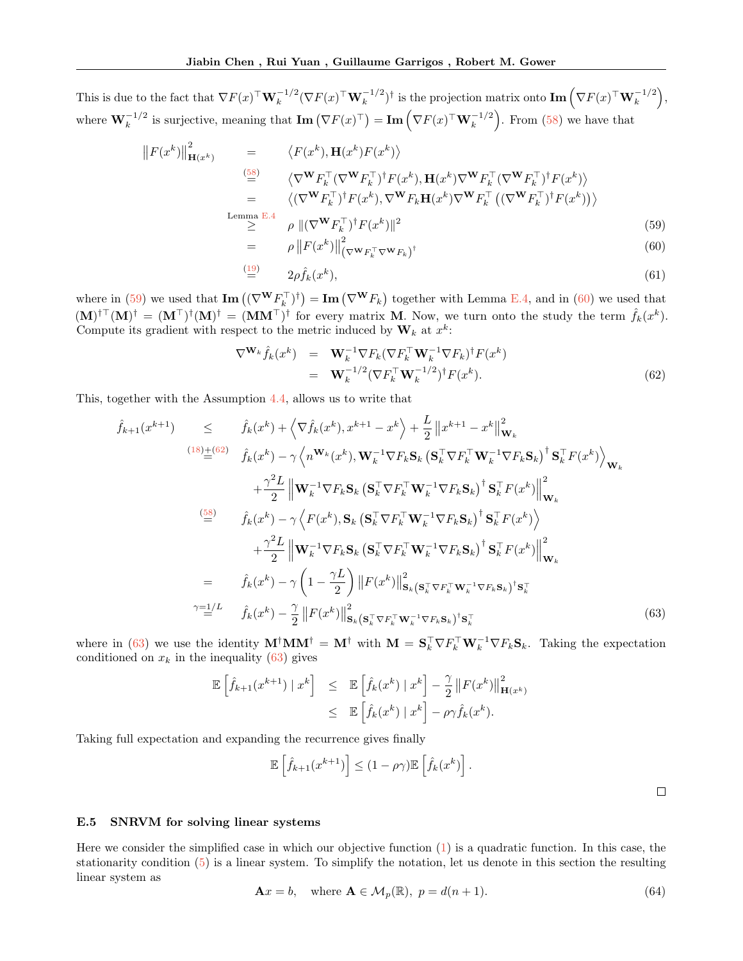This is due to the fact that  $\nabla F(x)^\top \mathbf{W}_k^{-1/2} (\nabla F(x)^\top \mathbf{W}_k^{-1/2})^\dagger$  is the projection matrix onto  $\text{Im}\left(\nabla F(x)^\top \mathbf{W}_k^{-1/2}\right)$ , where  $\mathbf{W}_k^{-1/2}$  is surjective, meaning that  $\mathbf{Im}(\nabla F(x)^{\top}) = \mathbf{Im}(\nabla F(x)^{\top} \mathbf{W}_k^{-1/2})$ . From [\(58\)](#page-31-3) we have that

<span id="page-32-1"></span>
$$
\|F(x^{k})\|_{\mathbf{H}(x^{k})}^{2} = \langle F(x^{k}), \mathbf{H}(x^{k})F(x^{k}) \rangle
$$
\n
$$
\stackrel{\text{(58)}}{=} \langle \nabla^{\mathbf{W}} F_{k}^{\top} (\nabla^{\mathbf{W}} F_{k}^{\top})^{\dagger} F(x^{k}), \mathbf{H}(x^{k}) \nabla^{\mathbf{W}} F_{k}^{\top} (\nabla^{\mathbf{W}} F_{k}^{\top})^{\dagger} F(x^{k}) \rangle
$$
\n
$$
= \langle (\nabla^{\mathbf{W}} F_{k}^{\top})^{\dagger} F(x^{k}), \nabla^{\mathbf{W}} F_{k} \mathbf{H}(x^{k}) \nabla^{\mathbf{W}} F_{k}^{\top} ((\nabla^{\mathbf{W}} F_{k}^{\top})^{\dagger} F(x^{k})) \rangle
$$
\n
$$
\stackrel{\text{Lemma E.4}}{\geq} \rho \|(\nabla^{\mathbf{W}} F_{k}^{\top})^{\dagger} F(x^{k})\|^{2}
$$
\n
$$
= \rho \|F(x^{k})\|^{2}
$$
\n(59)

$$
= \rho \left\| F(x^k) \right\|_{\left(\nabla^{\mathbf{W}} F_k^\top \nabla^{\mathbf{W}} F_k\right)^\dagger}^{\beta} \tag{60}
$$

$$
\stackrel{(19)}{=} \qquad 2\rho \hat{f}_k(x^k),\tag{61}
$$

where in [\(59\)](#page-32-1) we used that  $\text{Im}((\nabla^{\mathbf{W}} F_{k}^{\top})^{\dagger}) = \text{Im}(\nabla^{\mathbf{W}} F_{k})$  together with Lemma [E.4,](#page-30-3) and in [\(60\)](#page-32-1) we used that  $(M)^{\dagger \top} (M)^{\dagger} = (M^{\top})^{\dagger} (M)^{\dagger} = (MM^{\top})^{\dagger}$  for every matrix M. Now, we turn onto the study the term  $\hat{f}_k(x^k)$ . Compute its gradient with respect to the metric induced by  $\mathbf{W}_k$  at  $x^k$ :

<span id="page-32-2"></span>
$$
\nabla^{\mathbf{W}_{k}} \hat{f}_{k}(x^{k}) = \mathbf{W}_{k}^{-1} \nabla F_{k} (\nabla F_{k}^{\top} \mathbf{W}_{k}^{-1} \nabla F_{k})^{\dagger} F(x^{k})
$$
  

$$
= \mathbf{W}_{k}^{-1/2} (\nabla F_{k}^{\top} \mathbf{W}_{k}^{-1/2})^{\dagger} F(x^{k}).
$$
 (62)

This, together with the Assumption [4.4,](#page-7-2) allows us to write that

<span id="page-32-3"></span>
$$
\hat{f}_{k+1}(x^{k+1}) \leq \hat{f}_k(x^k) + \left\langle \nabla \hat{f}_k(x^k), x^{k+1} - x^k \right\rangle + \frac{L}{2} ||x^{k+1} - x^k||_{\mathbf{W}_k}^2
$$
\n
$$
\xrightarrow{(18) \pm (62)} \hat{f}_k(x^k) - \gamma \left\langle n^{\mathbf{W}_k}(x^k), \mathbf{W}_k^{-1} \nabla F_k \mathbf{S}_k \left( \mathbf{S}_k^\top \nabla F_k^\top \mathbf{W}_k^{-1} \nabla F_k \mathbf{S}_k \right)^{\dagger} \mathbf{S}_k^\top F(x^k) \right\rangle_{\mathbf{W}_k}
$$
\n
$$
+ \frac{\gamma^2 L}{2} ||\mathbf{W}_k^{-1} \nabla F_k \mathbf{S}_k \left( \mathbf{S}_k^\top \nabla F_k^\top \mathbf{W}_k^{-1} \nabla F_k \mathbf{S}_k \right)^{\dagger} \mathbf{S}_k^\top F(x^k) ||_{\mathbf{W}_k}^2
$$
\n
$$
\xrightarrow{\text{(58)}} \hat{f}_k(x^k) - \gamma \left\langle F(x^k), \mathbf{S}_k \left( \mathbf{S}_k^\top \nabla F_k^\top \mathbf{W}_k^{-1} \nabla F_k \mathbf{S}_k \right)^{\dagger} \mathbf{S}_k^\top F(x^k) \right\rangle
$$
\n
$$
+ \frac{\gamma^2 L}{2} ||\mathbf{W}_k^{-1} \nabla F_k \mathbf{S}_k \left( \mathbf{S}_k^\top \nabla F_k^\top \mathbf{W}_k^{-1} \nabla F_k \mathbf{S}_k \right)^{\dagger} \mathbf{S}_k^\top F(x^k) ||_{\mathbf{W}_k}^2
$$
\n
$$
= \hat{f}_k(x^k) - \gamma \left( 1 - \frac{\gamma L}{2} \right) ||F(x^k)||_{\mathbf{S}_k(\mathbf{S}_k^\top \nabla F_k^\top \mathbf{W}_k^{-1} \nabla F_k \mathbf{S}_k)^{\dagger} \mathbf{S}_k^\top
$$
\n
$$
\gamma = \frac{1}{2} L \quad \hat{f}_k(x^k) - \frac{\gamma}{2} ||F(x^k)||_{\mathbf
$$

where in [\(63\)](#page-32-3) we use the identity  $M^{\dagger}MM^{\dagger} = M^{\dagger}$  with  $M = S_k^{\top} \nabla F_k^{\top} W_k^{-1} \nabla F_k S_k$ . Taking the expectation conditioned on  $x_k$  in the inequality [\(63\)](#page-32-3) gives

<span id="page-32-4"></span>
$$
\mathbb{E}\left[\hat{f}_{k+1}(x^{k+1}) \mid x^k\right] \leq \mathbb{E}\left[\hat{f}_k(x^k) \mid x^k\right] - \frac{\gamma}{2} \|F(x^k)\|_{\mathbf{H}(x^k)}^2
$$

$$
\leq \mathbb{E}\left[\hat{f}_k(x^k) \mid x^k\right] - \rho \gamma \hat{f}_k(x^k).
$$

Taking full expectation and expanding the recurrence gives finally

$$
\mathbb{E}\left[\hat{f}_{k+1}(x^{k+1})\right] \le (1-\rho\gamma)\mathbb{E}\left[\hat{f}_k(x^k)\right].
$$

 $\Box$ 

<span id="page-32-0"></span>E.5 SNRVM for solving linear systems

Here we consider the simplified case in which our objective function [\(1\)](#page-0-0) is a quadratic function. In this case, the stationarity condition [\(5\)](#page-1-3) is a linear system. To simplify the notation, let us denote in this section the resulting linear system as

$$
\mathbf{A}x = b, \quad \text{where } \mathbf{A} \in \mathcal{M}_p(\mathbb{R}), \ p = d(n+1). \tag{64}
$$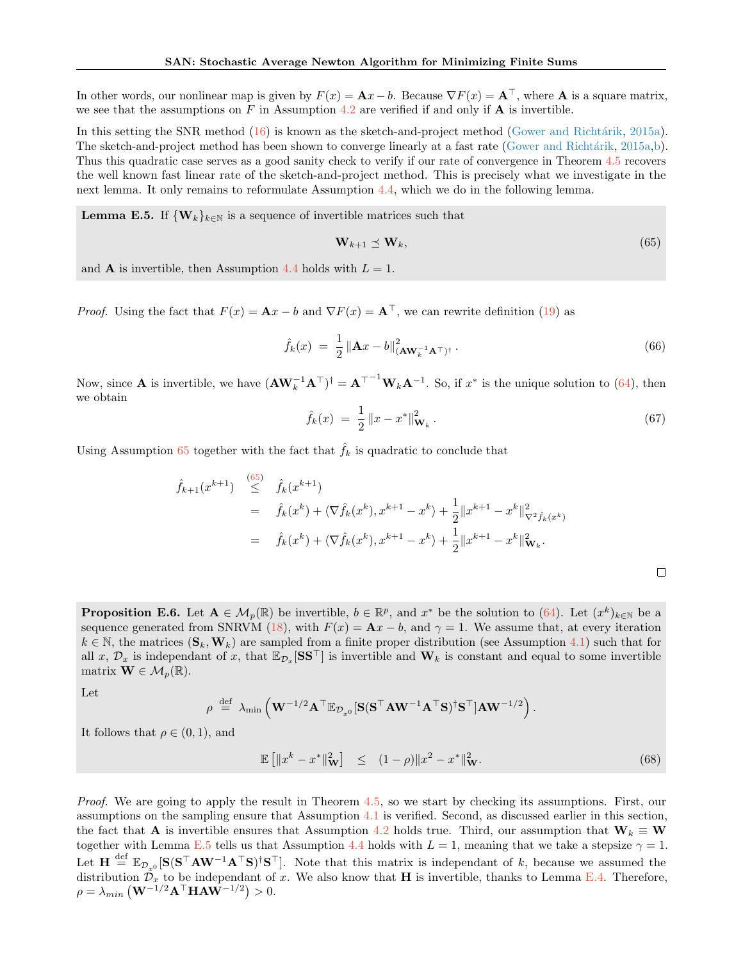In other words, our nonlinear map is given by  $F(x) = \mathbf{A}x - b$ . Because  $\nabla F(x) = \mathbf{A}^\top$ , where  $\mathbf{A}$  is a square matrix, we see that the assumptions on F in Assumption [4.2](#page-7-0) are verified if and only if  $\bf{A}$  is invertible.

In this setting the SNR method [\(16\)](#page-6-2) is known as the sketch-and-project method (Gower and Richtárik, [2015a\)](#page-9-9). The sketch-and-project method has been shown to converge linearly at a fast rate (Gower and Richtárik, [2015a,](#page-9-9)[b\)](#page-10-8). Thus this quadratic case serves as a good sanity check to verify if our rate of convergence in Theorem [4.5](#page-7-1) recovers the well known fast linear rate of the sketch-and-project method. This is precisely what we investigate in the next lemma. It only remains to reformulate Assumption [4.4,](#page-7-2) which we do in the following lemma.

<span id="page-33-1"></span>**Lemma E.5.** If  $\{W_k\}_{k\in\mathbb{N}}$  is a sequence of invertible matrices such that

<span id="page-33-0"></span>
$$
\mathbf{W}_{k+1} \preceq \mathbf{W}_k,\tag{65}
$$

and **A** is invertible, then Assumption [4.4](#page-7-2) holds with  $L = 1$ .

*Proof.* Using the fact that  $F(x) = \mathbf{A}x - b$  and  $\nabla F(x) = \mathbf{A}^\top$ , we can rewrite definition [\(19\)](#page-7-7) as

$$
\hat{f}_k(x) = \frac{1}{2} \left\| \mathbf{A} x - b \right\|_{(\mathbf{A} \mathbf{W}_k^{-1} \mathbf{A}^\top)^\dagger}^2.
$$
\n(66)

Now, since **A** is invertible, we have  $(\mathbf{A}\mathbf{W}_k^{-1}\mathbf{A}^\top)^{\dagger} = \mathbf{A}^{\top-1}\mathbf{W}_k\mathbf{A}^{-1}$ . So, if  $x^*$  is the unique solution to [\(64\)](#page-32-4), then we obtain

$$
\hat{f}_k(x) = \frac{1}{2} \|x - x^*\|_{\mathbf{W}_k}^2.
$$
\n(67)

Using Assumption [65](#page-33-0) together with the fact that  $\hat{f}_k$  is quadratic to conclude that

$$
\hat{f}_{k+1}(x^{k+1}) \stackrel{(65)}{\leq} \hat{f}_k(x^{k+1})
$$
\n
$$
= \hat{f}_k(x^k) + \langle \nabla \hat{f}_k(x^k), x^{k+1} - x^k \rangle + \frac{1}{2} ||x^{k+1} - x^k||_{\nabla^2 \hat{f}_k(x^k)}^2
$$
\n
$$
= \hat{f}_k(x^k) + \langle \nabla \hat{f}_k(x^k), x^{k+1} - x^k \rangle + \frac{1}{2} ||x^{k+1} - x^k||_{\nabla_k}^2.
$$

<span id="page-33-3"></span>**Proposition E.6.** Let  $A \in M_p(\mathbb{R})$  be invertible,  $b \in \mathbb{R}^p$ , and  $x^*$  be the solution to [\(64\)](#page-32-4). Let  $(x^k)_{k \in \mathbb{N}}$  be a sequence generated from SNRVM [\(18\)](#page-6-5), with  $F(x) = Ax - b$ , and  $\gamma = 1$ . We assume that, at every iteration  $k \in \mathbb{N}$ , the matrices  $(\mathbf{S}_k, \mathbf{W}_k)$  are sampled from a finite proper distribution (see Assumption [4.1\)](#page-6-4) such that for all x,  $\mathcal{D}_x$  is independant of x, that  $\mathbb{E}_{\mathcal{D}_x}[\mathbf{S}\mathbf{S}^\top]$  is invertible and  $\mathbf{W}_k$  is constant and equal to some invertible matrix  $\mathbf{W} \in \mathcal{M}_p(\mathbb{R})$ .

Let

$$
\rho \stackrel{\mathrm{def}}{=} \lambda_{\min}\left(\mathbf{W}^{-1/2}\mathbf{A}^\top \mathbb{E}_{\mathcal{D}_{x^0}}[\mathbf{S}(\mathbf{S}^\top \mathbf{A} \mathbf{W}^{-1} \mathbf{A}^\top \mathbf{S})^{\dagger} \mathbf{S}^\top ] \mathbf{A} \mathbf{W}^{-1/2}\right).
$$

It follows that  $\rho \in (0,1)$ , and

<span id="page-33-2"></span>
$$
\mathbb{E}\left[\|x^k - x^*\|^2_{\mathbf{W}}\right] \le (1 - \rho)\|x^2 - x^*\|^2_{\mathbf{W}}.\tag{68}
$$

Proof. We are going to apply the result in Theorem [4.5,](#page-7-1) so we start by checking its assumptions. First, our assumptions on the sampling ensure that Assumption [4.1](#page-6-4) is verified. Second, as discussed earlier in this section, the fact that **A** is invertible ensures that Assumption [4.2](#page-7-0) holds true. Third, our assumption that  $W_k \equiv W$ together with Lemma [E.5](#page-33-1) tells us that Assumption [4.4](#page-7-2) holds with  $L = 1$ , meaning that we take a stepsize  $\gamma = 1$ . Let  $\mathbf{H} \stackrel{\text{def}}{=} \mathbb{E}_{\mathcal{D}_{x^0}}[\mathbf{S}(\mathbf{S}^\top \mathbf{A} \mathbf{W}^{-1} \mathbf{A}^\top \mathbf{S})^\dagger \mathbf{S}^\top]$ . Note that this matrix is independant of k, because we assumed the distribution  $\mathcal{D}_x$  to be independant of x. We also know that **H** is invertible, thanks to Lemma [E.4.](#page-30-3) Therefore,  $\rho = \lambda_{min} \left( \mathbf{W}^{-1/2} \mathbf{A}^\top \mathbf{H} \mathbf{A} \mathbf{W}^{-1/2} \right) > 0.$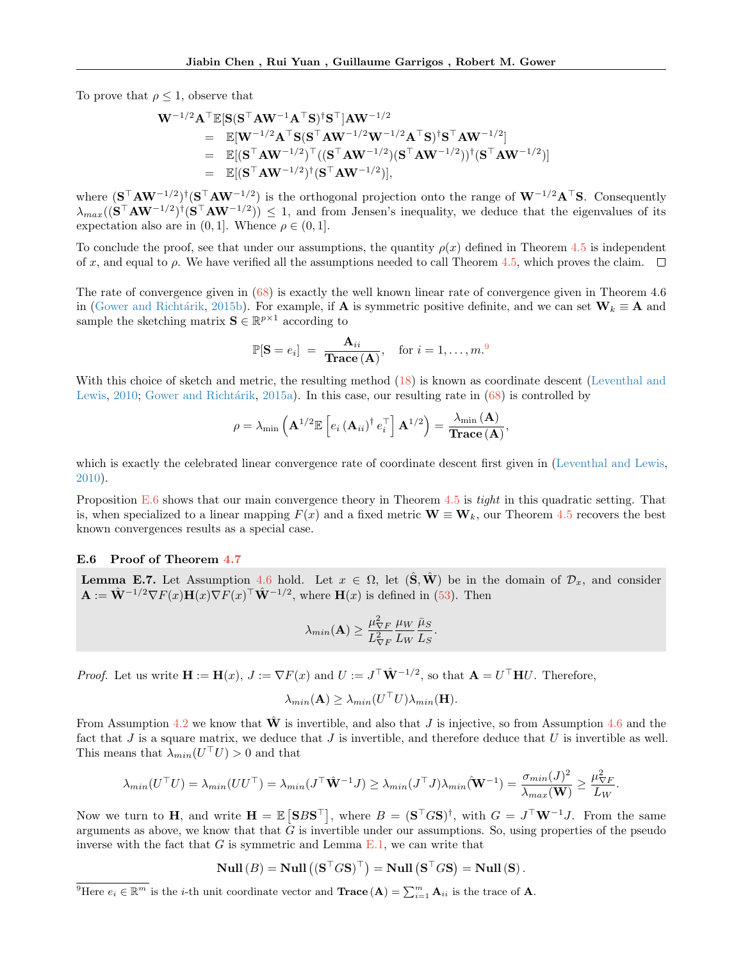To prove that  $\rho \leq 1$ , observe that

$$
\begin{array}{lll} \mathbf{W}^{-1/2} \mathbf{A}^\top \mathbb{E}[\mathbf{S} (\mathbf{S}^\top \mathbf{A} \mathbf{W}^{-1} \mathbf{A}^\top \mathbf{S})^\dagger \mathbf{S}^\top] \mathbf{A} \mathbf{W}^{-1/2} \\ \qquad = \quad \mathbb{E}[\mathbf{W}^{-1/2} \mathbf{A}^\top \mathbf{S} (\mathbf{S}^\top \mathbf{A} \mathbf{W}^{-1/2} \mathbf{W}^{-1/2} \mathbf{A}^\top \mathbf{S})^\dagger \mathbf{S}^\top \mathbf{A} \mathbf{W}^{-1/2}] \\qquad \qquad = \quad \mathbb{E}[(\mathbf{S}^\top \mathbf{A} \mathbf{W}^{-1/2})^\top ((\mathbf{S}^\top \mathbf{A} \mathbf{W}^{-1/2})(\mathbf{S}^\top \mathbf{A} \mathbf{W}^{-1/2}))^\dagger (\mathbf{S}^\top \mathbf{A} \mathbf{W}^{-1/2})] \\qquad \qquad = \quad \mathbb{E}[(\mathbf{S}^\top \mathbf{A} \mathbf{W}^{-1/2})^\dagger (\mathbf{S}^\top \mathbf{A} \mathbf{W}^{-1/2})], \end{array}
$$

where  $({\bf S}^\top {\bf A} {\bf W}^{-1/2})^{\dagger}({\bf S}^\top {\bf A} {\bf W}^{-1/2})$  is the orthogonal projection onto the range of  ${\bf W}^{-1/2} {\bf A}^\top {\bf S}$ . Consequently  $\lambda_{max}((\mathbf{S}^{\top}\mathbf{A}\mathbf{W}^{-1/2})^{\dagger}(\mathbf{S}^{\top}\mathbf{A}\mathbf{W}^{-1/2})) \leq 1$ , and from Jensen's inequality, we deduce that the eigenvalues of its expectation also are in  $(0, 1]$ . Whence  $\rho \in (0, 1]$ .

To conclude the proof, see that under our assumptions, the quantity  $\rho(x)$  defined in Theorem [4.5](#page-7-1) is independent of x, and equal to  $\rho$ . We have verified all the assumptions needed to call Theorem [4.5,](#page-7-1) which proves the claim.  $\Box$ 

The rate of convergence given in [\(68\)](#page-33-2) is exactly the well known linear rate of convergence given in Theorem 4.6 in (Gower and Richtárik, [2015b\)](#page-10-8). For example, if **A** is symmetric positive definite, and we can set  $W_k \equiv A$  and sample the sketching matrix  $\mathbf{S} \in \mathbb{R}^{p \times 1}$  according to

$$
\mathbb{P}[\mathbf{S} = e_i] = \frac{\mathbf{A}_{ii}}{\mathbf{Trace}(\mathbf{A})}, \quad \text{for } i = 1, \dots, m.9
$$

With this choice of sketch and metric, the resulting method  $(18)$  is known as coordinate descent [\(Leventhal and](#page-10-9) [Lewis,](#page-10-9) [2010;](#page-10-9) Gower and Richtárik, [2015a\)](#page-9-9). In this case, our resulting rate in  $(68)$  is controlled by

$$
\rho = \lambda_{\min}\left(\mathbf{A}^{1/2}\mathbb{E}\left[e_i\left(\mathbf{A}_{ii}\right)^{\dagger}e_i^{\top}\right]\mathbf{A}^{1/2}\right) = \frac{\lambda_{\min}\left(\mathbf{A}\right)}{\mathbf{Trace}\left(\mathbf{A}\right)},
$$

which is exactly the celebrated linear convergence rate of coordinate descent first given in [\(Leventhal and Lewis,](#page-10-9) [2010\)](#page-10-9).

Proposition [E.6](#page-33-3) shows that our main convergence theory in Theorem [4.5](#page-7-1) is tight in this quadratic setting. That is, when specialized to a linear mapping  $F(x)$  and a fixed metric  $\mathbf{W} \equiv \mathbf{W}_k$ , our Theorem [4.5](#page-7-1) recovers the best known convergences results as a special case.

#### E.6 Proof of Theorem [4.7](#page-7-8)

<span id="page-34-0"></span>**Lemma E.7.** Let Assumption [4.6](#page-7-3) hold. Let  $x \in \Omega$ , let  $(\hat{\mathbf{S}}, \hat{\mathbf{W}})$  be in the domain of  $\mathcal{D}_x$ , and consider  $\mathbf{A} := \hat{\mathbf{W}}^{-1/2} \nabla F(x) \mathbf{H}(x) \nabla F(x)^\top \hat{\mathbf{W}}^{-1/2}$ , where  $\mathbf{H}(x)$  is defined in [\(53\)](#page-30-4). Then

$$
\lambda_{min}(\mathbf{A}) \ge \frac{\mu_{\nabla F}^2}{L_{\nabla F}^2} \frac{\mu_W}{L_W} \frac{\bar{\mu}_S}{L_S}.
$$

*Proof.* Let us write  $\mathbf{H} := \mathbf{H}(x)$ ,  $J := \nabla F(x)$  and  $U := J^{\top} \hat{\mathbf{W}}^{-1/2}$ , so that  $\mathbf{A} = U^{\top} \mathbf{H} U$ . Therefore,

$$
\lambda_{min}(\mathbf{A}) \ge \lambda_{min}(U^{\top}U)\lambda_{min}(\mathbf{H}).
$$

From Assumption [4.2](#page-7-0) we know that  $\hat{\mathbf{W}}$  is invertible, and also that J is injective, so from Assumption [4.6](#page-7-3) and the fact that  $J$  is a square matrix, we deduce that  $J$  is invertible, and therefore deduce that  $U$  is invertible as well. This means that  $\lambda_{min}(U^{\top}U) > 0$  and that

$$
\lambda_{min}(U^{\top}U) = \lambda_{min}(UU^{\top}) = \lambda_{min}(J^{\top}\hat{\mathbf{W}}^{-1}J) \ge \lambda_{min}(J^{\top}J)\lambda_{min}(\hat{\mathbf{W}}^{-1}) = \frac{\sigma_{min}(J)^2}{\lambda_{max}(\mathbf{W})} \ge \frac{\mu_{\nabla F}^2}{L_W}.
$$

Now we turn to H, and write  $H = \mathbb{E} \left[ SBS^{\top} \right]$ , where  $B = (S^{\top}GS)^{\dagger}$ , with  $G = J^{\top}W^{-1}J$ . From the same arguments as above, we know that that  $\tilde{G}$  is invertible under our assumptions. So, using properties of the pseudo inverse with the fact that  $G$  is symmetric and Lemma  $E.1$ , we can write that

$$
\mathbf{Null}\left(B\right) = \mathbf{Null}\left((\mathbf{S}^\top G \mathbf{S})^\top\right) = \mathbf{Null}\left(\mathbf{S}^\top G \mathbf{S}\right) = \mathbf{Null}\left(\mathbf{S}\right).
$$

<sup>9</sup>Here  $e_i \in \mathbb{R}^m$  is the *i*-th unit coordinate vector and **Trace**  $(A) = \sum_{i=1}^m A_{ii}$  is the trace of **A**.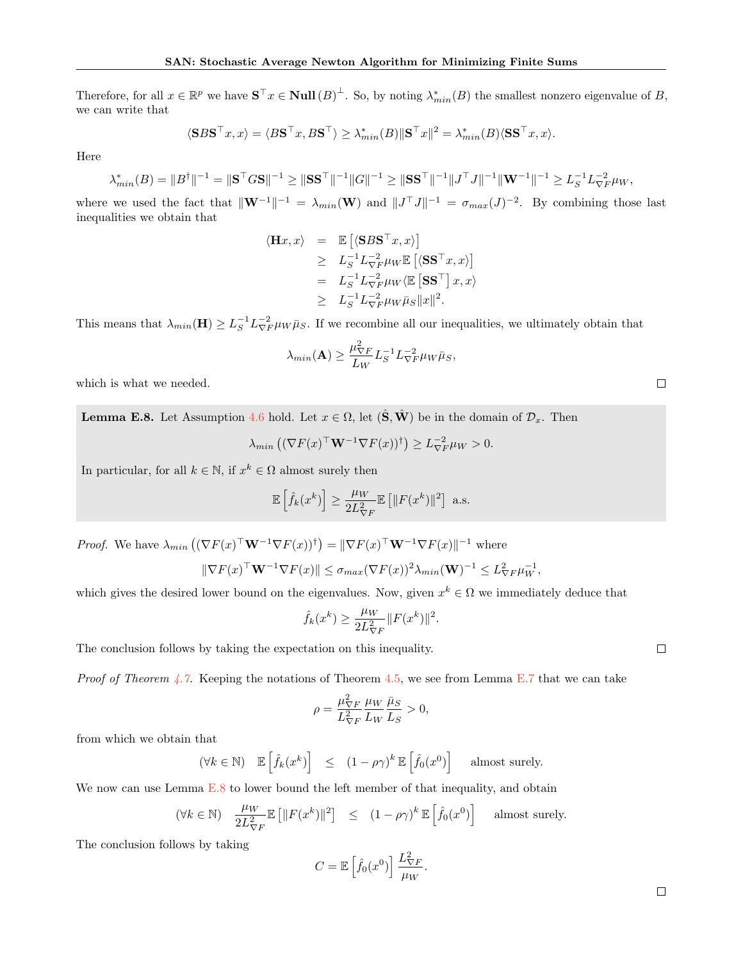Therefore, for all  $x \in \mathbb{R}^p$  we have  $S^{\top} x \in Null(B)^{\perp}$ . So, by noting  $\lambda^*_{min}(B)$  the smallest nonzero eigenvalue of B, we can write that

$$
\langle \mathbf{S} B \mathbf{S}^\top x, x \rangle = \langle B \mathbf{S}^\top x, B \mathbf{S}^\top \rangle \ge \lambda_{min}^*(B) \|\mathbf{S}^\top x\|^2 = \lambda_{min}^*(B) \langle \mathbf{S} \mathbf{S}^\top x, x \rangle.
$$

Here

$$
\lambda_{min}^*(B) = \|B^{\dagger}\|^{-1} = \|S^{\top}GS\|^{-1} \ge \|SS^{\top}\|^{-1} \|G\|^{-1} \ge \|SS^{\top}\|^{-1} \|J^{\top}J\|^{-1} \|W^{-1}\|^{-1} \ge L_S^{-1} L_{\nabla F}^{-2} \mu_W,
$$

where we used the fact that  $\|\mathbf{W}^{-1}\|^{-1} = \lambda_{min}(\mathbf{W})$  and  $||J^{\top}J||^{-1} = \sigma_{max}(J)^{-2}$ . By combining those last inequalities we obtain that

$$
\langle \mathbf{H}x, x \rangle = \mathbb{E} \left[ \langle \mathbf{S} B \mathbf{S}^{\top} x, x \rangle \right] \geq L_S^{-1} L_{\nabla F}^{-2} \mu_W \mathbb{E} \left[ \langle \mathbf{S} \mathbf{S}^{\top} x, x \rangle \right] = L_S^{-1} L_{\nabla F}^{-2} \mu_W \langle \mathbb{E} \left[ \mathbf{S} \mathbf{S}^{\top} \right] x, x \rangle \geq L_S^{-1} L_{\nabla F}^{-2} \mu_W \bar{\mu}_S ||x||^2.
$$

This means that  $\lambda_{min}(\mathbf{H}) \ge L_S^{-1} L_{\nabla F}^{-2} \mu_W \bar{\mu}_S$ . If we recombine all our inequalities, we ultimately obtain that

$$
\lambda_{min}(\mathbf{A}) \ge \frac{\mu_{\nabla F}^2}{L_W} L_S^{-1} L_{\nabla F}^{-2} \mu_W \bar{\mu}_S,
$$

which is what we needed.

<span id="page-35-0"></span>**Lemma E.8.** Let Assumption [4.6](#page-7-3) hold. Let  $x \in \Omega$ , let  $(\hat{S}, \hat{W})$  be in the domain of  $\mathcal{D}_x$ . Then

$$
\lambda_{min} \left( (\nabla F(x)^\top \mathbf{W}^{-1} \nabla F(x))^\dagger \right) \ge L_{\nabla F}^{-2} \mu_W > 0.
$$

In particular, for all  $k \in \mathbb{N}$ , if  $x^k \in \Omega$  almost surely then

$$
\mathbb{E}\left[\hat{f}_k(x^k)\right] \ge \frac{\mu_W}{2L_{\nabla F}^2} \mathbb{E}\left[\|F(x^k)\|^2\right] \text{ a.s.}
$$

*Proof.* We have  $\lambda_{min} ((\nabla F(x)^{\top} \mathbf{W}^{-1} \nabla F(x))^{\dagger}) = ||\nabla F(x)^{\top} \mathbf{W}^{-1} \nabla F(x)||^{-1}$  where

$$
\|\nabla F(x)^{\top} \mathbf{W}^{-1} \nabla F(x)\| \leq \sigma_{max} (\nabla F(x))^2 \lambda_{min}(\mathbf{W})^{-1} \leq L_{\nabla F}^2 \mu_W^{-1},
$$

which gives the desired lower bound on the eigenvalues. Now, given  $x^k \in \Omega$  we immediately deduce that

$$
\hat{f}_k(x^k) \ge \frac{\mu_W}{2L_{\nabla F}^2} ||F(x^k)||^2.
$$

The conclusion follows by taking the expectation on this inequality.

*Proof of Theorem [4.7.](#page-7-8)* Keeping the notations of Theorem [4.5,](#page-7-1) we see from Lemma [E.7](#page-34-0) that we can take

$$
\rho = \frac{\mu_{\nabla F}^2}{L_{\nabla F}^2} \frac{\mu_W}{L_W} \frac{\bar{\mu}_S}{L_S} > 0,
$$

from which we obtain that

$$
(\forall k \in \mathbb{N}) \quad \mathbb{E}\left[\hat{f}_k(x^k)\right] \leq (1 - \rho\gamma)^k \mathbb{E}\left[\hat{f}_0(x^0)\right] \quad \text{almost surely.}
$$

We now can use Lemma [E.8](#page-35-0) to lower bound the left member of that inequality, and obtain

$$
(\forall k \in \mathbb{N}) \quad \frac{\mu_W}{2L_{\nabla F}^2} \mathbb{E}\left[\|F(x^k)\|^2\right] \le (1 - \rho \gamma)^k \mathbb{E}\left[\hat{f}_0(x^0)\right] \quad \text{almost surely.}
$$

The conclusion follows by taking

$$
C = \mathbb{E}\left[\hat{f}_0(x^0)\right] \frac{L_{\nabla F}^2}{\mu_W}.
$$

 $\Box$ 

 $\Box$ 

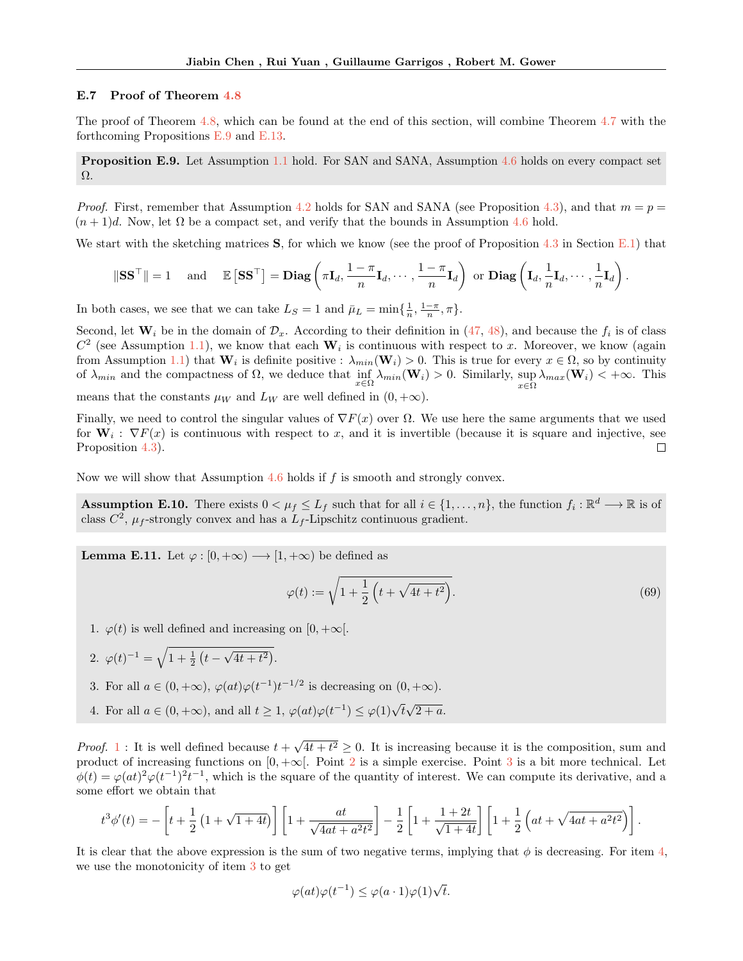#### E.7 Proof of Theorem [4.8](#page-7-5)

The proof of Theorem [4.8,](#page-7-5) which can be found at the end of this section, will combine Theorem [4.7](#page-7-8) with the forthcoming Propositions [E.9](#page-36-0) and [E.13.](#page-37-0)

<span id="page-36-0"></span>Proposition E.9. Let Assumption [1.1](#page-2-5) hold. For SAN and SANA, Assumption [4.6](#page-7-3) holds on every compact set Ω.

*Proof.* First, remember that Assumption [4.2](#page-7-0) holds for SAN and SANA (see Proposition [4.3\)](#page-7-6), and that  $m = p =$  $(n+1)d$ . Now, let  $\Omega$  be a compact set, and verify that the bounds in Assumption [4.6](#page-7-3) hold.

We start with the sketching matrices  $S$ , for which we know (see the proof of Proposition [4.3](#page-7-6) in Section [E.1\)](#page-28-3) that

$$
\|\mathbf{S}\mathbf{S}^{\top}\| = 1 \quad \text{ and } \quad \mathbb{E}\left[\mathbf{S}\mathbf{S}^{\top}\right] = \mathbf{Diag}\left(\pi\mathbf{I}_d, \frac{1-\pi}{n}\mathbf{I}_d, \cdots, \frac{1-\pi}{n}\mathbf{I}_d\right) \text{ or } \mathbf{Diag}\left(\mathbf{I}_d, \frac{1}{n}\mathbf{I}_d, \cdots, \frac{1}{n}\mathbf{I}_d\right).
$$

In both cases, we see that we can take  $L_S = 1$  and  $\bar{\mu}_L = \min\{\frac{1}{n}, \frac{1-\pi}{n}, \pi\}.$ 

Second, let  $\mathbf{W}_i$  be in the domain of  $\mathcal{D}_x$ . According to their definition in [\(47,](#page-27-4) [48\)](#page-28-1), and because the  $f_i$  is of class  $C^2$  (see Assumption [1.1\)](#page-2-5), we know that each  $W_i$  is continuous with respect to x. Moreover, we know (again from Assumption [1.1\)](#page-2-5) that  $\mathbf{W}_i$  is definite positive :  $\lambda_{min}(\mathbf{W}_i) > 0$ . This is true for every  $x \in \Omega$ , so by continuity of  $\lambda_{min}$  and the compactness of  $\Omega$ , we deduce that  $\inf_{x \in \Omega} \lambda_{min}(\mathbf{W}_i) > 0$ . Similarly, sup  $\sup_{x \in \Omega} \lambda_{max}(\mathbf{W}_i) < +\infty$ . This

means that the constants  $\mu_W$  and  $L_W$  are well defined in  $(0, +\infty)$ .

Finally, we need to control the singular values of  $\nabla F(x)$  over  $\Omega$ . We use here the same arguments that we used for  $W_i$ :  $\nabla F(x)$  is continuous with respect to x, and it is invertible (because it is square and injective, see Proposition [4.3\)](#page-7-6).

Now we will show that Assumption [4.6](#page-7-3) holds if f is smooth and strongly convex.

<span id="page-36-7"></span>**Assumption E.10.** There exists  $0 < \mu_f \leq L_f$  such that for all  $i \in \{1, ..., n\}$ , the function  $f_i : \mathbb{R}^d \longrightarrow \mathbb{R}$  is of class  $C^2$ ,  $\mu_f$ -strongly convex and has a  $L_f$ -Lipschitz continuous gradient.

<span id="page-36-6"></span>**Lemma E.11.** Let  $\varphi : [0, +\infty) \longrightarrow [1, +\infty)$  be defined as

<span id="page-36-5"></span>
$$
\varphi(t) := \sqrt{1 + \frac{1}{2} \left( t + \sqrt{4t + t^2} \right)}.
$$
\n(69)

- <span id="page-36-1"></span>1.  $\varphi(t)$  is well defined and increasing on [0, + $\infty$ [.
- <span id="page-36-2"></span>2.  $\varphi(t)^{-1} = \sqrt{1 + \frac{1}{2} \left( t - \sqrt{4t + t^2} \right)}$ .
- <span id="page-36-3"></span>3. For all  $a \in (0, +\infty)$ ,  $\varphi(at)\varphi(t^{-1})t^{-1/2}$  is decreasing on  $(0, +\infty)$ .
- <span id="page-36-4"></span>4. For all  $a \in (0, +\infty)$ , and all  $t \geq 1$ ,  $\varphi(at)\varphi(t^{-1}) \leq \varphi(1)\sqrt{t}\sqrt{2+a}$ .

*Proof.* [1](#page-36-1) : It is well defined because  $t + \sqrt{4t + t^2} \ge 0$ . It is increasing because it is the composition, sum and product of increasing functions on  $[0, +\infty[$ . Point [2](#page-36-2) is a simple exercise. Point [3](#page-36-3) is a bit more technical. Let  $\phi(t) = \varphi(at)^2 \varphi(t^{-1})^2 t^{-1}$ , which is the square of the quantity of interest. We can compute its derivative, and a some effort we obtain that

$$
t^3 \phi'(t) = -\left[ t + \frac{1}{2} \left( 1 + \sqrt{1 + 4t} \right) \right] \left[ 1 + \frac{at}{\sqrt{4at + a^2 t^2}} \right] - \frac{1}{2} \left[ 1 + \frac{1 + 2t}{\sqrt{1 + 4t}} \right] \left[ 1 + \frac{1}{2} \left( at + \sqrt{4at + a^2 t^2} \right) \right].
$$

It is clear that the above expression is the sum of two negative terms, implying that  $\phi$  is decreasing. For item [4,](#page-36-4) we use the monotonicity of item [3](#page-36-3) to get

$$
\varphi(at)\varphi(t^{-1}) \leq \varphi(a\cdot 1)\varphi(1)\sqrt{t}.
$$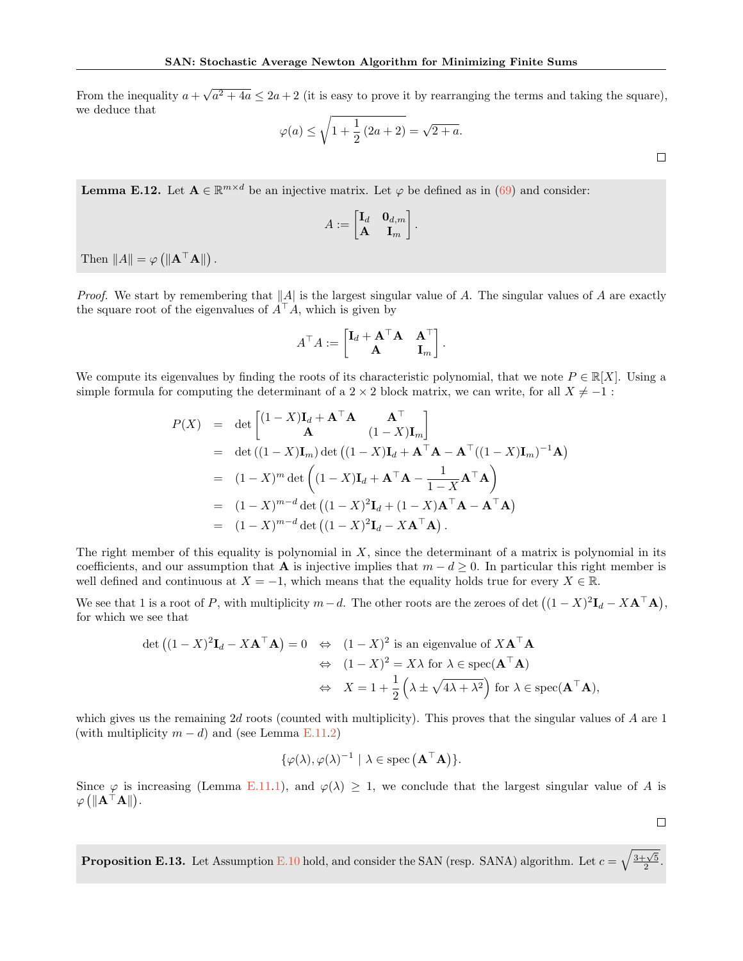From the inequality  $a + \sqrt{a^2 + 4a} \le 2a + 2$  (it is easy to prove it by rearranging the terms and taking the square), we deduce that

$$
\varphi(a) \le \sqrt{1 + \frac{1}{2} (2a + 2)} = \sqrt{2 + a}.
$$

<span id="page-37-1"></span>**Lemma E.12.** Let  $A \in \mathbb{R}^{m \times d}$  be an injective matrix. Let  $\varphi$  be defined as in [\(69\)](#page-36-5) and consider:

$$
A:=\begin{bmatrix} \mathbf I_d & \mathbf 0_{d,m} \\ \mathbf A & \mathbf I_m \end{bmatrix}.
$$

Then  $||A|| = \varphi (||\mathbf{A}^\top \mathbf{A}||)$ .

*Proof.* We start by remembering that  $||A||$  is the largest singular value of A. The singular values of A are exactly the square root of the eigenvalues of  $A^{\top}A$ , which is given by

$$
A^{\top} A := \begin{bmatrix} \mathbf{I}_d + \mathbf{A}^{\top} \mathbf{A} & \mathbf{A}^{\top} \\ \mathbf{A} & \mathbf{I}_m \end{bmatrix}.
$$

We compute its eigenvalues by finding the roots of its characteristic polynomial, that we note  $P \in \mathbb{R}[X]$ . Using a simple formula for computing the determinant of a 2  $\times$  2 block matrix, we can write, for all  $X \neq -1$ :

$$
P(X) = \det \begin{bmatrix} (1-X)\mathbf{I}_d + \mathbf{A}^\top \mathbf{A} & \mathbf{A}^\top \\ \mathbf{A} & (1-X)\mathbf{I}_m \end{bmatrix}
$$
  
=  $\det ((1-X)\mathbf{I}_m) \det ((1-X)\mathbf{I}_d + \mathbf{A}^\top \mathbf{A} - \mathbf{A}^\top ((1-X)\mathbf{I}_m)^{-1} \mathbf{A})$   
=  $(1-X)^m \det \left( (1-X)\mathbf{I}_d + \mathbf{A}^\top \mathbf{A} - \frac{1}{1-X} \mathbf{A}^\top \mathbf{A} \right)$   
=  $(1-X)^{m-d} \det ((1-X)^2 \mathbf{I}_d + (1-X)\mathbf{A}^\top \mathbf{A} - \mathbf{A}^\top \mathbf{A})$   
=  $(1-X)^{m-d} \det ((1-X)^2 \mathbf{I}_d - X\mathbf{A}^\top \mathbf{A}).$ 

The right member of this equality is polynomial in  $X$ , since the determinant of a matrix is polynomial in its coefficients, and our assumption that **A** is injective implies that  $m - d \geq 0$ . In particular this right member is well defined and continuous at  $X = -1$ , which means that the equality holds true for every  $X \in \mathbb{R}$ .

We see that 1 is a root of P, with multiplicity  $m-d$ . The other roots are the zeroes of det  $((1 - X)^2 \mathbf{I}_d - X \mathbf{A}^\top \mathbf{A})$ , for which we see that

$$
\det ((1 - X)^2 \mathbf{I}_d - X \mathbf{A}^\top \mathbf{A}) = 0 \Leftrightarrow (1 - X)^2 \text{ is an eigenvalue of } X \mathbf{A}^\top \mathbf{A}
$$

$$
\Leftrightarrow (1 - X)^2 = X\lambda \text{ for } \lambda \in \text{spec}(\mathbf{A}^\top \mathbf{A})
$$

$$
\Leftrightarrow X = 1 + \frac{1}{2} \left( \lambda \pm \sqrt{4\lambda + \lambda^2} \right) \text{ for } \lambda \in \text{spec}(\mathbf{A}^\top \mathbf{A}),
$$

which gives us the remaining  $2d$  roots (counted with multiplicity). This proves that the singular values of  $A$  are 1 (with multiplicity  $m - d$ ) and (see Lemma [E.11.](#page-36-6)[2\)](#page-36-2)

$$
\{\varphi(\lambda), \varphi(\lambda)^{-1} \mid \lambda \in \operatorname{spec}(\mathbf{A}^{\top} \mathbf{A})\}.
$$

Since  $\varphi$  is increasing (Lemma [E.11](#page-36-6)[.1\)](#page-36-1), and  $\varphi(\lambda) \geq 1$ , we conclude that the largest singular value of A is  $\varphi\left(\|\mathbf{A}^\top \mathbf{A}\|\right)$ .

 $\Box$ 

<span id="page-37-0"></span>**Proposition E.13.** Let Assumption [E.10](#page-36-7) hold, and consider the SAN (resp. SANA) algorithm. Let  $c = \sqrt{\frac{3+\sqrt{5}}{2}}$ .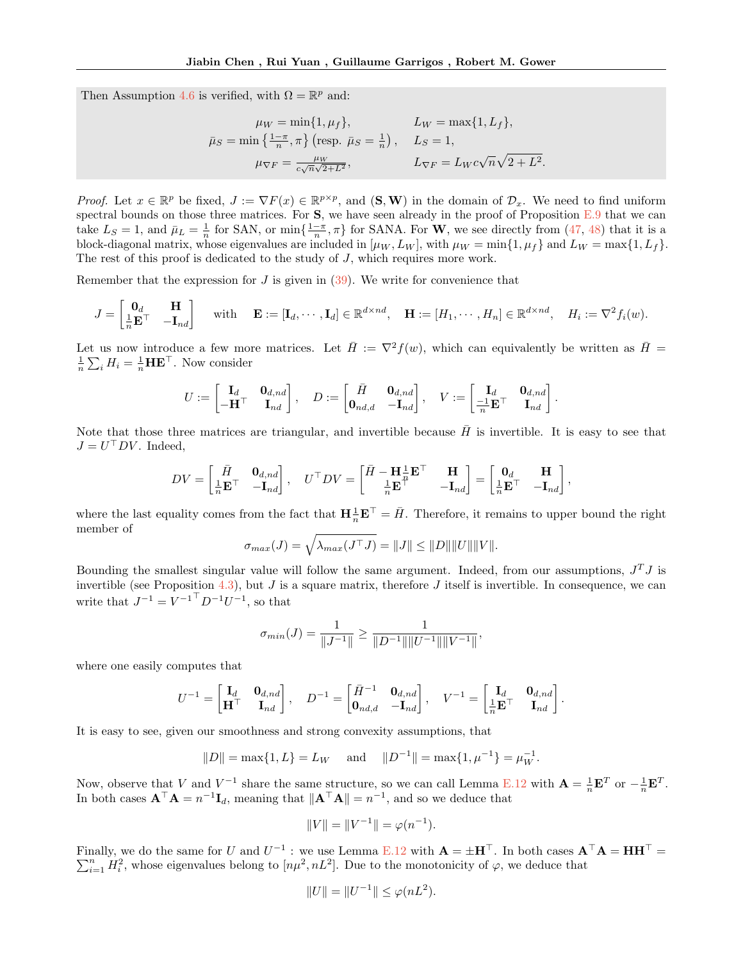Then Assumption [4.6](#page-7-3) is verified, with  $\Omega = \mathbb{R}^p$  and:

$$
\mu_W = \min\{1, \mu_f\}, \qquad L_W = \max\{1, L_f\},
$$
  

$$
\bar{\mu}_S = \min\left\{\frac{1-\pi}{n}, \pi\right\} \text{ (resp. } \bar{\mu}_S = \frac{1}{n}\text{)}, \qquad L_S = 1,
$$
  

$$
\mu_{\nabla F} = \frac{\mu_W}{c\sqrt{n}\sqrt{2+L^2}}, \qquad L_{\nabla F} = L_W c\sqrt{n}\sqrt{2+L^2}.
$$

*Proof.* Let  $x \in \mathbb{R}^p$  be fixed,  $J := \nabla F(x) \in \mathbb{R}^{p \times p}$ , and  $(\mathbf{S}, \mathbf{W})$  in the domain of  $\mathcal{D}_x$ . We need to find uniform spectral bounds on those three matrices. For  $S$ , we have seen already in the proof of Proposition  $E.9$  that we can take  $L_S = 1$ , and  $\bar{\mu}_L = \frac{1}{n}$  for SAN, or min $\{\frac{1-\pi}{n}, \pi\}$  for SANA. For **W**, we see directly from [\(47,](#page-27-4) [48\)](#page-28-1) that it is a block-diagonal matrix, whose eigenvalues are included in  $[\mu_W, L_W]$ , with  $\mu_W = \min\{1, \mu_f\}$  and  $L_W = \max\{1, L_f\}$ . The rest of this proof is dedicated to the study of J, which requires more work.

Remember that the expression for  $J$  is given in  $(39)$ . We write for convenience that

$$
J = \begin{bmatrix} \mathbf{0}_d & \mathbf{H} \\ \frac{1}{n} \mathbf{E}^\top & -\mathbf{I}_{nd} \end{bmatrix} \quad \text{with} \quad \mathbf{E} := [\mathbf{I}_d, \cdots, \mathbf{I}_d] \in \mathbb{R}^{d \times nd}, \quad \mathbf{H} := [H_1, \cdots, H_n] \in \mathbb{R}^{d \times nd}, \quad H_i := \nabla^2 f_i(w).
$$

Let us now introduce a few more matrices. Let  $\bar{H} := \nabla^2 f(w)$ , which can equivalently be written as  $\bar{H} =$  $\frac{1}{n}\sum_i H_i = \frac{1}{n} \mathbf{H} \mathbf{E}^{\top}$ . Now consider

$$
U := \begin{bmatrix} \mathbf{I}_d & \mathbf{0}_{d,nd} \\ -\mathbf{H}^\top & \mathbf{I}_{nd} \end{bmatrix}, \quad D := \begin{bmatrix} \bar{H} & \mathbf{0}_{d,nd} \\ \mathbf{0}_{nd,d} & -\mathbf{I}_{nd} \end{bmatrix}, \quad V := \begin{bmatrix} \mathbf{I}_d & \mathbf{0}_{d,nd} \\ \frac{-1}{n} \mathbf{E}^\top & \mathbf{I}_{nd} \end{bmatrix}
$$

.

.

Note that those three matrices are triangular, and invertible because  $H$  is invertible. It is easy to see that  $J = U^{\dagger} D V$ . Indeed,

$$
DV = \begin{bmatrix} \bar{H} & \mathbf{0}_{d,nd} \\ \frac{1}{n} \mathbf{E}^\top & -\mathbf{I}_{nd} \end{bmatrix}, \quad U^\top DV = \begin{bmatrix} \bar{H} - \mathbf{H} \frac{1}{n} \mathbf{E}^\top & \mathbf{H} \\ \frac{1}{n} \mathbf{E}^\top & -\mathbf{I}_{nd} \end{bmatrix} = \begin{bmatrix} \mathbf{0}_d & \mathbf{H} \\ \frac{1}{n} \mathbf{E}^\top & -\mathbf{I}_{nd} \end{bmatrix},
$$

where the last equality comes from the fact that  $\mathbf{H} \frac{1}{n} \mathbf{E}^{\top} = \bar{H}$ . Therefore, it remains to upper bound the right member of

$$
\sigma_{max}(J) = \sqrt{\lambda_{max}(J^{\top} J)} = ||J|| \le ||D|| ||U|| ||V||.
$$

Bounding the smallest singular value will follow the same argument. Indeed, from our assumptions,  $J^TJ$  is invertible (see Proposition [4.3\)](#page-7-6), but  $J$  is a square matrix, therefore  $J$  itself is invertible. In consequence, we can write that  $J^{-1} = V^{-1} D^{-1} U^{-1}$ , so that

$$
\sigma_{min}(J) = \frac{1}{\|J^{-1}\|} \ge \frac{1}{\|D^{-1}\| \|U^{-1}\| \|V^{-1}\|},
$$

where one easily computes that

$$
U^{-1} = \begin{bmatrix} \mathbf{I}_d & \mathbf{0}_{d,nd} \\ \mathbf{H}^\top & \mathbf{I}_{nd} \end{bmatrix}, \quad D^{-1} = \begin{bmatrix} \bar{H}^{-1} & \mathbf{0}_{d,nd} \\ \mathbf{0}_{nd,d} & -\mathbf{I}_{nd} \end{bmatrix}, \quad V^{-1} = \begin{bmatrix} \mathbf{I}_d & \mathbf{0}_{d,nd} \\ \frac{1}{n} \mathbf{E}^\top & \mathbf{I}_{nd} \end{bmatrix}
$$

It is easy to see, given our smoothness and strong convexity assumptions, that

$$
||D|| = \max\{1, L\} = L_W
$$
 and  $||D^{-1}|| = \max\{1, \mu^{-1}\} = \mu_W^{-1}$ .

Now, observe that V and  $V^{-1}$  share the same structure, so we can call Lemma [E.12](#page-37-1) with  $\mathbf{A} = \frac{1}{n} \mathbf{E}^T$  or  $-\frac{1}{n} \mathbf{E}^T$ . In both cases  $\mathbf{A}^\top \mathbf{A} = n^{-1} \mathbf{I}_d$ , meaning that  $\|\mathbf{A}^\top \mathbf{A}\| = n^{-1}$ , and so we deduce that

$$
||V|| = ||V^{-1}|| = \varphi(n^{-1}).
$$

Finally, we do the same for U and  $U^{-1}$ : we use Lemma [E.12](#page-37-1) with  $\mathbf{A} = \pm \mathbf{H}^{\top}$ . In both cases  $\mathbf{A}^{\top} \mathbf{A} = \mathbf{H} \mathbf{H}^{\top} = \mathbf{A} \mathbf{H}$  $\sum_{i=1}^{n} H_i^2$ , whose eigenvalues belong to  $[n\mu^2, nL^2]$ . Due to the monotonicity of  $\varphi$ , we deduce that

$$
||U|| = ||U^{-1}|| \le \varphi(nL^2).
$$